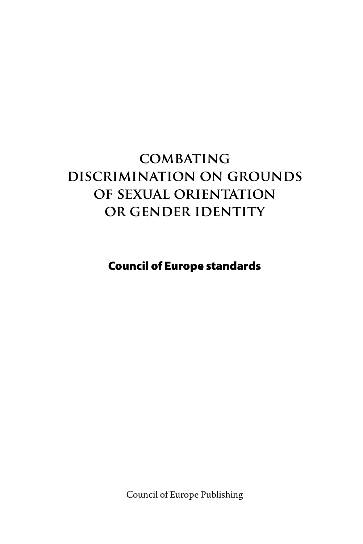# **combating discrimination on grounds of sexual orientation or gender identity**

Council of Europe standards

Council of Europe Publishing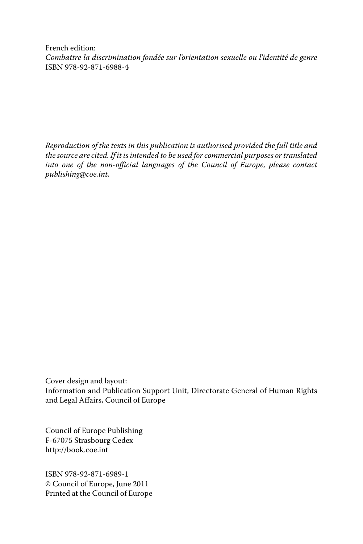French edition: *Combattre la discrimination fondée sur l'orientation sexuelle ou l'identité de genre* ISBN 978-92-871-6988-4

*Reproduction of the texts in this publication is authorised provided the full title and the source are cited. If it is intended to be used for commercial purposes or translated into one of the non-official languages of the Council of Europe, please contact publishing@coe.int.*

Cover design and layout: Information and Publication Support Unit, Directorate General of Human Rights and Legal Affairs, Council of Europe

Council of Europe Publishing F-67075 Strasbourg Cedex http://book.coe.int

ISBN 978-92-871-6989-1 © Council of Europe, June 2011 Printed at the Council of Europe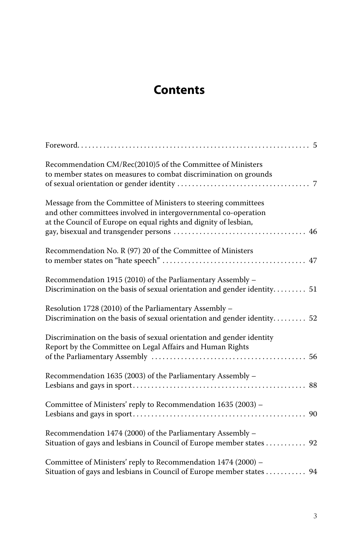# **Contents**

| Recommendation CM/Rec(2010)5 of the Committee of Ministers<br>to member states on measures to combat discrimination on grounds                                                                              |
|-------------------------------------------------------------------------------------------------------------------------------------------------------------------------------------------------------------|
| Message from the Committee of Ministers to steering committees<br>and other committees involved in intergovernmental co-operation<br>at the Council of Europe on equal rights and dignity of lesbian,<br>46 |
| Recommendation No. R (97) 20 of the Committee of Ministers                                                                                                                                                  |
| Recommendation 1915 (2010) of the Parliamentary Assembly -<br>Discrimination on the basis of sexual orientation and gender identity 51                                                                      |
| Resolution 1728 (2010) of the Parliamentary Assembly -<br>Discrimination on the basis of sexual orientation and gender identity 52                                                                          |
| Discrimination on the basis of sexual orientation and gender identity<br>Report by the Committee on Legal Affairs and Human Rights                                                                          |
| Recommendation 1635 (2003) of the Parliamentary Assembly -                                                                                                                                                  |
| Committee of Ministers' reply to Recommendation 1635 (2003) -                                                                                                                                               |
| Recommendation 1474 (2000) of the Parliamentary Assembly -<br>Situation of gays and lesbians in Council of Europe member states  92                                                                         |
| Committee of Ministers' reply to Recommendation 1474 (2000) -<br>Situation of gays and lesbians in Council of Europe member states 94                                                                       |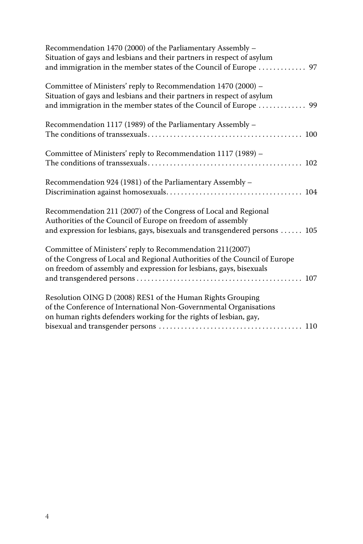| Recommendation 1470 (2000) of the Parliamentary Assembly -<br>Situation of gays and lesbians and their partners in respect of asylum                                                                           |
|----------------------------------------------------------------------------------------------------------------------------------------------------------------------------------------------------------------|
| Committee of Ministers' reply to Recommendation 1470 (2000) -<br>Situation of gays and lesbians and their partners in respect of asylum<br>and immigration in the member states of the Council of Europe  99   |
| Recommendation 1117 (1989) of the Parliamentary Assembly -                                                                                                                                                     |
| Committee of Ministers' reply to Recommendation 1117 (1989) -                                                                                                                                                  |
| Recommendation 924 (1981) of the Parliamentary Assembly -                                                                                                                                                      |
| Recommendation 211 (2007) of the Congress of Local and Regional<br>Authorities of the Council of Europe on freedom of assembly<br>and expression for lesbians, gays, bisexuals and transgendered persons  105  |
| Committee of Ministers' reply to Recommendation 211(2007)<br>of the Congress of Local and Regional Authorities of the Council of Europe<br>on freedom of assembly and expression for lesbians, gays, bisexuals |
| Resolution OING D (2008) RES1 of the Human Rights Grouping<br>of the Conference of International Non-Governmental Organisations<br>on human rights defenders working for the rights of lesbian, gay,           |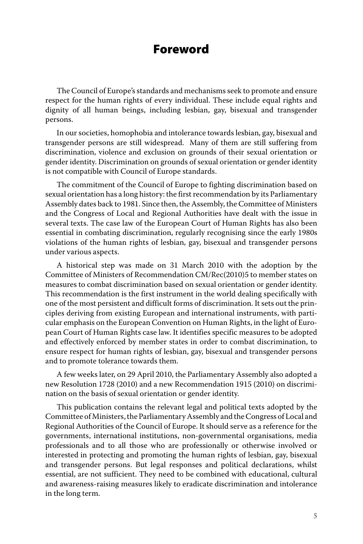# **Foreword**

The Council of Europe's standards and mechanisms seek to promote and ensure respect for the human rights of every individual. These include equal rights and dignity of all human beings, including lesbian, gay, bisexual and transgender persons.

In our societies, homophobia and intolerance towards lesbian, gay, bisexual and transgender persons are still widespread. Many of them are still suffering from discrimination, violence and exclusion on grounds of their sexual orientation or gender identity. Discrimination on grounds of sexual orientation or gender identity is not compatible with Council of Europe standards.

The commitment of the Council of Europe to fighting discrimination based on sexual orientation has a long history: the first recommendation by its Parliamentary Assembly dates back to 1981. Since then, the Assembly, the Committee of Ministers and the Congress of Local and Regional Authorities have dealt with the issue in several texts. The case law of the European Court of Human Rights has also been essential in combating discrimination, regularly recognising since the early 1980s violations of the human rights of lesbian, gay, bisexual and transgender persons under various aspects.

A historical step was made on 31 March 2010 with the adoption by the Committee of Ministers of Recommendation CM/Rec(2010)5 to member states on measures to combat discrimination based on sexual orientation or gender identity. This recommendation is the first instrument in the world dealing specifically with one of the most persistent and difficult forms of discrimination. It sets out the principles deriving from existing European and international instruments, with particular emphasis on the European Convention on Human Rights, in the light of European Court of Human Rights case law. It identifies specific measures to be adopted and effectively enforced by member states in order to combat discrimination, to ensure respect for human rights of lesbian, gay, bisexual and transgender persons and to promote tolerance towards them.

A few weeks later, on 29 April 2010, the Parliamentary Assembly also adopted a new Resolution 1728 (2010) and a new Recommendation 1915 (2010) on discrimination on the basis of sexual orientation or gender identity.

This publication contains the relevant legal and political texts adopted by the Committee of Ministers, the Parliamentary Assembly and the Congress of Local and Regional Authorities of the Council of Europe. It should serve as a reference for the governments, international institutions, non-governmental organisations, media professionals and to all those who are professionally or otherwise involved or interested in protecting and promoting the human rights of lesbian, gay, bisexual and transgender persons. But legal responses and political declarations, whilst essential, are not sufficient. They need to be combined with educational, cultural and awareness-raising measures likely to eradicate discrimination and intolerance in the long term.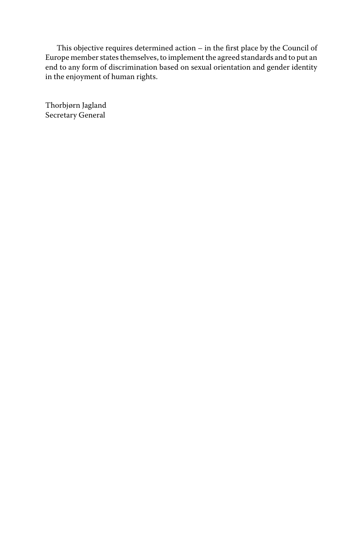This objective requires determined action – in the first place by the Council of Europe member states themselves, to implement the agreed standards and to put an end to any form of discrimination based on sexual orientation and gender identity in the enjoyment of human rights.

Thorbjørn Jagland Secretary General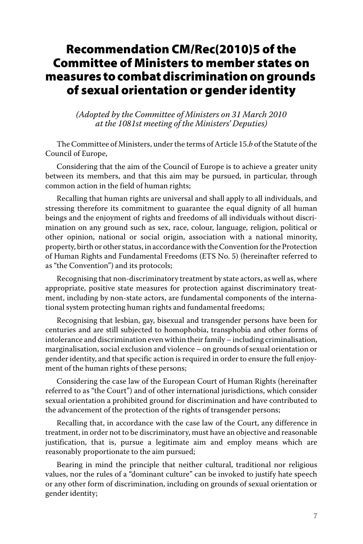# Recommendation CM/Rec(2010)5 of the Committee of Ministers to member states on measures to combat discrimination on grounds of sexual orientation or gender identity

*(Adopted by the Committee of Ministers on 31 March 2010 at the 1081st meeting of the Ministers' Deputies)*

The Committee of Ministers, under the terms of Article 15.*b* of the Statute of the Council of Europe,

Considering that the aim of the Council of Europe is to achieve a greater unity between its members, and that this aim may be pursued, in particular, through common action in the field of human rights;

Recalling that human rights are universal and shall apply to all individuals, and stressing therefore its commitment to guarantee the equal dignity of all human beings and the enjoyment of rights and freedoms of all individuals without discrimination on any ground such as sex, race, colour, language, religion, political or other opinion, national or social origin, association with a national minority, property, birth or other status, in accordance with the Convention for the Protection of Human Rights and Fundamental Freedoms (ETS No. 5) (hereinafter referred to as "the Convention") and its protocols;

Recognising that non-discriminatory treatment by state actors, as well as, where appropriate, positive state measures for protection against discriminatory treatment, including by non-state actors, are fundamental components of the international system protecting human rights and fundamental freedoms;

Recognising that lesbian, gay, bisexual and transgender persons have been for centuries and are still subjected to homophobia, transphobia and other forms of intolerance and discrimination even within their family – including criminalisation, marginalisation, social exclusion and violence – on grounds of sexual orientation or gender identity, and that specific action is required in order to ensure the full enjoyment of the human rights of these persons;

Considering the case law of the European Court of Human Rights (hereinafter referred to as "the Court") and of other international jurisdictions, which consider sexual orientation a prohibited ground for discrimination and have contributed to the advancement of the protection of the rights of transgender persons;

Recalling that, in accordance with the case law of the Court, any difference in treatment, in order not to be discriminatory, must have an objective and reasonable justification, that is, pursue a legitimate aim and employ means which are reasonably proportionate to the aim pursued;

Bearing in mind the principle that neither cultural, traditional nor religious values, nor the rules of a "dominant culture" can be invoked to justify hate speech or any other form of discrimination, including on grounds of sexual orientation or gender identity;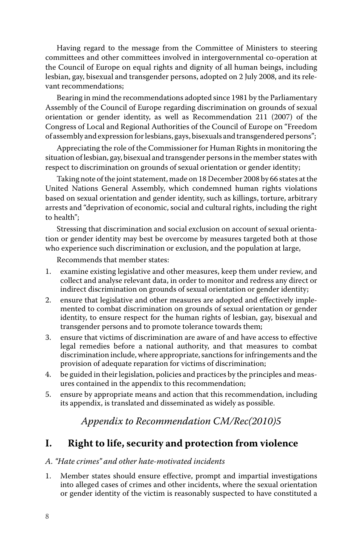Having regard to the message from the Committee of Ministers to steering committees and other committees involved in intergovernmental co-operation at the Council of Europe on equal rights and dignity of all human beings, including lesbian, gay, bisexual and transgender persons, adopted on 2 July 2008, and its relevant recommendations;

Bearing in mind the recommendations adopted since 1981 by the Parliamentary Assembly of the Council of Europe regarding discrimination on grounds of sexual orientation or gender identity, as well as Recommendation 211 (2007) of the Congress of Local and Regional Authorities of the Council of Europe on "Freedom of assembly and expression for lesbians, gays, bisexuals and transgendered persons";

Appreciating the role of the Commissioner for Human Rights in monitoring the situation of lesbian, gay, bisexual and transgender persons in the member states with respect to discrimination on grounds of sexual orientation or gender identity;

Taking note of the joint statement, made on 18 December 2008 by 66 states at the United Nations General Assembly, which condemned human rights violations based on sexual orientation and gender identity, such as killings, torture, arbitrary arrests and "deprivation of economic, social and cultural rights, including the right to health";

Stressing that discrimination and social exclusion on account of sexual orientation or gender identity may best be overcome by measures targeted both at those who experience such discrimination or exclusion, and the population at large,

Recommends that member states:

- 1. examine existing legislative and other measures, keep them under review, and collect and analyse relevant data, in order to monitor and redress any direct or indirect discrimination on grounds of sexual orientation or gender identity;
- 2. ensure that legislative and other measures are adopted and effectively implemented to combat discrimination on grounds of sexual orientation or gender identity, to ensure respect for the human rights of lesbian, gay, bisexual and transgender persons and to promote tolerance towards them;
- 3. ensure that victims of discrimination are aware of and have access to effective legal remedies before a national authority, and that measures to combat discrimination include, where appropriate, sanctions for infringements and the provision of adequate reparation for victims of discrimination;
- 4. be guided in their legislation, policies and practices by the principles and measures contained in the appendix to this recommendation;
- 5. ensure by appropriate means and action that this recommendation, including its appendix, is translated and disseminated as widely as possible.

*Appendix to Recommendation CM/Rec(2010)5*

#### **I. Right to life, security and protection from violence**

*A. "Hate crimes" and other hate-motivated incidents*

1. Member states should ensure effective, prompt and impartial investigations into alleged cases of crimes and other incidents, where the sexual orientation or gender identity of the victim is reasonably suspected to have constituted a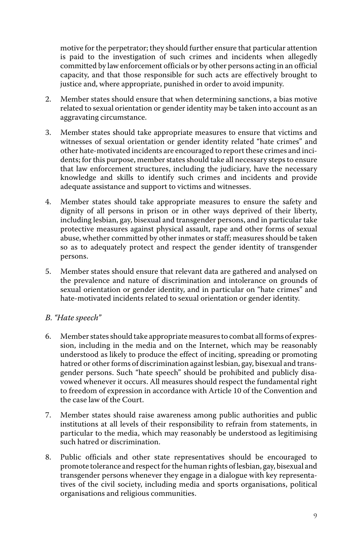motive for the perpetrator; they should further ensure that particular attention is paid to the investigation of such crimes and incidents when allegedly committed by law enforcement officials or by other persons acting in an official capacity, and that those responsible for such acts are effectively brought to justice and, where appropriate, punished in order to avoid impunity.

- 2. Member states should ensure that when determining sanctions, a bias motive related to sexual orientation or gender identity may be taken into account as an aggravating circumstance.
- 3. Member states should take appropriate measures to ensure that victims and witnesses of sexual orientation or gender identity related "hate crimes" and other hate-motivated incidents are encouraged to report these crimes and incidents; for this purpose, member states should take all necessary steps to ensure that law enforcement structures, including the judiciary, have the necessary knowledge and skills to identify such crimes and incidents and provide adequate assistance and support to victims and witnesses.
- 4. Member states should take appropriate measures to ensure the safety and dignity of all persons in prison or in other ways deprived of their liberty, including lesbian, gay, bisexual and transgender persons, and in particular take protective measures against physical assault, rape and other forms of sexual abuse, whether committed by other inmates or staff; measures should be taken so as to adequately protect and respect the gender identity of transgender persons.
- 5. Member states should ensure that relevant data are gathered and analysed on the prevalence and nature of discrimination and intolerance on grounds of sexual orientation or gender identity, and in particular on "hate crimes" and hate-motivated incidents related to sexual orientation or gender identity.

#### *B. "Hate speech"*

- 6. Member states should take appropriate measures to combat all forms of expression, including in the media and on the Internet, which may be reasonably understood as likely to produce the effect of inciting, spreading or promoting hatred or other forms of discrimination against lesbian, gay, bisexual and transgender persons. Such "hate speech" should be prohibited and publicly disavowed whenever it occurs. All measures should respect the fundamental right to freedom of expression in accordance with Article 10 of the Convention and the case law of the Court.
- 7. Member states should raise awareness among public authorities and public institutions at all levels of their responsibility to refrain from statements, in particular to the media, which may reasonably be understood as legitimising such hatred or discrimination.
- 8. Public officials and other state representatives should be encouraged to promote tolerance and respect for the human rights of lesbian, gay, bisexual and transgender persons whenever they engage in a dialogue with key representatives of the civil society, including media and sports organisations, political organisations and religious communities.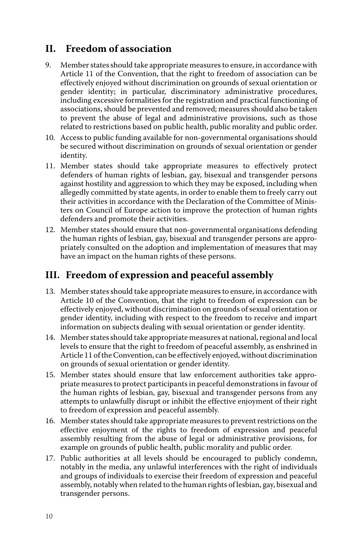### **II. Freedom of association**

- 9. Member states should take appropriate measures to ensure, in accordance with Article 11 of the Convention, that the right to freedom of association can be effectively enjoyed without discrimination on grounds of sexual orientation or gender identity; in particular, discriminatory administrative procedures, including excessive formalities for the registration and practical functioning of associations, should be prevented and removed; measures should also be taken to prevent the abuse of legal and administrative provisions, such as those related to restrictions based on public health, public morality and public order.
- 10. Access to public funding available for non-governmental organisations should be secured without discrimination on grounds of sexual orientation or gender identity.
- 11. Member states should take appropriate measures to effectively protect defenders of human rights of lesbian, gay, bisexual and transgender persons against hostility and aggression to which they may be exposed, including when allegedly committed by state agents, in order to enable them to freely carry out their activities in accordance with the Declaration of the Committee of Ministers on Council of Europe action to improve the protection of human rights defenders and promote their activities.
- 12. Member states should ensure that non-governmental organisations defending the human rights of lesbian, gay, bisexual and transgender persons are appropriately consulted on the adoption and implementation of measures that may have an impact on the human rights of these persons.

### **III. Freedom of expression and peaceful assembly**

- 13. Member states should take appropriate measures to ensure, in accordance with Article 10 of the Convention, that the right to freedom of expression can be effectively enjoyed, without discrimination on grounds of sexual orientation or gender identity, including with respect to the freedom to receive and impart information on subjects dealing with sexual orientation or gender identity.
- 14. Member states should take appropriate measures at national, regional and local levels to ensure that the right to freedom of peaceful assembly, as enshrined in Article 11 of the Convention, can be effectively enjoyed, without discrimination on grounds of sexual orientation or gender identity.
- 15. Member states should ensure that law enforcement authorities take appropriate measures to protect participants in peaceful demonstrations in favour of the human rights of lesbian, gay, bisexual and transgender persons from any attempts to unlawfully disrupt or inhibit the effective enjoyment of their right to freedom of expression and peaceful assembly.
- 16. Member states should take appropriate measures to prevent restrictions on the effective enjoyment of the rights to freedom of expression and peaceful assembly resulting from the abuse of legal or administrative provisions, for example on grounds of public health, public morality and public order.
- 17. Public authorities at all levels should be encouraged to publicly condemn, notably in the media, any unlawful interferences with the right of individuals and groups of individuals to exercise their freedom of expression and peaceful assembly, notably when related to the human rights of lesbian, gay, bisexual and transgender persons.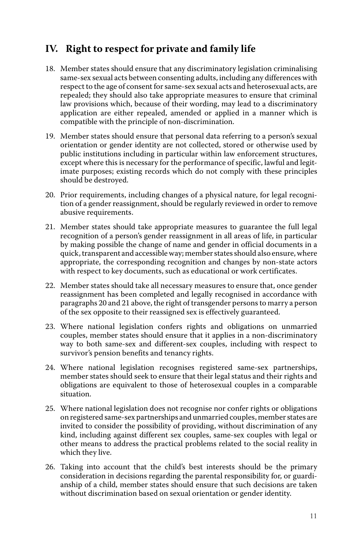### **IV. Right to respect for private and family life**

- 18. Member states should ensure that any discriminatory legislation criminalising same-sex sexual acts between consenting adults, including any differences with respect to the age of consent for same-sex sexual acts and heterosexual acts, are repealed; they should also take appropriate measures to ensure that criminal law provisions which, because of their wording, may lead to a discriminatory application are either repealed, amended or applied in a manner which is compatible with the principle of non-discrimination.
- 19. Member states should ensure that personal data referring to a person's sexual orientation or gender identity are not collected, stored or otherwise used by public institutions including in particular within law enforcement structures, except where this is necessary for the performance of specific, lawful and legitimate purposes; existing records which do not comply with these principles should be destroyed.
- 20. Prior requirements, including changes of a physical nature, for legal recognition of a gender reassignment, should be regularly reviewed in order to remove abusive requirements.
- 21. Member states should take appropriate measures to guarantee the full legal recognition of a person's gender reassignment in all areas of life, in particular by making possible the change of name and gender in official documents in a quick, transparent and accessible way; member states should also ensure, where appropriate, the corresponding recognition and changes by non-state actors with respect to key documents, such as educational or work certificates.
- 22. Member states should take all necessary measures to ensure that, once gender reassignment has been completed and legally recognised in accordance with paragraphs 20 and 21 above, the right of transgender persons to marry a person of the sex opposite to their reassigned sex is effectively guaranteed.
- 23. Where national legislation confers rights and obligations on unmarried couples, member states should ensure that it applies in a non-discriminatory way to both same-sex and different-sex couples, including with respect to survivor's pension benefits and tenancy rights.
- 24. Where national legislation recognises registered same-sex partnerships, member states should seek to ensure that their legal status and their rights and obligations are equivalent to those of heterosexual couples in a comparable situation.
- 25. Where national legislation does not recognise nor confer rights or obligations on registered same-sex partnerships and unmarried couples, member states are invited to consider the possibility of providing, without discrimination of any kind, including against different sex couples, same-sex couples with legal or other means to address the practical problems related to the social reality in which they live.
- 26. Taking into account that the child's best interests should be the primary consideration in decisions regarding the parental responsibility for, or guardianship of a child, member states should ensure that such decisions are taken without discrimination based on sexual orientation or gender identity.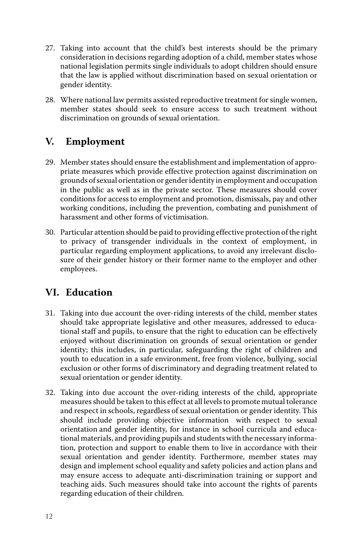- 27. Taking into account that the child's best interests should be the primary consideration in decisions regarding adoption of a child, member states whose national legislation permits single individuals to adopt children should ensure that the law is applied without discrimination based on sexual orientation or gender identity.
- 28. Where national law permits assisted reproductive treatment for single women, member states should seek to ensure access to such treatment without discrimination on grounds of sexual orientation.

### **V. Employment**

- 29. Member states should ensure the establishment and implementation of appropriate measures which provide effective protection against discrimination on grounds of sexual orientation or gender identity in employment and occupation in the public as well as in the private sector. These measures should cover conditions for access to employment and promotion, dismissals, pay and other working conditions, including the prevention, combating and punishment of harassment and other forms of victimisation.
- 30. Particular attention should be paid to providing effective protection of the right to privacy of transgender individuals in the context of employment, in particular regarding employment applications, to avoid any irrelevant disclosure of their gender history or their former name to the employer and other employees.

### **VI. Education**

- 31. Taking into due account the over-riding interests of the child, member states should take appropriate legislative and other measures, addressed to educational staff and pupils, to ensure that the right to education can be effectively enjoyed without discrimination on grounds of sexual orientation or gender identity; this includes, in particular, safeguarding the right of children and youth to education in a safe environment, free from violence, bullying, social exclusion or other forms of discriminatory and degrading treatment related to sexual orientation or gender identity.
- 32. Taking into due account the over-riding interests of the child, appropriate measures should be taken to this effect at all levels to promote mutual tolerance and respect in schools, regardless of sexual orientation or gender identity. This should include providing objective information with respect to sexual orientation and gender identity, for instance in school curricula and educational materials, and providing pupils and students with the necessary information, protection and support to enable them to live in accordance with their sexual orientation and gender identity. Furthermore, member states may design and implement school equality and safety policies and action plans and may ensure access to adequate anti-discrimination training or support and teaching aids. Such measures should take into account the rights of parents regarding education of their children.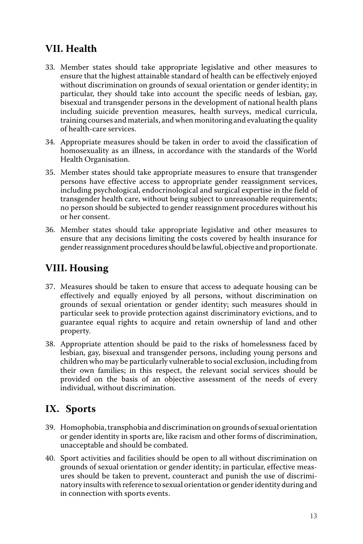# **VII. Health**

- 33. Member states should take appropriate legislative and other measures to ensure that the highest attainable standard of health can be effectively enjoyed without discrimination on grounds of sexual orientation or gender identity; in particular, they should take into account the specific needs of lesbian, gay, bisexual and transgender persons in the development of national health plans including suicide prevention measures, health surveys, medical curricula, training courses and materials, and when monitoring and evaluating the quality of health-care services.
- 34. Appropriate measures should be taken in order to avoid the classification of homosexuality as an illness, in accordance with the standards of the World Health Organisation.
- 35. Member states should take appropriate measures to ensure that transgender persons have effective access to appropriate gender reassignment services, including psychological, endocrinological and surgical expertise in the field of transgender health care, without being subject to unreasonable requirements; no person should be subjected to gender reassignment procedures without his or her consent.
- 36. Member states should take appropriate legislative and other measures to ensure that any decisions limiting the costs covered by health insurance for gender reassignment procedures should be lawful, objective and proportionate.

# **VIII. Housing**

- 37. Measures should be taken to ensure that access to adequate housing can be effectively and equally enjoyed by all persons, without discrimination on grounds of sexual orientation or gender identity; such measures should in particular seek to provide protection against discriminatory evictions, and to guarantee equal rights to acquire and retain ownership of land and other property.
- 38. Appropriate attention should be paid to the risks of homelessness faced by lesbian, gay, bisexual and transgender persons, including young persons and children who may be particularly vulnerable to social exclusion, including from their own families; in this respect, the relevant social services should be provided on the basis of an objective assessment of the needs of every individual, without discrimination.

### **IX. Sports**

- 39. Homophobia, transphobia and discrimination on grounds of sexual orientation or gender identity in sports are, like racism and other forms of discrimination, unacceptable and should be combated.
- 40. Sport activities and facilities should be open to all without discrimination on grounds of sexual orientation or gender identity; in particular, effective measures should be taken to prevent, counteract and punish the use of discriminatory insults with reference to sexual orientation or gender identity during and in connection with sports events.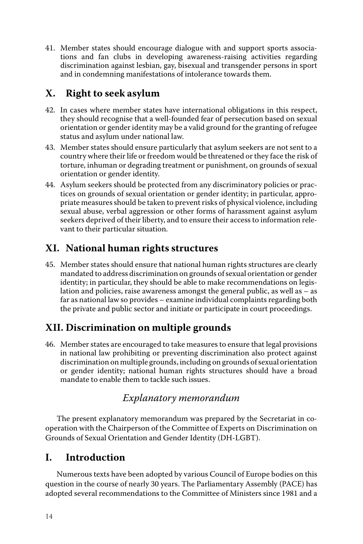41. Member states should encourage dialogue with and support sports associations and fan clubs in developing awareness-raising activities regarding discrimination against lesbian, gay, bisexual and transgender persons in sport and in condemning manifestations of intolerance towards them.

### **X. Right to seek asylum**

- 42. In cases where member states have international obligations in this respect, they should recognise that a well-founded fear of persecution based on sexual orientation or gender identity may be a valid ground for the granting of refugee status and asylum under national law.
- 43. Member states should ensure particularly that asylum seekers are not sent to a country where their life or freedom would be threatened or they face the risk of torture, inhuman or degrading treatment or punishment, on grounds of sexual orientation or gender identity.
- 44. Asylum seekers should be protected from any discriminatory policies or practices on grounds of sexual orientation or gender identity; in particular, appropriate measures should be taken to prevent risks of physical violence, including sexual abuse, verbal aggression or other forms of harassment against asylum seekers deprived of their liberty, and to ensure their access to information relevant to their particular situation.

# **XI. National human rights structures**

45. Member states should ensure that national human rights structures are clearly mandated to address discrimination on grounds of sexual orientation or gender identity; in particular, they should be able to make recommendations on legislation and policies, raise awareness amongst the general public, as well as – as far as national law so provides – examine individual complaints regarding both the private and public sector and initiate or participate in court proceedings.

# **XII. Discrimination on multiple grounds**

46. Member states are encouraged to take measures to ensure that legal provisions in national law prohibiting or preventing discrimination also protect against discrimination on multiple grounds, including on grounds of sexual orientation or gender identity; national human rights structures should have a broad mandate to enable them to tackle such issues.

### *Explanatory memorandum*

The present explanatory memorandum was prepared by the Secretariat in cooperation with the Chairperson of the Committee of Experts on Discrimination on Grounds of Sexual Orientation and Gender Identity (DH-LGBT).

### **I. Introduction**

Numerous texts have been adopted by various Council of Europe bodies on this question in the course of nearly 30 years. The Parliamentary Assembly (PACE) has adopted several recommendations to the Committee of Ministers since 1981 and a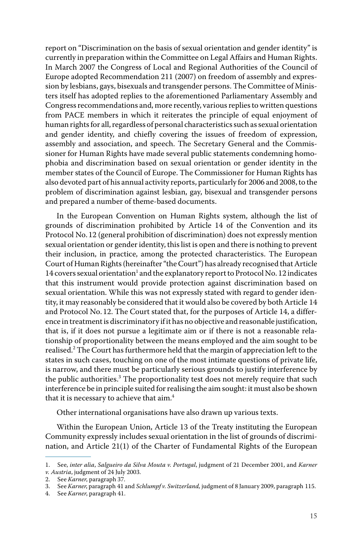report on "Discrimination on the basis of sexual orientation and gender identity" is currently in preparation within the Committee on Legal Affairs and Human Rights. In March 2007 the Congress of Local and Regional Authorities of the Council of Europe adopted Recommendation 211 (2007) on freedom of assembly and expression by lesbians, gays, bisexuals and transgender persons. The Committee of Ministers itself has adopted replies to the aforementioned Parliamentary Assembly and Congress recommendations and, more recently, various replies to written questions from PACE members in which it reiterates the principle of equal enjoyment of human rights for all, regardless of personal characteristics such as sexual orientation and gender identity, and chiefly covering the issues of freedom of expression, assembly and association, and speech. The Secretary General and the Commissioner for Human Rights have made several public statements condemning homophobia and discrimination based on sexual orientation or gender identity in the member states of the Council of Europe. The Commissioner for Human Rights has also devoted part of his annual activity reports, particularly for 2006 and 2008, to the problem of discrimination against lesbian, gay, bisexual and transgender persons and prepared a number of theme-based documents.

In the European Convention on Human Rights system, although the list of grounds of discrimination prohibited by Article 14 of the Convention and its Protocol No.12 (general prohibition of discrimination) does not expressly mention sexual orientation or gender identity, this list is open and there is nothing to prevent their inclusion, in practice, among the protected characteristics. The European Court of Human Rights (hereinafter "the Court") has already recognised that Article 14 covers sexual orientation<sup>1</sup> and the explanatory report to Protocol No. 12 indicates that this instrument would provide protection against discrimination based on sexual orientation. While this was not expressly stated with regard to gender identity, it may reasonably be considered that it would also be covered by both Article 14 and Protocol No. 12. The Court stated that, for the purposes of Article 14, a difference in treatment is discriminatory if it has no objective and reasonable justification, that is, if it does not pursue a legitimate aim or if there is not a reasonable relationship of proportionality between the means employed and the aim sought to be realised.<sup>2</sup> The Court has furthermore held that the margin of appreciation left to the states in such cases, touching on one of the most intimate questions of private life, is narrow, and there must be particularly serious grounds to justify interference by the public authorities.<sup>3</sup> The proportionality test does not merely require that such interference be in principle suited for realising the aim sought: it must also be shown that it is necessary to achieve that aim.<sup>4</sup>

Other international organisations have also drawn up various texts.

Within the European Union, Article 13 of the Treaty instituting the European Community expressly includes sexual orientation in the list of grounds of discrimination, and Article 21(1) of the Charter of Fundamental Rights of the European

<sup>1.</sup> See, *inter alia*, *Salgueiro da Silva Mouta v. Portugal*, judgment of 21 December 2001, and *Karner v. Austria*, judgment of 24 July 2003.

<sup>2.</sup> See *Karner*, paragraph 37.

<sup>3.</sup> See *Karner*, paragraph 41 and *Schlumpf v. Switzerland,* judgment of 8 January 2009, paragraph 115.

<sup>4.</sup> See *Karner*, paragraph 41.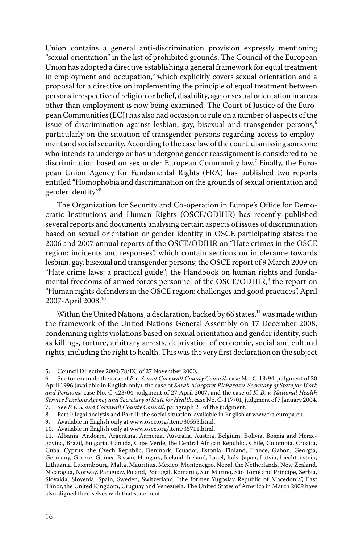Union contains a general anti-discrimination provision expressly mentioning "sexual orientation" in the list of prohibited grounds. The Council of the European Union has adopted a directive establishing a general framework for equal treatment in employment and occupation, $^5$  which explicitly covers sexual orientation and a proposal for a directive on implementing the principle of equal treatment between persons irrespective of religion or belief, disability, age or sexual orientation in areas other than employment is now being examined. The Court of Justice of the European Communities (ECJ) has also had occasion to rule on a number of aspects of the issue of discrimination against lesbian, gay, bisexual and transgender persons, $6\overline{6}$ particularly on the situation of transgender persons regarding access to employment and social security. According to the case law of the court, dismissing someone who intends to undergo or has undergone gender reassignment is considered to be discrimination based on sex under European Community law.<sup>7</sup> Finally, the European Union Agency for Fundamental Rights (FRA) has published two reports entitled "Homophobia and discrimination on the grounds of sexual orientation and gender identity".<sup>8</sup>

The Organization for Security and Co-operation in Europe's Office for Democratic Institutions and Human Rights (OSCE/ODIHR) has recently published several reports and documents analysing certain aspects of issues of discrimination based on sexual orientation or gender identity in OSCE participating states: the 2006 and 2007 annual reports of the OSCE/ODIHR on "Hate crimes in the OSCE region: incidents and responses", which contain sections on intolerance towards lesbian, gay, bisexual and transgender persons; the OSCE report of 9 March 2009 on "Hate crime laws: a practical guide"; the Handbook on human rights and fundamental freedoms of armed forces personnel of the OSCE/ODHIR, $^9$  the report on "Human rights defenders in the OSCE region: challenges and good practices", April 2007-April 2008.<sup>10</sup>

Within the United Nations, a declaration, backed by 66 states, $11$  was made within the framework of the United Nations General Assembly on 17 December 2008, condemning rights violations based on sexual orientation and gender identity, such as killings, torture, arbitrary arrests, deprivation of economic, social and cultural rights, including the right to health. This was the very first declaration on the subject

<sup>5.</sup> Council Directive 2000/78/EC of 27 November 2000.

<sup>6.</sup> See for example the case of *P. v. S. and Cornwall County Council,* case No. C-13/94, judgment of 30 April 1996 (available in English only), the case of *Sarah Margaret Richards v. Secretary of State for Work and Pensions,* case No. C-423/04, judgment of 27 April 2007, and the case of *K. B. v. National Health Service Pensions Agency and Secretary of State for Health*, case No. C-117/01, judgment of 7 January 2004.

<sup>7.</sup> See *P. v. S. and Cornwall County Council*, paragraph 21 of the judgment*.*

<sup>8.</sup> Part I: legal analysis and Part II: the social situation, available in English at www.fra.europa.eu.

<sup>9.</sup> Available in English only at www.osce.org/item/30553.html.

<sup>10.</sup> Available in English only at www.osce.org/item/35711.html.

<sup>11.</sup> Albania, Andorra, Argentina, Armenia, Australia, Austria, Belgium, Bolivia, Bosnia and Herzegovina, Brazil, Bulgaria, Canada, Cape Verde, the Central African Republic, Chile, Colombia, Croatia, Cuba, Cyprus, the Czech Republic, Denmark, Ecuador, Estonia, Finland, France, Gabon, Georgia, Germany, Greece, Guinea-Bissau, Hungary, Iceland, Ireland, Israel, Italy, Japan, Latvia, Liechtenstein, Lithuania, Luxembourg, Malta, Mauritius, Mexico, Montenegro, Nepal, the Netherlands, New Zealand, Nicaragua, Norway, Paraguay, Poland, Portugal, Romania, San Marino, São Tomé and Principe, Serbia, Slovakia, Slovenia, Spain, Sweden, Switzerland, "the former Yugoslav Republic of Macedonia", East Timor, the United Kingdom, Uruguay and Venezuela. The United States of America in March 2009 have also aligned themselves with that statement.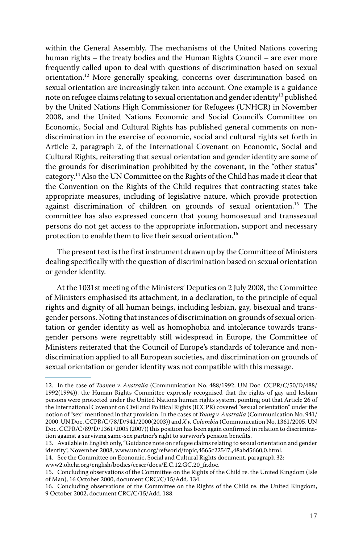within the General Assembly. The mechanisms of the United Nations covering human rights – the treaty bodies and the Human Rights Council – are ever more frequently called upon to deal with questions of discrimination based on sexual orientation.<sup>12</sup> More generally speaking, concerns over discrimination based on sexual orientation are increasingly taken into account. One example is a guidance note on refugee claims relating to sexual orientation and gender identity<sup>13</sup> published by the United Nations High Commissioner for Refugees (UNHCR) in November 2008, and the United Nations Economic and Social Council's Committee on Economic, Social and Cultural Rights has published general comments on nondiscrimination in the exercise of economic, social and cultural rights set forth in Article 2, paragraph 2, of the International Covenant on Economic, Social and Cultural Rights, reiterating that sexual orientation and gender identity are some of the grounds for discrimination prohibited by the covenant, in the "other status" category.<sup>14</sup> Also the UN Committee on the Rights of the Child has made it clear that the Convention on the Rights of the Child requires that contracting states take appropriate measures, including of legislative nature, which provide protection against discrimination of children on grounds of sexual orientation.<sup>15</sup> The committee has also expressed concern that young homosexual and transsexual persons do not get access to the appropriate information, support and necessary protection to enable them to live their sexual orientation.<sup>16</sup>

The present text is the first instrument drawn up by the Committee of Ministers dealing specifically with the question of discrimination based on sexual orientation or gender identity.

At the 1031st meeting of the Ministers' Deputies on 2 July 2008, the Committee of Ministers emphasised its attachment, in a declaration, to the principle of equal rights and dignity of all human beings, including lesbian, gay, bisexual and transgender persons. Noting that instances of discrimination on grounds of sexual orientation or gender identity as well as homophobia and intolerance towards transgender persons were regrettably still widespread in Europe, the Committee of Ministers reiterated that the Council of Europe's standards of tolerance and nondiscrimination applied to all European societies, and discrimination on grounds of sexual orientation or gender identity was not compatible with this message.

<sup>12.</sup> In the case of *Toonen v. Australia* (Communication No. 488/1992, UN Doc. CCPR/C/50/D/488/ 1992(1994)), the Human Rights Committee expressly recognised that the rights of gay and lesbian persons were protected under the United Nations human rights system, pointing out that Article 26 of the International Covenant on Civil and Political Rights (ICCPR) covered "sexual orientation" under the notion of "sex" mentioned in that provision. In the cases of *Young v. Australia* (Communication No. 941/ 2000, UN Doc. CCPR/C/78/D/941/2000(2003)) and *X v. Colombia* (Communication No. 1361/2005, UN Doc. CCPR/C/89/D/1361/2005 (2007)) this position has been again confirmed in relation to discrimination against a surviving same-sex partner's right to survivor's pension benefits.

<sup>13.</sup> Available in English only, "Guidance note on refugee claims relating to sexual orientation and gender identity", November 2008, www.unhcr.org/refworld/topic,4565c22547,,48abd5660,0.html.

<sup>14.</sup> See the Committee on Economic, Social and Cultural Rights document, paragraph 32:

www2.ohchr.org/english/bodies/cescr/docs/E.C.12.GC.20\_fr.doc.

<sup>15.</sup> Concluding observations of the Committee on the Rights of the Child re. the United Kingdom (Isle of Man), 16 October 2000, document CRC/C/15/Add. 134.

<sup>16.</sup> Concluding observations of the Committee on the Rights of the Child re. the United Kingdom, 9 October 2002, document CRC/C/15/Add. 188.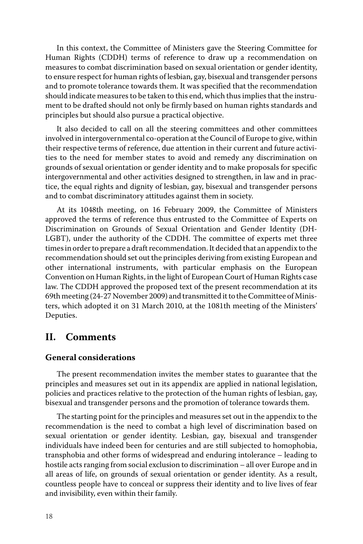In this context, the Committee of Ministers gave the Steering Committee for Human Rights (CDDH) terms of reference to draw up a recommendation on measures to combat discrimination based on sexual orientation or gender identity, to ensure respect for human rights of lesbian, gay, bisexual and transgender persons and to promote tolerance towards them. It was specified that the recommendation should indicate measures to be taken to this end, which thus implies that the instrument to be drafted should not only be firmly based on human rights standards and principles but should also pursue a practical objective.

It also decided to call on all the steering committees and other committees involved in intergovernmental co-operation at the Council of Europe to give, within their respective terms of reference, due attention in their current and future activities to the need for member states to avoid and remedy any discrimination on grounds of sexual orientation or gender identity and to make proposals for specific intergovernmental and other activities designed to strengthen, in law and in practice, the equal rights and dignity of lesbian, gay, bisexual and transgender persons and to combat discriminatory attitudes against them in society.

At its 1048th meeting, on 16 February 2009, the Committee of Ministers approved the terms of reference thus entrusted to the Committee of Experts on Discrimination on Grounds of Sexual Orientation and Gender Identity (DH-LGBT), under the authority of the CDDH. The committee of experts met three times in order to prepare a draft recommendation. It decided that an appendix to the recommendation should set out the principles deriving from existing European and other international instruments, with particular emphasis on the European Convention on Human Rights, in the light of European Court of Human Rights case law. The CDDH approved the proposed text of the present recommendation at its 69th meeting (24-27 November 2009) and transmitted it to the Committee of Ministers, which adopted it on 31 March 2010, at the 1081th meeting of the Ministers' Deputies.

#### **II. Comments**

#### **General considerations**

The present recommendation invites the member states to guarantee that the principles and measures set out in its appendix are applied in national legislation, policies and practices relative to the protection of the human rights of lesbian, gay, bisexual and transgender persons and the promotion of tolerance towards them.

The starting point for the principles and measures set out in the appendix to the recommendation is the need to combat a high level of discrimination based on sexual orientation or gender identity. Lesbian, gay, bisexual and transgender individuals have indeed been for centuries and are still subjected to homophobia, transphobia and other forms of widespread and enduring intolerance – leading to hostile acts ranging from social exclusion to discrimination – all over Europe and in all areas of life, on grounds of sexual orientation or gender identity. As a result, countless people have to conceal or suppress their identity and to live lives of fear and invisibility, even within their family.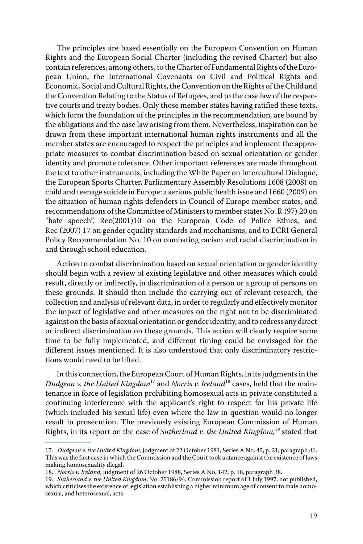The principles are based essentially on the European Convention on Human Rights and the European Social Charter (including the revised Charter) but also contain references, among others, to the Charter of Fundamental Rights of the European Union, the International Covenants on Civil and Political Rights and Economic, Social and Cultural Rights, the Convention on the Rights of the Child and the Convention Relating to the Status of Refugees, and to the case law of the respective courts and treaty bodies. Only those member states having ratified these texts, which form the foundation of the principles in the recommendation, are bound by the obligations and the case law arising from them. Nevertheless, inspiration can be drawn from these important international human rights instruments and all the member states are encouraged to respect the principles and implement the appropriate measures to combat discrimination based on sexual orientation or gender identity and promote tolerance. Other important references are made throughout the text to other instruments, including the White Paper on Intercultural Dialogue, the European Sports Charter, Parliamentary Assembly Resolutions 1608 (2008) on child and teenage suicide in Europe: a serious public health issue and 1660 (2009) on the situation of human rights defenders in Council of Europe member states, and recommendations of the Committee of Ministers to member states No. R (97) 20 on "hate speech", Rec(2001)10 on the European Code of Police Ethics, and Rec (2007) 17 on gender equality standards and mechanisms, and to ECRI General Policy Recommendation No. 10 on combating racism and racial discrimination in and through school education.

Action to combat discrimination based on sexual orientation or gender identity should begin with a review of existing legislative and other measures which could result, directly or indirectly, in discrimination of a person or a group of persons on these grounds. It should then include the carrying out of relevant research, the collection and analysis of relevant data, in order to regularly and effectively monitor the impact of legislative and other measures on the right not to be discriminated against on the basis of sexual orientation or gender identity, and to redress any direct or indirect discrimination on these grounds. This action will clearly require some time to be fully implemented, and different timing could be envisaged for the different issues mentioned. It is also understood that only discriminatory restrictions would need to be lifted.

In this connection, the European Court of Human Rights, in its judgments in the *Dudgeon v. the United Kingdom*<sup>17</sup> and *Norris v. Ireland*<sup>18</sup> cases, held that the maintenance in force of legislation prohibiting homosexual acts in private constituted a continuing interference with the applicant's right to respect for his private life (which included his sexual life) even where the law in question would no longer result in prosecution. The previously existing European Commission of Human Rights, in its report on the case of *Sutherland v. the United Kingdom,*<sup>19</sup> stated that

<sup>17.</sup> *Dudgeon v. the United Kingdom*, judgment of 22 October 1981, Series A No. 45, p. 21, paragraph 41. This was the first case in which the Commission and the Court took a stance against the existence of laws making homosexuality illegal.

<sup>18.</sup> *Norris v. Ireland*, judgment of 26 October 1988, Series A No. 142, p. 18, paragraph 38.

<sup>19.</sup> *Sutherland v. the United Kingdom*, No. 25186/94, Commission report of 1 July 1997, not published, which criticises the existence of legislation establishing a higher minimum age of consent to male homosexual, and heterosexual, acts.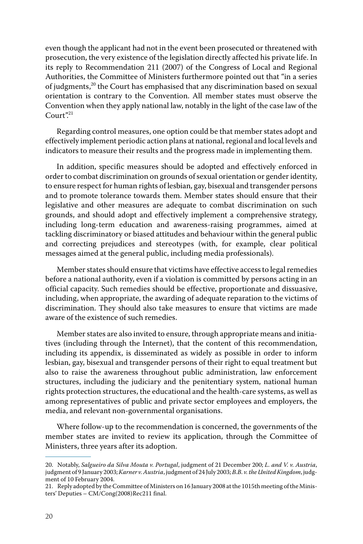even though the applicant had not in the event been prosecuted or threatened with prosecution, the very existence of the legislation directly affected his private life. In its reply to Recommendation 211 (2007) of the Congress of Local and Regional Authorities, the Committee of Ministers furthermore pointed out that "in a series of judgments,<sup>20</sup> the Court has emphasised that any discrimination based on sexual orientation is contrary to the Convention. All member states must observe the Convention when they apply national law, notably in the light of the case law of the Court".<sup>21</sup>

Regarding control measures, one option could be that member states adopt and effectively implement periodic action plans at national, regional and local levels and indicators to measure their results and the progress made in implementing them.

In addition, specific measures should be adopted and effectively enforced in order to combat discrimination on grounds of sexual orientation or gender identity, to ensure respect for human rights of lesbian, gay, bisexual and transgender persons and to promote tolerance towards them. Member states should ensure that their legislative and other measures are adequate to combat discrimination on such grounds, and should adopt and effectively implement a comprehensive strategy, including long-term education and awareness-raising programmes, aimed at tackling discriminatory or biased attitudes and behaviour within the general public and correcting prejudices and stereotypes (with, for example, clear political messages aimed at the general public, including media professionals).

Member states should ensure that victims have effective access to legal remedies before a national authority, even if a violation is committed by persons acting in an official capacity. Such remedies should be effective, proportionate and dissuasive, including, when appropriate, the awarding of adequate reparation to the victims of discrimination. They should also take measures to ensure that victims are made aware of the existence of such remedies.

Member states are also invited to ensure, through appropriate means and initiatives (including through the Internet), that the content of this recommendation, including its appendix, is disseminated as widely as possible in order to inform lesbian, gay, bisexual and transgender persons of their right to equal treatment but also to raise the awareness throughout public administration, law enforcement structures, including the judiciary and the penitentiary system, national human rights protection structures, the educational and the health-care systems, as well as among representatives of public and private sector employees and employers, the media, and relevant non-governmental organisations.

Where follow-up to the recommendation is concerned, the governments of the member states are invited to review its application, through the Committee of Ministers, three years after its adoption.

<sup>20.</sup> Notably, *Salgueiro da Silva Mouta v. Portugal*, judgment of 21 December 200; *L. and V. v. Austria*, judgment of 9 January 2003; *Karner v. Austria*, judgment of 24 July 2003; *B.B. v. the United Kingdom*, judgment of 10 February 2004.

<sup>21.</sup> Reply adopted by the Committee of Ministers on 16 January 2008 at the 1015th meeting of the Ministers' Deputies – CM/Cong(2008)Rec211 final.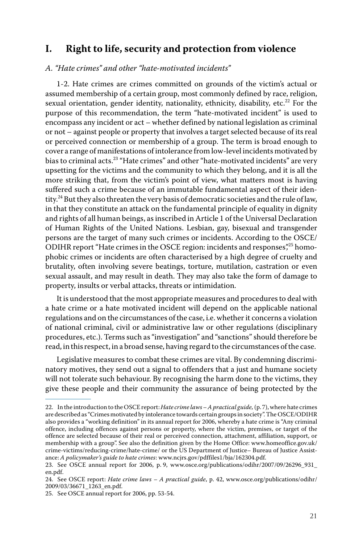#### **I. Right to life, security and protection from violence**

#### *A. "Hate crimes" and other "hate-motivated incidents"*

1-2. Hate crimes are crimes committed on grounds of the victim's actual or assumed membership of a certain group, most commonly defined by race, religion, sexual orientation, gender identity, nationality, ethnicity, disability, etc.<sup>22</sup> For the purpose of this recommendation, the term "hate-motivated incident" is used to encompass any incident or act – whether defined by national legislation as criminal or not – against people or property that involves a target selected because of its real or perceived connection or membership of a group. The term is broad enough to cover a range of manifestations of intolerance from low-level incidents motivated by bias to criminal acts.<sup>23</sup> "Hate crimes" and other "hate-motivated incidents" are very upsetting for the victims and the community to which they belong, and it is all the more striking that, from the victim's point of view, what matters most is having suffered such a crime because of an immutable fundamental aspect of their identity.<sup>24</sup> But they also threaten the very basis of democratic societies and the rule of law, in that they constitute an attack on the fundamental principle of equality in dignity and rights of all human beings, as inscribed in Article 1 of the Universal Declaration of Human Rights of the United Nations. Lesbian, gay, bisexual and transgender persons are the target of many such crimes or incidents. According to the OSCE/ ODIHR report "Hate crimes in the OSCE region: incidents and responses*",*<sup>25</sup> homophobic crimes or incidents are often characterised by a high degree of cruelty and brutality, often involving severe beatings, torture, mutilation, castration or even sexual assault, and may result in death. They may also take the form of damage to property, insults or verbal attacks, threats or intimidation.

It is understood that the most appropriate measures and procedures to deal with a hate crime or a hate motivated incident will depend on the applicable national regulations and on the circumstances of the case, i.e. whether it concerns a violation of national criminal, civil or administrative law or other regulations (disciplinary procedures, etc.). Terms such as "investigation" and "sanctions" should therefore be read, in this respect, in a broad sense, having regard to the circumstances of the case.

Legislative measures to combat these crimes are vital. By condemning discriminatory motives, they send out a signal to offenders that a just and humane society will not tolerate such behaviour. By recognising the harm done to the victims, they give these people and their community the assurance of being protected by the

<sup>22.</sup> In the introduction to the OSCE report: *Hate crime laws – A practical guide,* (p. 7), where hate crimes are described as "Crimes motivated by intolerance towards certain groups in society". The OSCE/ODIHR also provides a "working definition" in its annual report for 2006, whereby a hate crime is "Any criminal offence, including offences against persons or property, where the victim, premises, or target of the offence are selected because of their real or perceived connection, attachment, affiliation, support, or membership with a group". See also the definition given by the Home Office: www.homeoffice.gov.uk/ crime-victims/reducing-crime/hate-crime/ or the US Department of Justice– Bureau of Justice Assistance: *A policymaker's guide to hate crimes*: www.ncjrs.gov/pdffiles1/bja/162304.pdf.

<sup>23.</sup> See OSCE annual report for 2006, p. 9, www.osce.org/publications/odihr/2007/09/26296\_931\_ en.pdf.

<sup>24.</sup> See OSCE report: *Hate crime laws – A practical guide*, p. 42, www.osce.org/publications/odihr/ 2009/03/36671\_1263\_en.pdf.

<sup>25.</sup> See OSCE annual report for 2006, pp. 53-54.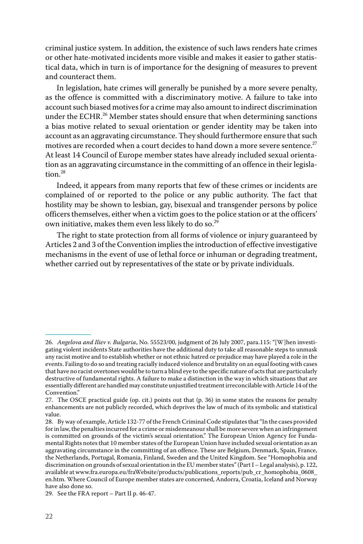criminal justice system. In addition, the existence of such laws renders hate crimes or other hate-motivated incidents more visible and makes it easier to gather statistical data, which in turn is of importance for the designing of measures to prevent and counteract them.

In legislation, hate crimes will generally be punished by a more severe penalty, as the offence is committed with a discriminatory motive. A failure to take into account such biased motives for a crime may also amount to indirect discrimination under the ECHR.<sup>26</sup> Member states should ensure that when determining sanctions a bias motive related to sexual orientation or gender identity may be taken into account as an aggravating circumstance. They should furthermore ensure that such motives are recorded when a court decides to hand down a more severe sentence.<sup>27</sup> At least 14 Council of Europe member states have already included sexual orientation as an aggravating circumstance in the committing of an offence in their legislation.<sup>28</sup>

Indeed, it appears from many reports that few of these crimes or incidents are complained of or reported to the police or any public authority. The fact that hostility may be shown to lesbian, gay, bisexual and transgender persons by police officers themselves, either when a victim goes to the police station or at the officers' own initiative, makes them even less likely to do so.<sup>29</sup>

The right to state protection from all forms of violence or injury guaranteed by Articles 2 and 3 of the Convention implies the introduction of effective investigative mechanisms in the event of use of lethal force or inhuman or degrading treatment, whether carried out by representatives of the state or by private individuals.

<sup>26.</sup> *Angelova and Iliev v. Bulgaria*, No. 55523/00, judgment of 26 July 2007, para.115: "[W]hen investigating violent incidents State authorities have the additional duty to take all reasonable steps to unmask any racist motive and to establish whether or not ethnic hatred or prejudice may have played a role in the events. Failing to do so and treating racially induced violence and brutality on an equal footing with cases that have no racist overtones would be to turn a blind eye to the specific nature of acts that are particularly destructive of fundamental rights. A failure to make a distinction in the way in which situations that are essentially different are handled may constitute unjustified treatment irreconcilable with Article 14 of the Convention."

<sup>27.</sup> The OSCE practical guide (op. cit.) points out that (p. 36) in some states the reasons for penalty enhancements are not publicly recorded, which deprives the law of much of its symbolic and statistical value.

<sup>28.</sup> By way of example, Article 132-77 of the French Criminal Code stipulates that"In the cases provided for in law, the penalties incurred for a crime or misdemeanour shall be more severe when an infringement is committed on grounds of the victim's sexual orientation." The European Union Agency for Fundamental Rights notes that 10 member states of the European Union have included sexual orientation as an aggravating circumstance in the committing of an offence. These are Belgium, Denmark, Spain, France, the Netherlands, Portugal, Romania, Finland, Sweden and the United Kingdom. See "Homophobia and discrimination on grounds of sexual orientation in the EU member states" (Part I – Legal analysis), p. 122, available at www.fra.europa.eu/fraWebsite/products/publications\_reports/pub\_cr\_homophobia\_0608\_ en.htm. Where Council of Europe member states are concerned, Andorra, Croatia, Iceland and Norway have also done so.

<sup>29.</sup> See the FRA report – Part II p. 46-47.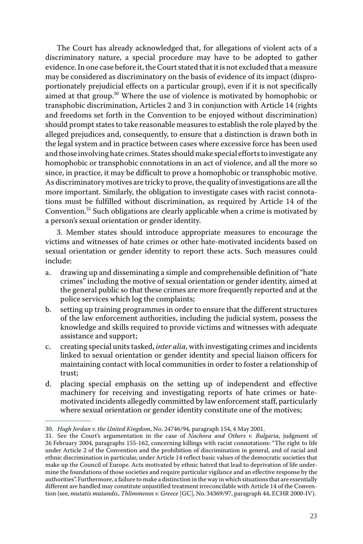The Court has already acknowledged that, for allegations of violent acts of a discriminatory nature, a special procedure may have to be adopted to gather evidence. In one case before it, the Court stated that it is not excluded that a measure may be considered as discriminatory on the basis of evidence of its impact (disproportionately prejudicial effects on a particular group), even if it is not specifically aimed at that group.<sup>30</sup> Where the use of violence is motivated by homophobic or transphobic discrimination, Articles 2 and 3 in conjunction with Article 14 (rights and freedoms set forth in the Convention to be enjoyed without discrimination) should prompt states to take reasonable measures to establish the role played by the alleged prejudices and, consequently, to ensure that a distinction is drawn both in the legal system and in practice between cases where excessive force has been used and those involving hate crimes. States should make special efforts to investigate any homophobic or transphobic connotations in an act of violence, and all the more so since, in practice, it may be difficult to prove a homophobic or transphobic motive. As discriminatory motives are tricky to prove, the quality of investigations are all the more important. Similarly, the obligation to investigate cases with racist connotations must be fulfilled without discrimination, as required by Article 14 of the Convention.<sup>31</sup> Such obligations are clearly applicable when a crime is motivated by a person's sexual orientation or gender identity.

3. Member states should introduce appropriate measures to encourage the victims and witnesses of hate crimes or other hate-motivated incidents based on sexual orientation or gender identity to report these acts. Such measures could include:

- a. drawing up and disseminating a simple and comprehensible definition of "hate crimes" including the motive of sexual orientation or gender identity, aimed at the general public so that these crimes are more frequently reported and at the police services which log the complaints;
- b. setting up training programmes in order to ensure that the different structures of the law enforcement authorities, including the judicial system, possess the knowledge and skills required to provide victims and witnesses with adequate assistance and support;
- c. creating special units tasked, *inter alia,* with investigating crimes and incidents linked to sexual orientation or gender identity and special liaison officers for maintaining contact with local communities in order to foster a relationship of trust;
- d. placing special emphasis on the setting up of independent and effective machinery for receiving and investigating reports of hate crimes or hatemotivated incidents allegedly committed by law enforcement staff, particularly where sexual orientation or gender identity constitute one of the motives;

<sup>30.</sup> *Hugh Jordan v. the United Kingdom*, No. 24746/94, paragraph 154, 4 May 2001.

<sup>31.</sup> See the Court's argumentation in the case of *Nachova and Others v. Bulgaria*, judgment of 26 February 2004, paragraphs 155-162, concerning killings with racist connotations: "The right to life under Article 2 of the Convention and the prohibition of discrimination in general, and of racial and ethnic discrimination in particular, under Article 14 reflect basic values of the democratic societies that make up the Council of Europe. Acts motivated by ethnic hatred that lead to deprivation of life undermine the foundations of those societies and require particular vigilance and an effective response by the authorities". Furthermore, a failure to make a distinction in the way in which situations that are essentially different are handled may constitute unjustified treatment irreconcilable with Article 14 of the Convention (see, *mutatis mutandis*, *Thlimmenos v. Greece* [GC], No.. 34369/97, paragraph 44, ECHR 2000-IV).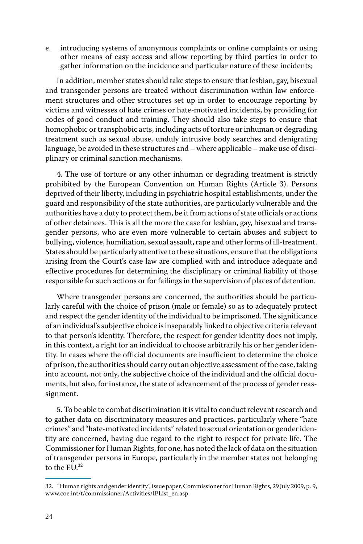e. introducing systems of anonymous complaints or online complaints or using other means of easy access and allow reporting by third parties in order to gather information on the incidence and particular nature of these incidents;

In addition, member states should take steps to ensure that lesbian, gay, bisexual and transgender persons are treated without discrimination within law enforcement structures and other structures set up in order to encourage reporting by victims and witnesses of hate crimes or hate-motivated incidents, by providing for codes of good conduct and training. They should also take steps to ensure that homophobic or transphobic acts, including acts of torture or inhuman or degrading treatment such as sexual abuse, unduly intrusive body searches and denigrating language, be avoided in these structures and – where applicable – make use of disciplinary or criminal sanction mechanisms.

4. The use of torture or any other inhuman or degrading treatment is strictly prohibited by the European Convention on Human Rights (Article 3). Persons deprived of their liberty, including in psychiatric hospital establishments, under the guard and responsibility of the state authorities, are particularly vulnerable and the authorities have a duty to protect them, be it from actions of state officials or actions of other detainees. This is all the more the case for lesbian, gay, bisexual and transgender persons, who are even more vulnerable to certain abuses and subject to bullying, violence, humiliation, sexual assault, rape and other forms of ill-treatment. States should be particularly attentive to these situations, ensure that the obligations arising from the Court's case law are complied with and introduce adequate and effective procedures for determining the disciplinary or criminal liability of those responsible for such actions or for failings in the supervision of places of detention.

Where transgender persons are concerned, the authorities should be particularly careful with the choice of prison (male or female) so as to adequately protect and respect the gender identity of the individual to be imprisoned. The significance of an individual's subjective choice is inseparably linked to objective criteria relevant to that person's identity. Therefore, the respect for gender identity does not imply, in this context, a right for an individual to choose arbitrarily his or her gender identity. In cases where the official documents are insufficient to determine the choice of prison, the authorities should carry out an objective assessment of the case, taking into account, not only, the subjective choice of the individual and the official documents, but also, for instance, the state of advancement of the process of gender reassignment.

5. To be able to combat discrimination it is vital to conduct relevant research and to gather data on discriminatory measures and practices, particularly where "hate crimes" and "hate-motivated incidents" related to sexual orientation or gender identity are concerned, having due regard to the right to respect for private life. The Commissioner for Human Rights, for one, has noted the lack of data on the situation of transgender persons in Europe, particularly in the member states not belonging to the EU.<sup>32</sup>

<sup>32. &</sup>quot;Human rights and gender identity", issue paper, Commissioner for Human Rights, 29 July 2009, p. 9, www.coe.int/t/commissioner/Activities/IPList\_en.asp.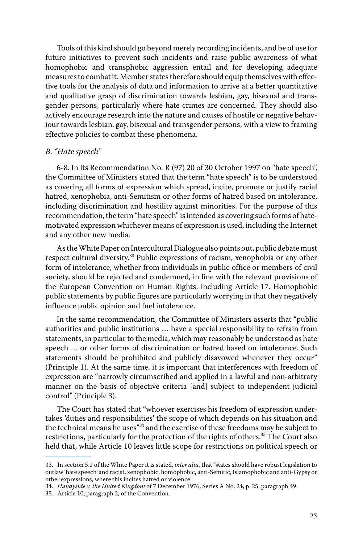Tools of this kind should go beyond merely recording incidents, and be of use for future initiatives to prevent such incidents and raise public awareness of what homophobic and transphobic aggression entail and for developing adequate measures to combat it. Member states therefore should equip themselves with effective tools for the analysis of data and information to arrive at a better quantitative and qualitative grasp of discrimination towards lesbian, gay, bisexual and transgender persons, particularly where hate crimes are concerned. They should also actively encourage research into the nature and causes of hostile or negative behaviour towards lesbian, gay, bisexual and transgender persons, with a view to framing effective policies to combat these phenomena.

#### *B. "Hate speech"*

6-8. In its Recommendation No. R (97) 20 of 30 October 1997 on "hate speech", the Committee of Ministers stated that the term "hate speech" is to be understood as covering all forms of expression which spread, incite, promote or justify racial hatred, xenophobia, anti-Semitism or other forms of hatred based on intolerance, including discrimination and hostility against minorities. For the purpose of this recommendation, the term "hate speech" is intended as covering such forms of hatemotivated expression whichever means of expression is used, including the Internet and any other new media.

As the White Paper on Intercultural Dialogue also points out, public debate must respect cultural diversity.<sup>33</sup> Public expressions of racism, xenophobia or any other form of intolerance, whether from individuals in public office or members of civil society, should be rejected and condemned, in line with the relevant provisions of the European Convention on Human Rights, including Article 17. Homophobic public statements by public figures are particularly worrying in that they negatively influence public opinion and fuel intolerance.

In the same recommendation, the Committee of Ministers asserts that "public authorities and public institutions … have a special responsibility to refrain from statements, in particular to the media, which may reasonably be understood as hate speech … or other forms of discrimination or hatred based on intolerance. Such statements should be prohibited and publicly disavowed whenever they occur" (Principle 1). At the same time, it is important that interferences with freedom of expression are "narrowly circumscribed and applied in a lawful and non-arbitrary manner on the basis of objective criteria [and] subject to independent judicial control" (Principle 3).

The Court has stated that "whoever exercises his freedom of expression undertakes 'duties and responsibilities' the scope of which depends on his situation and the technical means he uses"<sup>34</sup> and the exercise of these freedoms may be subject to restrictions, particularly for the protection of the rights of others.<sup>35</sup> The Court also held that, while Article 10 leaves little scope for restrictions on political speech or

<sup>33.</sup> In section 5.1 of the White Paper it is stated, *inter alia*, that "states should have robust legislation to outlaw 'hate speech' and racist, xenophobic, homophobic, anti-Semitic, Islamophobic and anti-Gypsy or other expressions, where this incites hatred or violence".

<sup>34.</sup> *Handyside v. the United Kingdom* of 7 December 1976, Series A No. 24, p. 25, paragraph 49.

<sup>35.</sup> Article 10, paragraph 2, of the Convention.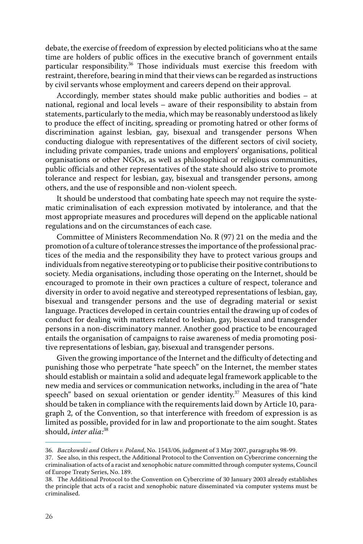debate, the exercise of freedom of expression by elected politicians who at the same time are holders of public offices in the executive branch of government entails particular responsibility.<sup>36</sup> Those individuals must exercise this freedom with restraint, therefore, bearing in mind that their views can be regarded as instructions by civil servants whose employment and careers depend on their approval.

Accordingly, member states should make public authorities and bodies – at national, regional and local levels – aware of their responsibility to abstain from statements, particularly to the media, which may be reasonably understood as likely to produce the effect of inciting, spreading or promoting hatred or other forms of discrimination against lesbian, gay, bisexual and transgender persons When conducting dialogue with representatives of the different sectors of civil society, including private companies, trade unions and employers' organisations, political organisations or other NGOs, as well as philosophical or religious communities, public officials and other representatives of the state should also strive to promote tolerance and respect for lesbian, gay, bisexual and transgender persons, among others, and the use of responsible and non-violent speech.

It should be understood that combating hate speech may not require the systematic criminalisation of each expression motivated by intolerance, and that the most appropriate measures and procedures will depend on the applicable national regulations and on the circumstances of each case.

Committee of Ministers Recommendation No. R (97) 21 on the media and the promotion of a culture of tolerance stresses the importance of the professional practices of the media and the responsibility they have to protect various groups and individuals from negative stereotyping or to publicise their positive contributions to society. Media organisations, including those operating on the Internet, should be encouraged to promote in their own practices a culture of respect, tolerance and diversity in order to avoid negative and stereotyped representations of lesbian, gay, bisexual and transgender persons and the use of degrading material or sexist language. Practices developed in certain countries entail the drawing up of codes of conduct for dealing with matters related to lesbian, gay, bisexual and transgender persons in a non-discriminatory manner. Another good practice to be encouraged entails the organisation of campaigns to raise awareness of media promoting positive representations of lesbian, gay, bisexual and transgender persons.

Given the growing importance of the Internet and the difficulty of detecting and punishing those who perpetrate "hate speech" on the Internet, the member states should establish or maintain a solid and adequate legal framework applicable to the new media and services or communication networks, including in the area of "hate speech" based on sexual orientation or gender identity.<sup>37</sup> Measures of this kind should be taken in compliance with the requirements laid down by Article 10, paragraph 2, of the Convention, so that interference with freedom of expression is as limited as possible, provided for in law and proportionate to the aim sought. States should, *inter alia:*<sup>38</sup>

<sup>36.</sup> *Baczkowski and Others v. Poland*, No. 1543/06, judgment of 3 May 2007, paragraphs 98-99.

<sup>37.</sup> See also, in this respect, the Additional Protocol to the Convention on Cybercrime concerning the criminalisation of acts of a racist and xenophobic nature committed through computer systems, Council of Europe Treaty Series, No. 189.

<sup>38.</sup> The Additional Protocol to the Convention on Cybercrime of 30 January 2003 already establishes the principle that acts of a racist and xenophobic nature disseminated via computer systems must be criminalised.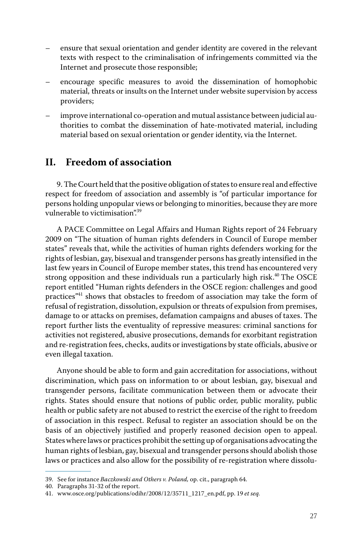- ensure that sexual orientation and gender identity are covered in the relevant texts with respect to the criminalisation of infringements committed via the Internet and prosecute those responsible;
- encourage specific measures to avoid the dissemination of homophobic material, threats or insults on the Internet under website supervision by access providers;
- improve international co-operation and mutual assistance between judicial authorities to combat the dissemination of hate-motivated material, including material based on sexual orientation or gender identity, via the Internet.

#### **II. Freedom of association**

9. The Court held that the positive obligation of states to ensure real and effective respect for freedom of association and assembly is "of particular importance for persons holding unpopular views or belonging to minorities, because they are more vulnerable to victimisation".<sup>39</sup>

A PACE Committee on Legal Affairs and Human Rights report of 24 February 2009 on "The situation of human rights defenders in Council of Europe member states" reveals that, while the activities of human rights defenders working for the rights of lesbian, gay, bisexual and transgender persons has greatly intensified in the last few years in Council of Europe member states, this trend has encountered very strong opposition and these individuals run a particularly high risk.<sup>40</sup> The OSCE report entitled "Human rights defenders in the OSCE region: challenges and good practices<sup>"41</sup> shows that obstacles to freedom of association may take the form of refusal of registration, dissolution, expulsion or threats of expulsion from premises, damage to or attacks on premises, defamation campaigns and abuses of taxes. The report further lists the eventuality of repressive measures: criminal sanctions for activities not registered, abusive prosecutions, demands for exorbitant registration and re-registration fees, checks, audits or investigations by state officials, abusive or even illegal taxation.

Anyone should be able to form and gain accreditation for associations, without discrimination, which pass on information to or about lesbian, gay, bisexual and transgender persons, facilitate communication between them or advocate their rights. States should ensure that notions of public order, public morality, public health or public safety are not abused to restrict the exercise of the right to freedom of association in this respect. Refusal to register an association should be on the basis of an objectively justified and properly reasoned decision open to appeal. States where laws or practices prohibit the setting up of organisations advocating the human rights of lesbian, gay, bisexual and transgender persons should abolish those laws or practices and also allow for the possibility of re-registration where dissolu-

<sup>39.</sup> See for instance *Baczkowski and Others v. Poland,* op. cit., paragraph 64.

<sup>40.</sup> Paragraphs 31-32 of the report.

<sup>41.</sup> www.osce.org/publications/odihr/2008/12/35711\_1217\_en.pdf, pp. 19 *et seq.*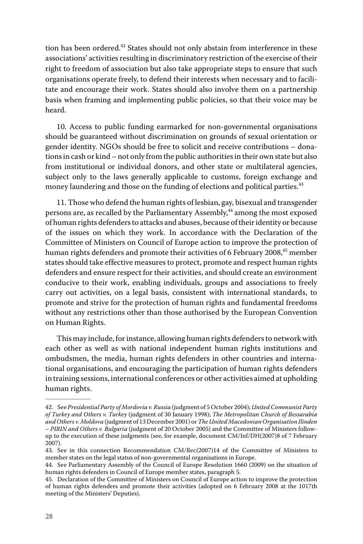tion has been ordered. $42$  States should not only abstain from interference in these associations' activities resulting in discriminatory restriction of the exercise of their right to freedom of association but also take appropriate steps to ensure that such organisations operate freely, to defend their interests when necessary and to facilitate and encourage their work. States should also involve them on a partnership basis when framing and implementing public policies, so that their voice may be heard.

10. Access to public funding earmarked for non-governmental organisations should be guaranteed without discrimination on grounds of sexual orientation or gender identity. NGOs should be free to solicit and receive contributions – donations in cash or kind – not only from the public authorities in their own state but also from institutional or individual donors, and other state or multilateral agencies, subject only to the laws generally applicable to customs, foreign exchange and money laundering and those on the funding of elections and political parties.<sup>43</sup>

11. Those who defend the human rights of lesbian, gay, bisexual and transgender persons are, as recalled by the Parliamentary Assembly,<sup>44</sup> among the most exposed of human rights defenders to attacks and abuses, because of their identity or because of the issues on which they work. In accordance with the Declaration of the Committee of Ministers on Council of Europe action to improve the protection of human rights defenders and promote their activities of 6 February 2008,<sup>45</sup> member states should take effective measures to protect, promote and respect human rights defenders and ensure respect for their activities, and should create an environment conducive to their work, enabling individuals, groups and associations to freely carry out activities, on a legal basis, consistent with international standards, to promote and strive for the protection of human rights and fundamental freedoms without any restrictions other than those authorised by the European Convention on Human Rights.

This may include, for instance, allowing human rights defenders to network with each other as well as with national independent human rights institutions and ombudsmen, the media, human rights defenders in other countries and international organisations, and encouraging the participation of human rights defenders in training sessions, international conferences or other activities aimed at upholding human rights.

<sup>42.</sup> See *Presidential Party of Mordovia v. Russia* (judgment of 5 October 2004); *United Communist Party of Turkey and Others v. Turkey* (judgment of 30 January 1998); *The Metropolitan Church of Bessarabia and Others v. Moldova* (judgment of 13 December 2001) or *The United Macedonian Organisation Ilinden – PIRIN and Others v. Bulgaria* (judgment of 20 October 2005) and the Committee of Ministers followup to the execution of these judgments (see, for example, document CM/Inf/DH(2007)8 of 7 February 2007).

<sup>43.</sup> See in this connection Recommendation CM/Rec(2007)14 of the Committee of Ministers to member states on the legal status of non-governmental organisations in Europe.

<sup>44.</sup> See Parliamentary Assembly of the Council of Europe Resolution 1660 (2009) on the situation of human rights defenders in Council of Europe member states, paragraph 5.

<sup>45.</sup> Declaration of the Committee of Ministers on Council of Europe action to improve the protection of human rights defenders and promote their activities (adopted on 6 February 2008 at the 1017th meeting of the Ministers' Deputies).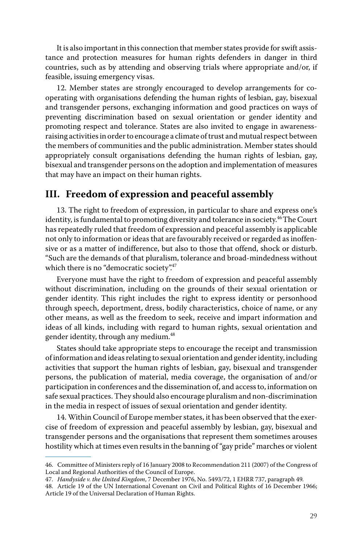It is also important in this connection that member states provide for swift assistance and protection measures for human rights defenders in danger in third countries, such as by attending and observing trials where appropriate and/or, if feasible, issuing emergency visas.

12. Member states are strongly encouraged to develop arrangements for cooperating with organisations defending the human rights of lesbian, gay, bisexual and transgender persons, exchanging information and good practices on ways of preventing discrimination based on sexual orientation or gender identity and promoting respect and tolerance. States are also invited to engage in awarenessraising activities in order to encourage a climate of trust and mutual respect between the members of communities and the public administration. Member states should appropriately consult organisations defending the human rights of lesbian, gay, bisexual and transgender persons on the adoption and implementation of measures that may have an impact on their human rights.

#### **III. Freedom of expression and peaceful assembly**

13. The right to freedom of expression, in particular to share and express one's identity, is fundamental to promoting diversity and tolerance in society.<sup>46</sup>The Court has repeatedly ruled that freedom of expression and peaceful assembly is applicable not only to information or ideas that are favourably received or regarded as inoffensive or as a matter of indifference, but also to those that offend, shock or disturb. "Such are the demands of that pluralism, tolerance and broad-mindedness without which there is no "democratic society".<sup>47</sup>

Everyone must have the right to freedom of expression and peaceful assembly without discrimination, including on the grounds of their sexual orientation or gender identity. This right includes the right to express identity or personhood through speech, deportment, dress, bodily characteristics, choice of name, or any other means, as well as the freedom to seek, receive and impart information and ideas of all kinds, including with regard to human rights, sexual orientation and gender identity, through any medium.<sup>48</sup>

States should take appropriate steps to encourage the receipt and transmission of information and ideas relating to sexual orientation and gender identity, including activities that support the human rights of lesbian, gay, bisexual and transgender persons, the publication of material, media coverage, the organisation of and/or participation in conferences and the dissemination of, and access to, information on safe sexual practices. They should also encourage pluralism and non-discrimination in the media in respect of issues of sexual orientation and gender identity.

14. Within Council of Europe member states, it has been observed that the exercise of freedom of expression and peaceful assembly by lesbian, gay, bisexual and transgender persons and the organisations that represent them sometimes arouses hostility which at times even results in the banning of "gay pride" marches or violent

<sup>46.</sup> Committee of Ministers reply of 16 January 2008 to Recommendation 211 (2007) of the Congress of Local and Regional Authorities of the Council of Europe.

<sup>47.</sup> *Handyside v. the United Kingdom*, 7 December 1976, No. 5493/72, 1 EHRR 737, paragraph 49*.*

<sup>48.</sup> Article 19 of the UN International Covenant on Civil and Political Rights of 16 December 1966; Article 19 of the Universal Declaration of Human Rights.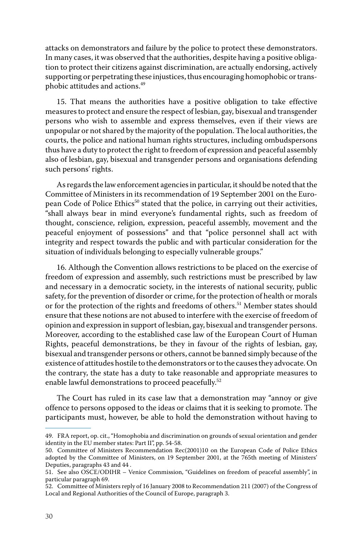attacks on demonstrators and failure by the police to protect these demonstrators. In many cases, it was observed that the authorities, despite having a positive obligation to protect their citizens against discrimination, are actually endorsing, actively supporting or perpetrating these injustices, thus encouraging homophobic or transphobic attitudes and actions.<sup>49</sup>

15. That means the authorities have a positive obligation to take effective measures to protect and ensure the respect of lesbian, gay, bisexual and transgender persons who wish to assemble and express themselves, even if their views are unpopular or not shared by the majority of the population. The local authorities, the courts, the police and national human rights structures, including ombudspersons thus have a duty to protect the right to freedom of expression and peaceful assembly also of lesbian, gay, bisexual and transgender persons and organisations defending such persons' rights.

As regards the law enforcement agencies in particular, it should be noted that the Committee of Ministers in its recommendation of 19 September 2001 on the European Code of Police Ethics<sup>50</sup> stated that the police, in carrying out their activities, "shall always bear in mind everyone's fundamental rights, such as freedom of thought, conscience, religion, expression, peaceful assembly, movement and the peaceful enjoyment of possessions" and that "police personnel shall act with integrity and respect towards the public and with particular consideration for the situation of individuals belonging to especially vulnerable groups."

16. Although the Convention allows restrictions to be placed on the exercise of freedom of expression and assembly, such restrictions must be prescribed by law and necessary in a democratic society, in the interests of national security, public safety, for the prevention of disorder or crime, for the protection of health or morals or for the protection of the rights and freedoms of others.<sup>51</sup> Member states should ensure that these notions are not abused to interfere with the exercise of freedom of opinion and expression in support of lesbian, gay, bisexual and transgender persons. Moreover, according to the established case law of the European Court of Human Rights, peaceful demonstrations, be they in favour of the rights of lesbian, gay, bisexual and transgender persons or others, cannot be banned simply because of the existence of attitudes hostile to the demonstrators or to the causes they advocate. On the contrary, the state has a duty to take reasonable and appropriate measures to enable lawful demonstrations to proceed peacefully.<sup>52</sup>

The Court has ruled in its case law that a demonstration may "annoy or give offence to persons opposed to the ideas or claims that it is seeking to promote. The participants must, however, be able to hold the demonstration without having to

<sup>49.</sup> FRA report, op. cit., "Homophobia and discrimination on grounds of sexual orientation and gender identity in the EU member states: Part II", pp. 54-58.

<sup>50.</sup> Committee of Ministers Recommendation Rec(2001)10 on the European Code of Police Ethics adopted by the Committee of Ministers, on 19 September 2001, at the 765th meeting of Ministers' Deputies, paragraphs 43 and 44 .

<sup>51.</sup> See also OSCE/ODIHR – Venice Commission, "Guidelines on freedom of peaceful assembly", in particular paragraph 69.

<sup>52.</sup> Committee of Ministers reply of 16 January 2008 to Recommendation 211 (2007) of the Congress of Local and Regional Authorities of the Council of Europe, paragraph 3.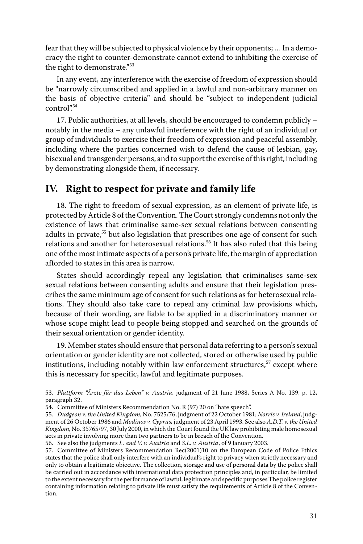fear that they will be subjected to physical violence by their opponents; … In a democracy the right to counter-demonstrate cannot extend to inhibiting the exercise of the right to demonstrate."<sup>53</sup>

In any event, any interference with the exercise of freedom of expression should be "narrowly circumscribed and applied in a lawful and non-arbitrary manner on the basis of objective criteria" and should be "subject to independent judicial  $control<sup>954</sup>$ 

17. Public authorities, at all levels, should be encouraged to condemn publicly – notably in the media – any unlawful interference with the right of an individual or group of individuals to exercise their freedom of expression and peaceful assembly, including where the parties concerned wish to defend the cause of lesbian, gay, bisexual and transgender persons, and to support the exercise of this right, including by demonstrating alongside them, if necessary.

#### **IV. Right to respect for private and family life**

18. The right to freedom of sexual expression, as an element of private life, is protected by Article 8 of the Convention. The Court strongly condemns not only the existence of laws that criminalise same-sex sexual relations between consenting adults in private,<sup>55</sup> but also legislation that prescribes one age of consent for such relations and another for heterosexual relations.<sup>56</sup> It has also ruled that this being one of the most intimate aspects of a person's private life, the margin of appreciation afforded to states in this area is narrow.

States should accordingly repeal any legislation that criminalises same-sex sexual relations between consenting adults and ensure that their legislation prescribes the same minimum age of consent for such relations as for heterosexual relations. They should also take care to repeal any criminal law provisions which, because of their wording, are liable to be applied in a discriminatory manner or whose scope might lead to people being stopped and searched on the grounds of their sexual orientation or gender identity.

19. Member states should ensure that personal data referring to a person's sexual orientation or gender identity are not collected, stored or otherwise used by public institutions, including notably within law enforcement structures,<sup>57</sup> except where this is necessary for specific, lawful and legitimate purposes.

<sup>53.</sup> *Plattform "Ärzte für das Leben" v. Austria,* judgment of 21 June 1988, Series A No. 139, p. 12, paragraph 32.

<sup>54.</sup> Committee of Ministers Recommendation No. R (97) 20 on "hate speech".

<sup>55.</sup> *Dudgeon v. the United Kingdom*, No. 7525/76, judgment of 22 October 1981; *Norris v. Ireland*, judgment of 26 October 1986 and *Modinos v. Cyprus,* judgment of 23 April 1993. See also *A.D.T. v. the United Kingdom,* No. 35765/97, 30 July 2000, in which the Court found the UK law prohibiting male homosexual acts in private involving more than two partners to be in breach of the Convention.

<sup>56.</sup> See also the judgments *L. and V. v. Austria* and *S.L. v. Austria*, of 9 January 2003.

<sup>57.</sup> Committee of Ministers Recommendation Rec(2001)10 on the European Code of Police Ethics states that the police shall only interfere with an individual's right to privacy when strictly necessary and only to obtain a legitimate objective. The collection, storage and use of personal data by the police shall be carried out in accordance with international data protection principles and, in particular, be limited to the extent necessary for the performance of lawful, legitimate and specific purposes The police register containing information relating to private life must satisfy the requirements of Article 8 of the Convention.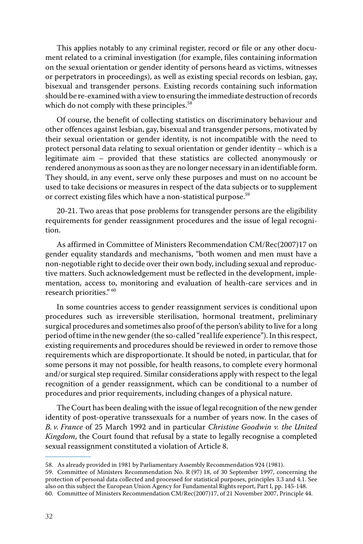This applies notably to any criminal register, record or file or any other document related to a criminal investigation (for example, files containing information on the sexual orientation or gender identity of persons heard as victims, witnesses or perpetrators in proceedings), as well as existing special records on lesbian, gay, bisexual and transgender persons. Existing records containing such information should be re-examined with a view to ensuring the immediate destruction of records which do not comply with these principles.<sup>58</sup>

Of course, the benefit of collecting statistics on discriminatory behaviour and other offences against lesbian, gay, bisexual and transgender persons, motivated by their sexual orientation or gender identity, is not incompatible with the need to protect personal data relating to sexual orientation or gender identity – which is a legitimate aim – provided that these statistics are collected anonymously or rendered anonymous as soon as they are no longer necessary in an identifiable form. They should, in any event, serve only these purposes and must on no account be used to take decisions or measures in respect of the data subjects or to supplement or correct existing files which have a non-statistical purpose.<sup>59</sup>

20-21. Two areas that pose problems for transgender persons are the eligibility requirements for gender reassignment procedures and the issue of legal recognition.

As affirmed in Committee of Ministers Recommendation CM/Rec(2007)17 on gender equality standards and mechanisms, "both women and men must have a non-negotiable right to decide over their own body, including sexual and reproductive matters. Such acknowledgement must be reflected in the development, implementation, access to, monitoring and evaluation of health-care services and in research priorities." <sup>60</sup>

In some countries access to gender reassignment services is conditional upon procedures such as irreversible sterilisation, hormonal treatment, preliminary surgical procedures and sometimes also proof of the person's ability to live for a long period of time in the new gender (the so-called "real life experience"). In this respect, existing requirements and procedures should be reviewed in order to remove those requirements which are disproportionate. It should be noted, in particular, that for some persons it may not possible, for health reasons, to complete every hormonal and/or surgical step required. Similar considerations apply with respect to the legal recognition of a gender reassignment, which can be conditional to a number of procedures and prior requirements, including changes of a physical nature.

The Court has been dealing with the issue of legal recognition of the new gender identity of post-operative transsexuals for a number of years now. In the cases of *B. v. France* of 25 March 1992 and in particular *Christine Goodwin v. the United Kingdom*, the Court found that refusal by a state to legally recognise a completed sexual reassignment constituted a violation of Article 8.

<sup>58.</sup> As already provided in 1981 by Parliamentary Assembly Recommendation 924 (1981).

<sup>59.</sup> Committee of Ministers Recommendation No. R (97) 18, of 30 September 1997, concerning the protection of personal data collected and processed for statistical purposes, principles 3.3 and 4.1. See also on this subject the European Union Agency for Fundamental Rights report, Part I, pp. 145-148.

<sup>60.</sup> Committee of Ministers Recommendation CM/Rec(2007)17, of 21 November 2007, Principle 44.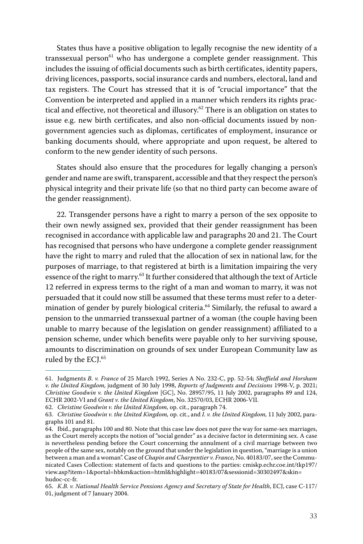States thus have a positive obligation to legally recognise the new identity of a transsexual person $61$  who has undergone a complete gender reassignment. This includes the issuing of official documents such as birth certificates, identity papers, driving licences, passports, social insurance cards and numbers, electoral, land and tax registers. The Court has stressed that it is of "crucial importance" that the Convention be interpreted and applied in a manner which renders its rights practical and effective, not theoretical and illusory.<sup>62</sup> There is an obligation on states to issue e.g. new birth certificates, and also non-official documents issued by nongovernment agencies such as diplomas, certificates of employment, insurance or banking documents should, where appropriate and upon request, be altered to conform to the new gender identity of such persons.

States should also ensure that the procedures for legally changing a person's gender and name are swift, transparent, accessible and that they respect the person's physical integrity and their private life (so that no third party can become aware of the gender reassignment).

22. Transgender persons have a right to marry a person of the sex opposite to their own newly assigned sex, provided that their gender reassignment has been recognised in accordance with applicable law and paragraphs 20 and 21. The Court has recognised that persons who have undergone a complete gender reassignment have the right to marry and ruled that the allocation of sex in national law, for the purposes of marriage, to that registered at birth is a limitation impairing the very essence of the right to marry.<sup>63</sup> It further considered that although the text of Article 12 referred in express terms to the right of a man and woman to marry, it was not persuaded that it could now still be assumed that these terms must refer to a determination of gender by purely biological criteria.<sup>64</sup> Similarly, the refusal to award a pension to the unmarried transsexual partner of a woman (the couple having been unable to marry because of the legislation on gender reassignment) affiliated to a pension scheme, under which benefits were payable only to her surviving spouse, amounts to discrimination on grounds of sex under European Community law as ruled by the ECJ.<sup>65</sup>

<sup>61.</sup> Judgments *B. v. France* of 25 March 1992, Series A No. 232-C, pp. 52-54; *Sheffield and Horsham v. the United Kingdom,* judgment of 30 July 1998, *Reports of Judgments and Decisions* 1998-V, p. 2021; *Christine Goodwin v. the United Kingdom* [GC], No. 28957/95, 11 July 2002, paragraphs 89 and 124, ECHR 2002-VI and *Grant v. the United Kingdom*, No. 32570/03, ECHR 2006-VII.

<sup>62.</sup> *Christine Goodwin v. the United Kingdom,* op. cit., paragraph 74.

<sup>63.</sup> *Christine Goodwin v. the United Kingdom,* op. cit., and *I. v. the United Kingdom,* 11 July 2002, paragraphs 101 and 81.

<sup>64.</sup> Ibid., paragraphs 100 and 80. Note that this case law does not pave the way for same-sex marriages, as the Court merely accepts the notion of "social gender" as a decisive factor in determining sex. A case is nevertheless pending before the Court concerning the annulment of a civil marriage between two people of the same sex, notably on the ground that under the legislation in question, "marriage is a union between a man and a woman". Case of *Chapin and Charpentier v. France*, No. 40183/07, see the Communicated Cases Collection: statement of facts and questions to the parties: cmiskp.echr.coe.int/tkp197/ view.asp?item=1&portal=hbkm&action=html&highlight=40183/07&sessionid=30302497&skin= hudoc-cc-fr.

<sup>65.</sup> *K.B. v. National Health Service Pensions Agency and Secretary of State for Health*, ECJ, case C-117/ 01, judgment of 7 January 2004.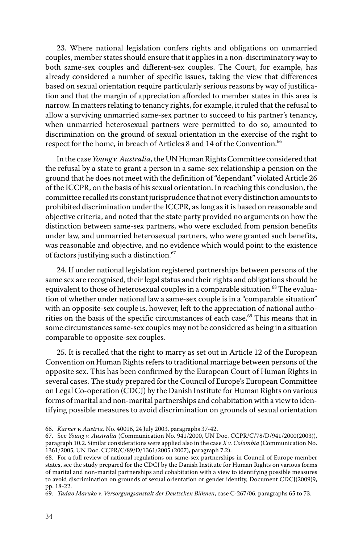23. Where national legislation confers rights and obligations on unmarried couples, member states should ensure that it applies in a non-discriminatory way to both same-sex couples and different-sex couples. The Court, for example, has already considered a number of specific issues, taking the view that differences based on sexual orientation require particularly serious reasons by way of justification and that the margin of appreciation afforded to member states in this area is narrow. In matters relating to tenancy rights, for example, it ruled that the refusal to allow a surviving unmarried same-sex partner to succeed to his partner's tenancy, when unmarried heterosexual partners were permitted to do so, amounted to discrimination on the ground of sexual orientation in the exercise of the right to respect for the home, in breach of Articles 8 and 14 of the Convention.<sup>66</sup>

In the case *Young v. Australia*, the UN Human Rights Committee considered that the refusal by a state to grant a person in a same-sex relationship a pension on the ground that he does not meet with the definition of "dependant" violated Article 26 of the ICCPR, on the basis of his sexual orientation. In reaching this conclusion, the committee recalled its constant jurisprudence that not every distinction amounts to prohibited discrimination under the ICCPR, as long as it is based on reasonable and objective criteria, and noted that the state party provided no arguments on how the distinction between same-sex partners, who were excluded from pension benefits under law, and unmarried heterosexual partners, who were granted such benefits, was reasonable and objective, and no evidence which would point to the existence of factors justifying such a distinction.<sup>67</sup>

24. If under national legislation registered partnerships between persons of the same sex are recognised, their legal status and their rights and obligations should be equivalent to those of heterosexual couples in a comparable situation.<sup>68</sup> The evaluation of whether under national law a same-sex couple is in a "comparable situation" with an opposite-sex couple is, however, left to the appreciation of national authorities on the basis of the specific circumstances of each case.<sup>69</sup> This means that in some circumstances same-sex couples may not be considered as being in a situation comparable to opposite-sex couples.

25. It is recalled that the right to marry as set out in Article 12 of the European Convention on Human Rights refers to traditional marriage between persons of the opposite sex. This has been confirmed by the European Court of Human Rights in several cases. The study prepared for the Council of Europe's European Committee on Legal Co-operation (CDCJ) by the Danish Institute for Human Rights on various forms of marital and non-marital partnerships and cohabitation with a view to identifying possible measures to avoid discrimination on grounds of sexual orientation

<sup>66.</sup> *Karner v. Austria,* No. 40016, 24 July 2003, paragraphs 37-42.

<sup>67.</sup> See *Young v. Australia* (Communication No. 941/2000, UN Doc. CCPR/C/78/D/941/2000(2003)), paragraph 10.2. Similar considerations were applied also in the case *X v. Colombia* (Communication No. 1361/2005, UN Doc. CCPR/C/89/D/1361/2005 (2007), paragraph 7.2).

<sup>68.</sup> For a full review of national regulations on same-sex partnerships in Council of Europe member states, see the study prepared for the CDCJ by the Danish Institute for Human Rights on various forms of marital and non-marital partnerships and cohabitation with a view to identifying possible measures to avoid discrimination on grounds of sexual orientation or gender identity, Document CDCJ(2009)9, pp. 18-22.

<sup>69.</sup> *Tadao Maruko v. Versorgungsanstalt der Deutschen Bühnen*, case C-267/06, paragraphs 65 to 73.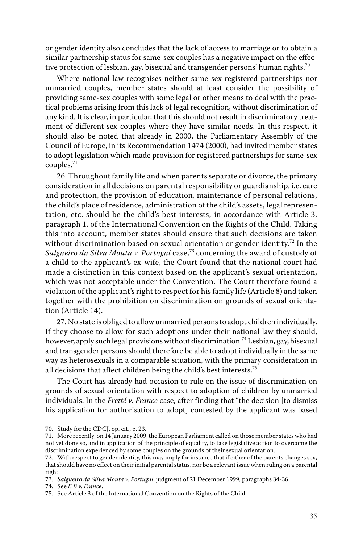or gender identity also concludes that the lack of access to marriage or to obtain a similar partnership status for same-sex couples has a negative impact on the effective protection of lesbian, gay, bisexual and transgender persons' human rights.<sup>70</sup>

Where national law recognises neither same-sex registered partnerships nor unmarried couples, member states should at least consider the possibility of providing same-sex couples with some legal or other means to deal with the practical problems arising from this lack of legal recognition, without discrimination of any kind. It is clear, in particular, that this should not result in discriminatory treatment of different-sex couples where they have similar needs. In this respect, it should also be noted that already in 2000, the Parliamentary Assembly of the Council of Europe, in its Recommendation 1474 (2000), had invited member states to adopt legislation which made provision for registered partnerships for same-sex couples.<sup>71</sup>

26. Throughout family life and when parents separate or divorce, the primary consideration in all decisions on parental responsibility or guardianship, i.e. care and protection, the provision of education, maintenance of personal relations, the child's place of residence, administration of the child's assets, legal representation, etc. should be the child's best interests, in accordance with Article 3, paragraph 1, of the International Convention on the Rights of the Child. Taking this into account, member states should ensure that such decisions are taken without discrimination based on sexual orientation or gender identity.<sup>72</sup> In the *Salgueiro da Silva Mouta v. Portugal* case,<sup>73</sup> concerning the award of custody of a child to the applicant's ex-wife, the Court found that the national court had made a distinction in this context based on the applicant's sexual orientation, which was not acceptable under the Convention. The Court therefore found a violation of the applicant's right to respect for his family life (Article 8) and taken together with the prohibition on discrimination on grounds of sexual orientation (Article 14).

27. No state is obliged to allow unmarried persons to adopt children individually. If they choose to allow for such adoptions under their national law they should, however, apply such legal provisions without discrimination.<sup>74</sup> Lesbian, gay, bisexual and transgender persons should therefore be able to adopt individually in the same way as heterosexuals in a comparable situation, with the primary consideration in all decisions that affect children being the child's best interests.<sup>75</sup>

The Court has already had occasion to rule on the issue of discrimination on grounds of sexual orientation with respect to adoption of children by unmarried individuals. In the *Fretté v. France* case, after finding that "the decision [to dismiss his application for authorisation to adopt] contested by the applicant was based

<sup>70.</sup> Study for the CDCJ, op. cit., p. 23.

<sup>71.</sup> More recently, on 14 January 2009, the European Parliament called on those member states who had not yet done so, and in application of the principle of equality, to take legislative action to overcome the discrimination experienced by some couples on the grounds of their sexual orientation.

<sup>72.</sup> With respect to gender identity, this may imply for instance that if either of the parents changes sex, that should have no effect on their initial parental status, nor be a relevant issue when ruling on a parental right.

<sup>73.</sup> *Salgueiro da Silva Mouta v. Portugal*, judgment of 21 December 1999, paragraphs 34-36.

<sup>74.</sup> See *E.B v. France*.

<sup>75.</sup> See Article 3 of the International Convention on the Rights of the Child.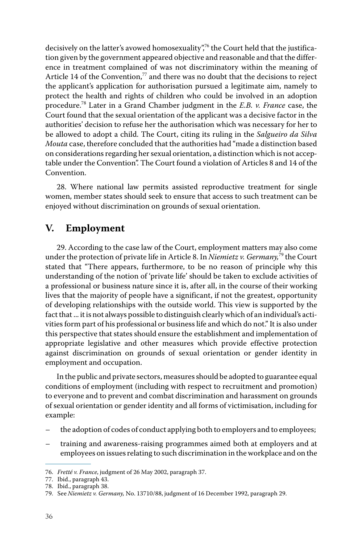decisively on the latter's avowed homosexuality",<sup>76</sup> the Court held that the justification given by the government appeared objective and reasonable and that the difference in treatment complained of was not discriminatory within the meaning of Article 14 of the Convention, $77$  and there was no doubt that the decisions to reject the applicant's application for authorisation pursued a legitimate aim, namely to protect the health and rights of children who could be involved in an adoption procedure.<sup>78</sup> Later in a Grand Chamber judgment in the *E.B. v. France* case, the Court found that the sexual orientation of the applicant was a decisive factor in the authorities' decision to refuse her the authorisation which was necessary for her to be allowed to adopt a child. The Court, citing its ruling in the *Salgueiro da Silva Mouta* case, therefore concluded that the authorities had "made a distinction based on considerations regarding her sexual orientation, a distinction which is not acceptable under the Convention". The Court found a violation of Articles 8 and 14 of the Convention.

28. Where national law permits assisted reproductive treatment for single women, member states should seek to ensure that access to such treatment can be enjoyed without discrimination on grounds of sexual orientation.

#### **V. Employment**

29. According to the case law of the Court, employment matters may also come under the protection of private life in Article 8. In *Niemietz v. Germany,*<sup>79</sup> the Court stated that "There appears, furthermore, to be no reason of principle why this understanding of the notion of 'private life' should be taken to exclude activities of a professional or business nature since it is, after all, in the course of their working lives that the majority of people have a significant, if not the greatest, opportunity of developing relationships with the outside world. This view is supported by the fact that ... it is not always possible to distinguish clearly which of an individual's activities form part of his professional or business life and which do not." It is also under this perspective that states should ensure the establishment and implementation of appropriate legislative and other measures which provide effective protection against discrimination on grounds of sexual orientation or gender identity in employment and occupation.

In the public and private sectors, measures should be adopted to guarantee equal conditions of employment (including with respect to recruitment and promotion) to everyone and to prevent and combat discrimination and harassment on grounds of sexual orientation or gender identity and all forms of victimisation, including for example:

- the adoption of codes of conduct applying both to employers and to employees;
- training and awareness-raising programmes aimed both at employers and at employees on issues relating to such discrimination in the workplace and on the

<sup>76.</sup> *Fretté v. France*, judgment of 26 May 2002, paragraph 37.

<sup>77.</sup> Ibid., paragraph 43.

<sup>78.</sup> Ibid., paragraph 38.

<sup>79.</sup> See *Niemietz v. Germany,* No. 13710/88, judgment of 16 December 1992, paragraph 29.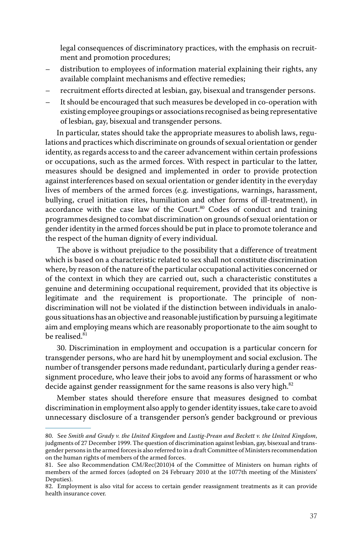legal consequences of discriminatory practices, with the emphasis on recruitment and promotion procedures;

- distribution to employees of information material explaining their rights, any available complaint mechanisms and effective remedies;
- recruitment efforts directed at lesbian, gay, bisexual and transgender persons.
- It should be encouraged that such measures be developed in co-operation with existing employee groupings or associations recognised as being representative of lesbian, gay, bisexual and transgender persons.

In particular, states should take the appropriate measures to abolish laws, regulations and practices which discriminate on grounds of sexual orientation or gender identity, as regards access to and the career advancement within certain professions or occupations, such as the armed forces. With respect in particular to the latter, measures should be designed and implemented in order to provide protection against interferences based on sexual orientation or gender identity in the everyday lives of members of the armed forces (e.g. investigations, warnings, harassment, bullying, cruel initiation rites, humiliation and other forms of ill-treatment), in accordance with the case law of the Court.<sup>80</sup> Codes of conduct and training programmes designed to combat discrimination on grounds of sexual orientation or gender identity in the armed forces should be put in place to promote tolerance and the respect of the human dignity of every individual.

The above is without prejudice to the possibility that a difference of treatment which is based on a characteristic related to sex shall not constitute discrimination where, by reason of the nature of the particular occupational activities concerned or of the context in which they are carried out, such a characteristic constitutes a genuine and determining occupational requirement, provided that its objective is legitimate and the requirement is proportionate. The principle of nondiscrimination will not be violated if the distinction between individuals in analogous situations has an objective and reasonable justification by pursuing a legitimate aim and employing means which are reasonably proportionate to the aim sought to be realised.<sup>81</sup>

30. Discrimination in employment and occupation is a particular concern for transgender persons, who are hard hit by unemployment and social exclusion. The number of transgender persons made redundant, particularly during a gender reassignment procedure, who leave their jobs to avoid any forms of harassment or who decide against gender reassignment for the same reasons is also very high.<sup>82</sup>

Member states should therefore ensure that measures designed to combat discrimination in employment also apply to gender identity issues, take care to avoid unnecessary disclosure of a transgender person's gender background or previous

<sup>80.</sup> See *Smith and Grady v. the United Kingdom* and *Lustig-Prean and Beckett v. the United Kingdom*, judgments of 27 December 1999. The question of discrimination against lesbian, gay, bisexual and transgender persons in the armed forces is also referred to in a draft Committee of Ministers recommendation on the human rights of members of the armed forces.

<sup>81.</sup> See also Recommendation CM/Rec(2010)4 of the Committee of Ministers on human rights of members of the armed forces (adopted on 24 February 2010 at the 1077th meeting of the Ministers' Deputies).

<sup>82.</sup> Employment is also vital for access to certain gender reassignment treatments as it can provide health insurance cover.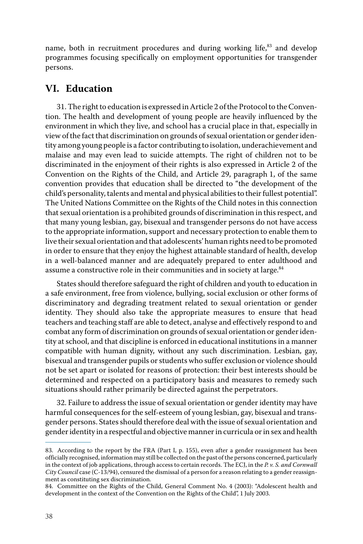name, both in recruitment procedures and during working life,<sup>83</sup> and develop programmes focusing specifically on employment opportunities for transgender persons.

## **VI. Education**

31. The right to education is expressed in Article 2 of the Protocol to the Convention. The health and development of young people are heavily influenced by the environment in which they live, and school has a crucial place in that, especially in view of the fact that discrimination on grounds of sexual orientation or gender identity among young people is a factor contributing to isolation, underachievement and malaise and may even lead to suicide attempts. The right of children not to be discriminated in the enjoyment of their rights is also expressed in Article 2 of the Convention on the Rights of the Child, and Article 29, paragraph 1, of the same convention provides that education shall be directed to "the development of the child's personality, talents and mental and physical abilities to their fullest potential". The United Nations Committee on the Rights of the Child notes in this connection that sexual orientation is a prohibited grounds of discrimination in this respect, and that many young lesbian, gay, bisexual and transgender persons do not have access to the appropriate information, support and necessary protection to enable them to live their sexual orientation and that adolescents' human rights need to be promoted in order to ensure that they enjoy the highest attainable standard of health, develop in a well-balanced manner and are adequately prepared to enter adulthood and assume a constructive role in their communities and in society at large.<sup>84</sup>

States should therefore safeguard the right of children and youth to education in a safe environment, free from violence, bullying, social exclusion or other forms of discriminatory and degrading treatment related to sexual orientation or gender identity. They should also take the appropriate measures to ensure that head teachers and teaching staff are able to detect, analyse and effectively respond to and combat any form of discrimination on grounds of sexual orientation or gender identity at school, and that discipline is enforced in educational institutions in a manner compatible with human dignity, without any such discrimination. Lesbian, gay, bisexual and transgender pupils or students who suffer exclusion or violence should not be set apart or isolated for reasons of protection: their best interests should be determined and respected on a participatory basis and measures to remedy such situations should rather primarily be directed against the perpetrators.

32. Failure to address the issue of sexual orientation or gender identity may have harmful consequences for the self-esteem of young lesbian, gay, bisexual and transgender persons. States should therefore deal with the issue of sexual orientation and gender identity in a respectful and objective manner in curricula or in sex and health

<sup>83.</sup> According to the report by the FRA (Part I, p. 155), even after a gender reassignment has been officially recognised, information may still be collected on the past of the persons concerned, particularly in the context of job applications, through access to certain records. The ECJ, in the *P. v. S. and Cornwall City Council* case (C-13/94), censured the dismissal of a person for a reason relating to a gender reassignment as constituting sex discrimination.

<sup>84.</sup> Committee on the Rights of the Child, General Comment No. 4 (2003): "Adolescent health and development in the context of the Convention on the Rights of the Child", 1 July 2003.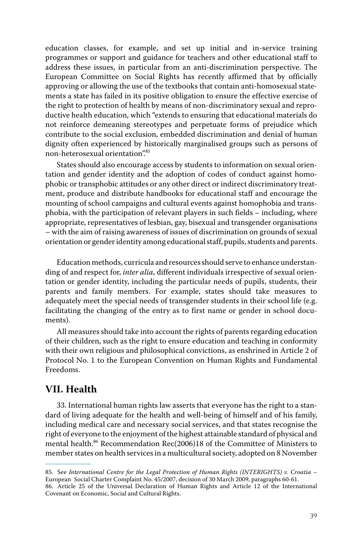education classes, for example, and set up initial and in-service training programmes or support and guidance for teachers and other educational staff to address these issues, in particular from an anti-discrimination perspective. The European Committee on Social Rights has recently affirmed that by officially approving or allowing the use of the textbooks that contain anti-homosexual statements a state has failed in its positive obligation to ensure the effective exercise of the right to protection of health by means of non-discriminatory sexual and reproductive health education, which "extends to ensuring that educational materials do not reinforce demeaning stereotypes and perpetuate forms of prejudice which contribute to the social exclusion, embedded discrimination and denial of human dignity often experienced by historically marginalised groups such as persons of non-heterosexual orientation".<sup>85</sup>

States should also encourage access by students to information on sexual orientation and gender identity and the adoption of codes of conduct against homophobic or transphobic attitudes or any other direct or indirect discriminatory treatment, produce and distribute handbooks for educational staff and encourage the mounting of school campaigns and cultural events against homophobia and transphobia, with the participation of relevant players in such fields – including, where appropriate, representatives of lesbian, gay, bisexual and transgender organisations – with the aim of raising awareness of issues of discrimination on grounds of sexual orientation or gender identity among educational staff, pupils, students and parents.

Education methods, curricula and resources should serve to enhance understanding of and respect for, *inter alia*, different individuals irrespective of sexual orientation or gender identity, including the particular needs of pupils, students, their parents and family members. For example, states should take measures to adequately meet the special needs of transgender students in their school life (e.g. facilitating the changing of the entry as to first name or gender in school documents).

All measures should take into account the rights of parents regarding education of their children, such as the right to ensure education and teaching in conformity with their own religious and philosophical convictions, as enshrined in Article 2 of Protocol No. 1 to the European Convention on Human Rights and Fundamental Freedoms.

## **VII. Health**

33. International human rights law asserts that everyone has the right to a standard of living adequate for the health and well-being of himself and of his family, including medical care and necessary social services, and that states recognise the right of everyone to the enjoyment of the highest attainable standard of physical and mental health.<sup>86</sup> Recommendation Rec(2006)18 of the Committee of Ministers to member states on health services in a multicultural society, adopted on 8 November

<sup>85.</sup> See *International Centre for the Legal Protection of Human Rights (INTERIGHTS) v. Croatia* – European Social Charter Complaint No. 45/2007, decision of 30 March 2009, paragraphs 60-61.

<sup>86.</sup> Article 25 of the Universal Declaration of Human Rights and Article 12 of the International Covenant on Economic, Social and Cultural Rights.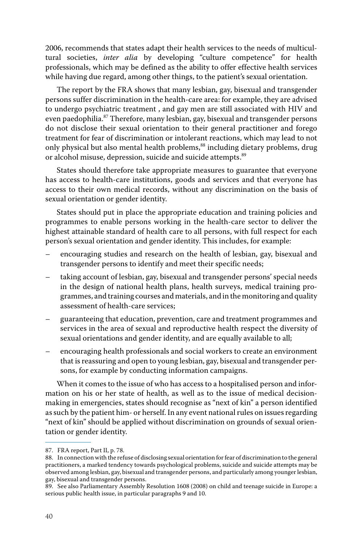2006, recommends that states adapt their health services to the needs of multicultural societies, *inter alia* by developing "culture competence" for health professionals, which may be defined as the ability to offer effective health services while having due regard, among other things, to the patient's sexual orientation.

The report by the FRA shows that many lesbian, gay, bisexual and transgender persons suffer discrimination in the health-care area: for example, they are advised to undergo psychiatric treatment , and gay men are still associated with HIV and even paedophilia.<sup>87</sup> Therefore, many lesbian, gay, bisexual and transgender persons do not disclose their sexual orientation to their general practitioner and forego treatment for fear of discrimination or intolerant reactions, which may lead to not only physical but also mental health problems,<sup>88</sup> including dietary problems, drug or alcohol misuse, depression, suicide and suicide attempts.<sup>89</sup>

States should therefore take appropriate measures to guarantee that everyone has access to health-care institutions, goods and services and that everyone has access to their own medical records, without any discrimination on the basis of sexual orientation or gender identity.

States should put in place the appropriate education and training policies and programmes to enable persons working in the health-care sector to deliver the highest attainable standard of health care to all persons, with full respect for each person's sexual orientation and gender identity. This includes, for example:

- encouraging studies and research on the health of lesbian, gay, bisexual and transgender persons to identify and meet their specific needs;
- taking account of lesbian, gay, bisexual and transgender persons' special needs in the design of national health plans, health surveys, medical training programmes, and training courses and materials, and in the monitoring and quality assessment of health-care services;
- guaranteeing that education, prevention, care and treatment programmes and services in the area of sexual and reproductive health respect the diversity of sexual orientations and gender identity, and are equally available to all;
- encouraging health professionals and social workers to create an environment that is reassuring and open to young lesbian, gay, bisexual and transgender persons, for example by conducting information campaigns.

When it comes to the issue of who has access to a hospitalised person and information on his or her state of health, as well as to the issue of medical decisionmaking in emergencies, states should recognise as "next of kin" a person identified as such by the patient him- or herself. In any event national rules on issues regarding "next of kin" should be applied without discrimination on grounds of sexual orientation or gender identity.

<sup>87.</sup> FRA report, Part II, p. 78.

<sup>88.</sup> In connection with the refuse of disclosing sexual orientation for fear of discrimination to the general practitioners, a marked tendency towards psychological problems, suicide and suicide attempts may be observed among lesbian, gay, bisexual and transgender persons, and particularly among younger lesbian, gay, bisexual and transgender persons.

<sup>89.</sup> See also Parliamentary Assembly Resolution 1608 (2008) on child and teenage suicide in Europe: a serious public health issue, in particular paragraphs 9 and 10.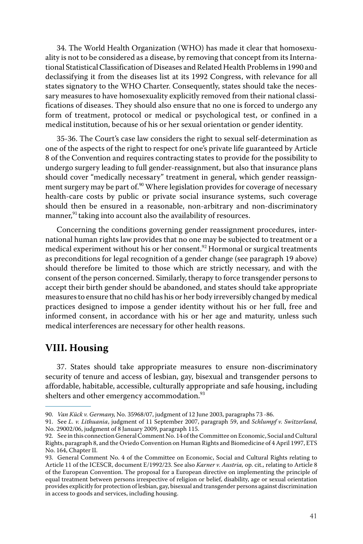34. The World Health Organization (WHO) has made it clear that homosexuality is not to be considered as a disease, by removing that concept from its International Statistical Classification of Diseases and Related Health Problems in 1990 and declassifying it from the diseases list at its 1992 Congress, with relevance for all states signatory to the WHO Charter. Consequently, states should take the necessary measures to have homosexuality explicitly removed from their national classifications of diseases. They should also ensure that no one is forced to undergo any form of treatment, protocol or medical or psychological test, or confined in a medical institution, because of his or her sexual orientation or gender identity.

35-36. The Court's case law considers the right to sexual self-determination as one of the aspects of the right to respect for one's private life guaranteed by Article 8 of the Convention and requires contracting states to provide for the possibility to undergo surgery leading to full gender-reassignment, but also that insurance plans should cover "medically necessary" treatment in general, which gender reassignment surgery may be part of.<sup>90</sup> Where legislation provides for coverage of necessary health-care costs by public or private social insurance systems, such coverage should then be ensured in a reasonable, non-arbitrary and non-discriminatory manner,<sup>91</sup> taking into account also the availability of resources.

Concerning the conditions governing gender reassignment procedures, international human rights law provides that no one may be subjected to treatment or a medical experiment without his or her consent.<sup>92</sup> Hormonal or surgical treatments as preconditions for legal recognition of a gender change (see paragraph 19 above) should therefore be limited to those which are strictly necessary, and with the consent of the person concerned. Similarly, therapy to force transgender persons to accept their birth gender should be abandoned, and states should take appropriate measures to ensure that no child has his or her body irreversibly changed by medical practices designed to impose a gender identity without his or her full, free and informed consent, in accordance with his or her age and maturity, unless such medical interferences are necessary for other health reasons.

## **VIII. Housing**

37. States should take appropriate measures to ensure non-discriminatory security of tenure and access of lesbian, gay, bisexual and transgender persons to affordable, habitable, accessible, culturally appropriate and safe housing, including shelters and other emergency accommodation.<sup>93</sup>

<sup>90.</sup> *Van Kück v. Germany*, No. 35968/07, judgment of 12 June 2003, paragraphs 73 -86.

<sup>91.</sup> See *L. v. Lithuania*, judgment of 11 September 2007, paragraph 59, and *Schlumpf v. Switzerland*, No. 29002/06, judgment of 8 January 2009, paragraph 115.

<sup>92.</sup> See in this connection General Comment No. 14 of the Committee on Economic, Social and Cultural Rights, paragraph 8, and the Oviedo Convention on Human Rights and Biomedicine of 4 April 1997, ETS No. 164, Chapter II.

<sup>93.</sup> General Comment No. 4 of the Committee on Economic, Social and Cultural Rights relating to Article 11 of the ICESCR, document E/1992/23. See also *Karner v. Austria,* op. cit*.,* relating to Article 8 of the European Convention. The proposal for a European directive on implementing the principle of equal treatment between persons irrespective of religion or belief, disability, age or sexual orientation provides explicitly for protection of lesbian, gay, bisexual and transgender persons against discrimination in access to goods and services, including housing.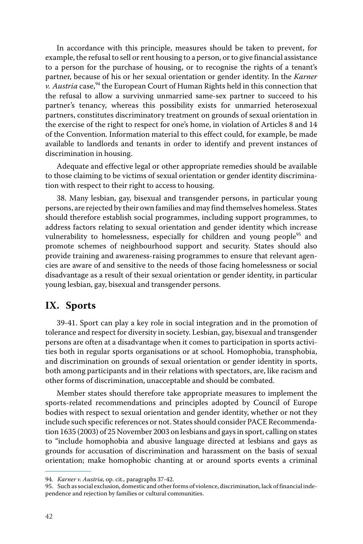In accordance with this principle, measures should be taken to prevent, for example, the refusal to sell or rent housing to a person, or to give financial assistance to a person for the purchase of housing, or to recognise the rights of a tenant's partner, because of his or her sexual orientation or gender identity. In the *Karner v. Austria* case,<sup>94</sup> the European Court of Human Rights held in this connection that the refusal to allow a surviving unmarried same-sex partner to succeed to his partner's tenancy, whereas this possibility exists for unmarried heterosexual partners, constitutes discriminatory treatment on grounds of sexual orientation in the exercise of the right to respect for one's home, in violation of Articles 8 and 14 of the Convention. Information material to this effect could, for example, be made available to landlords and tenants in order to identify and prevent instances of discrimination in housing.

Adequate and effective legal or other appropriate remedies should be available to those claiming to be victims of sexual orientation or gender identity discrimination with respect to their right to access to housing.

38. Many lesbian, gay, bisexual and transgender persons, in particular young persons, are rejected by their own families and may find themselves homeless. States should therefore establish social programmes, including support programmes, to address factors relating to sexual orientation and gender identity which increase vulnerability to homelessness, especially for children and young people<sup>95</sup> and promote schemes of neighbourhood support and security. States should also provide training and awareness-raising programmes to ensure that relevant agencies are aware of and sensitive to the needs of those facing homelessness or social disadvantage as a result of their sexual orientation or gender identity, in particular young lesbian, gay, bisexual and transgender persons.

### **IX. Sports**

39-41. Sport can play a key role in social integration and in the promotion of tolerance and respect for diversity in society. Lesbian, gay, bisexual and transgender persons are often at a disadvantage when it comes to participation in sports activities both in regular sports organisations or at school. Homophobia, transphobia, and discrimination on grounds of sexual orientation or gender identity in sports, both among participants and in their relations with spectators, are, like racism and other forms of discrimination, unacceptable and should be combated.

Member states should therefore take appropriate measures to implement the sports-related recommendations and principles adopted by Council of Europe bodies with respect to sexual orientation and gender identity, whether or not they include such specific references or not. States should consider PACE Recommendation 1635 (2003) of 25 November 2003 on lesbians and gays in sport, calling on states to "include homophobia and abusive language directed at lesbians and gays as grounds for accusation of discrimination and harassment on the basis of sexual orientation; make homophobic chanting at or around sports events a criminal

<sup>94.</sup> *Karner v. Austria,* op. cit.*,* paragraphs 37-42.

<sup>95.</sup> Such as social exclusion, domestic and other forms of violence, discrimination, lack of financial independence and rejection by families or cultural communities.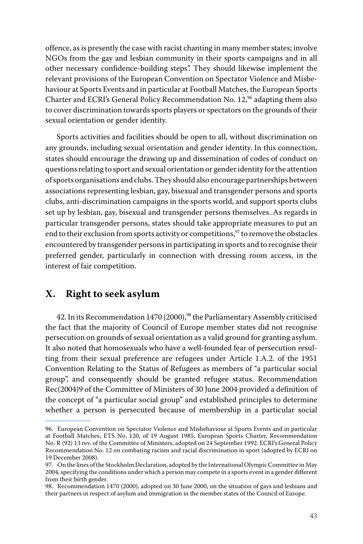offence, as is presently the case with racist chanting in many member states; involve NGOs from the gay and lesbian community in their sports campaigns and in all other necessary confidence-building steps". They should likewise implement the relevant provisions of the European Convention on Spectator Violence and Misbehaviour at Sports Events and in particular at Football Matches, the European Sports Charter and ECRI's General Policy Recommendation No.  $12<sup>96</sup>$  adapting them also to cover discrimination towards sports players or spectators on the grounds of their sexual orientation or gender identity.

Sports activities and facilities should be open to all, without discrimination on any grounds, including sexual orientation and gender identity. In this connection, states should encourage the drawing up and dissemination of codes of conduct on questions relating to sport and sexual orientation or gender identity for the attention of sports organisations and clubs. They should also encourage partnerships between associations representing lesbian, gay, bisexual and transgender persons and sports clubs, anti-discrimination campaigns in the sports world, and support sports clubs set up by lesbian, gay, bisexual and transgender persons themselves. As regards in particular transgender persons, states should take appropriate measures to put an end to their exclusion from sports activity or competitions, $97$  to remove the obstacles encountered by transgender persons in participating in sports and to recognise their preferred gender, particularly in connection with dressing room access, in the interest of fair competition.

## **X. Right to seek asylum**

42. In its Recommendation 1470 (2000),<sup>98</sup> the Parliamentary Assembly criticised the fact that the majority of Council of Europe member states did not recognise persecution on grounds of sexual orientation as a valid ground for granting asylum. It also noted that homosexuals who have a well-founded fear of persecution resulting from their sexual preference are refugees under Article 1.A.2. of the 1951 Convention Relating to the Status of Refugees as members of "a particular social group", and consequently should be granted refugee status. Recommendation Rec(2004)9 of the Committee of Ministers of 30 June 2004 provided a definition of the concept of "a particular social group" and established principles to determine whether a person is persecuted because of membership in a particular social

<sup>96.</sup> European Convention on Spectator Violence and Misbehaviour at Sports Events and in particular at Football Matches, ETS No. 120, of 19 August 1985. European Sports Charter, Recommendation No. R (92) 13 rev. of the Committee of Ministers, adopted on 24 September 1992. ECRI's General Policy Recommendation No. 12 on combating racism and racial discrimination in sport (adopted by ECRI on 19 December 2008).

<sup>97.</sup> On the lines of the Stockholm Declaration, adopted by the International Olympic Committee in May 2004, specifying the conditions under which a person may compete in a sports event in a gender different from their birth gender.

<sup>98.</sup> Recommendation 1470 (2000), adopted on 30 June 2000, on the situation of gays and lesbians and their partners in respect of asylum and immigration in the member states of the Council of Europe.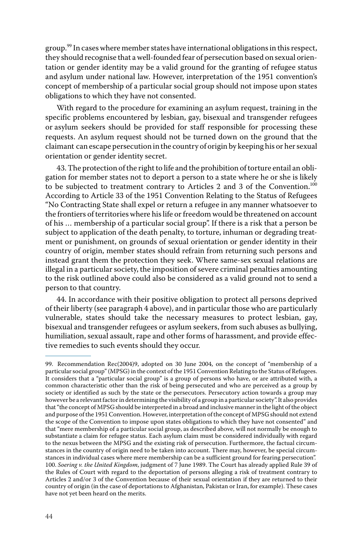group.<sup>99</sup> In cases where member states have international obligations in this respect, they should recognise that a well-founded fear of persecution based on sexual orientation or gender identity may be a valid ground for the granting of refugee status and asylum under national law. However, interpretation of the 1951 convention's concept of membership of a particular social group should not impose upon states obligations to which they have not consented.

With regard to the procedure for examining an asylum request, training in the specific problems encountered by lesbian, gay, bisexual and transgender refugees or asylum seekers should be provided for staff responsible for processing these requests. An asylum request should not be turned down on the ground that the claimant can escape persecution in the country of origin by keeping his or her sexual orientation or gender identity secret.

43. The protection of the right to life and the prohibition of torture entail an obligation for member states not to deport a person to a state where he or she is likely to be subjected to treatment contrary to Articles 2 and 3 of the Convention.<sup>100</sup> According to Article 33 of the 1951 Convention Relating to the Status of Refugees "No Contracting State shall expel or return a refugee in any manner whatsoever to the frontiers of territories where his life or freedom would be threatened on account of his … membership of a particular social group". If there is a risk that a person be subject to application of the death penalty, to torture, inhuman or degrading treatment or punishment, on grounds of sexual orientation or gender identity in their country of origin, member states should refrain from returning such persons and instead grant them the protection they seek. Where same-sex sexual relations are illegal in a particular society, the imposition of severe criminal penalties amounting to the risk outlined above could also be considered as a valid ground not to send a person to that country.

44. In accordance with their positive obligation to protect all persons deprived of their liberty (see paragraph 4 above), and in particular those who are particularly vulnerable, states should take the necessary measures to protect lesbian, gay, bisexual and transgender refugees or asylum seekers, from such abuses as bullying, humiliation, sexual assault, rape and other forms of harassment, and provide effective remedies to such events should they occur.

<sup>99.</sup> Recommendation Rec(2004)9, adopted on 30 June 2004, on the concept of "membership of a particular social group" (MPSG) in the context of the 1951 Convention Relating to the Status of Refugees. It considers that a "particular social group" is a group of persons who have, or are attributed with, a common characteristic other than the risk of being persecuted and who are perceived as a group by society or identified as such by the state or the persecutors. Persecutory action towards a group may however be a relevant factor in determining the visibility of a group in a particular society". It also provides that "the concept of MPSG should be interpreted in a broad and inclusive manner in the light of the object and purpose of the 1951 Convention. However, interpretation of the concept of MPSG should not extend the scope of the Convention to impose upon states obligations to which they have not consented" and that "mere membership of a particular social group, as described above, will not normally be enough to substantiate a claim for refugee status. Each asylum claim must be considered individually with regard to the nexus between the MPSG and the existing risk of persecution. Furthermore, the factual circumstances in the country of origin need to be taken into account. There may, however, be special circumstances in individual cases where mere membership can be a sufficient ground for fearing persecution". 100. *Soering v. the United Kingdom*, judgment of 7 June 1989. The Court has already applied Rule 39 of the Rules of Court with regard to the deportation of persons alleging a risk of treatment contrary to Articles 2 and/or 3 of the Convention because of their sexual orientation if they are returned to their country of origin (in the case of deportations to Afghanistan, Pakistan or Iran, for example). These cases have not yet been heard on the merits.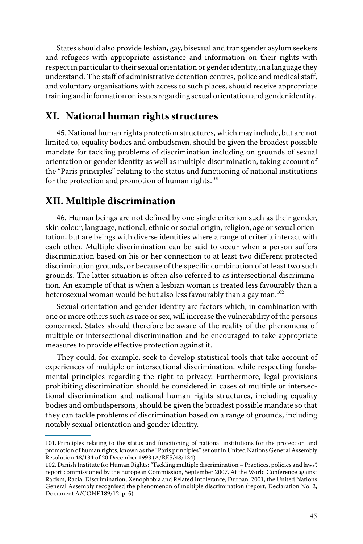States should also provide lesbian, gay, bisexual and transgender asylum seekers and refugees with appropriate assistance and information on their rights with respect in particular to their sexual orientation or gender identity, in a language they understand. The staff of administrative detention centres, police and medical staff, and voluntary organisations with access to such places, should receive appropriate training and information on issues regarding sexual orientation and gender identity.

### **XI. National human rights structures**

45. National human rights protection structures, which may include, but are not limited to, equality bodies and ombudsmen, should be given the broadest possible mandate for tackling problems of discrimination including on grounds of sexual orientation or gender identity as well as multiple discrimination, taking account of the "Paris principles" relating to the status and functioning of national institutions for the protection and promotion of human rights. $101$ 

## **XII. Multiple discrimination**

46. Human beings are not defined by one single criterion such as their gender, skin colour, language, national, ethnic or social origin, religion, age or sexual orientation, but are beings with diverse identities where a range of criteria interact with each other. Multiple discrimination can be said to occur when a person suffers discrimination based on his or her connection to at least two different protected discrimination grounds, or because of the specific combination of at least two such grounds. The latter situation is often also referred to as intersectional discrimination. An example of that is when a lesbian woman is treated less favourably than a heterosexual woman would be but also less favourably than a gay man.<sup>102</sup>

Sexual orientation and gender identity are factors which, in combination with one or more others such as race or sex, will increase the vulnerability of the persons concerned. States should therefore be aware of the reality of the phenomena of multiple or intersectional discrimination and be encouraged to take appropriate measures to provide effective protection against it.

They could, for example, seek to develop statistical tools that take account of experiences of multiple or intersectional discrimination, while respecting fundamental principles regarding the right to privacy. Furthermore, legal provisions prohibiting discrimination should be considered in cases of multiple or intersectional discrimination and national human rights structures, including equality bodies and ombudspersons, should be given the broadest possible mandate so that they can tackle problems of discrimination based on a range of grounds, including notably sexual orientation and gender identity.

<sup>101.</sup> Principles relating to the status and functioning of national institutions for the protection and promotion of human rights, known as the "Paris principles" set out in United Nations General Assembly Resolution 48/134 of 20 December 1993 (A/RES/48/134).

<sup>102.</sup> Danish Institute for Human Rights: *"*Tackling multiple discrimination – Practices, policies and laws*"*, report commissioned by the European Commission, September 2007. At the World Conference against Racism, Racial Discrimination, Xenophobia and Related Intolerance, Durban, 2001, the United Nations General Assembly recognised the phenomenon of multiple discrimination (report, Declaration No. 2, Document A/CONF.189/12, p. 5).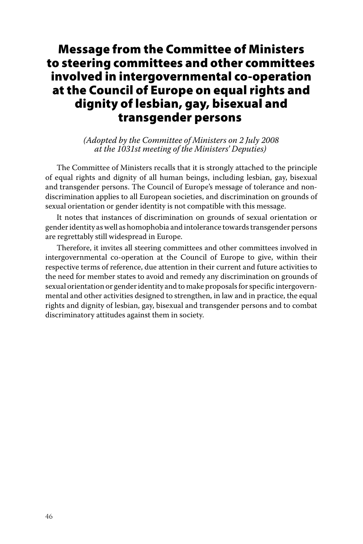## Message from the Committee of Ministers to steering committees and other committees involved in intergovernmental co-operation at the Council of Europe on equal rights and dignity of lesbian, gay, bisexual and transgender persons

*(Adopted by the Committee of Ministers on 2 July 2008 at the 1031st meeting of the Ministers' Deputies)* 

The Committee of Ministers recalls that it is strongly attached to the principle of equal rights and dignity of all human beings, including lesbian, gay, bisexual and transgender persons. The Council of Europe's message of tolerance and nondiscrimination applies to all European societies, and discrimination on grounds of sexual orientation or gender identity is not compatible with this message.

It notes that instances of discrimination on grounds of sexual orientation or gender identity as well as homophobia and intolerance towards transgender persons are regrettably still widespread in Europe.

Therefore, it invites all steering committees and other committees involved in intergovernmental co-operation at the Council of Europe to give, within their respective terms of reference, due attention in their current and future activities to the need for member states to avoid and remedy any discrimination on grounds of sexual orientation or gender identity and to make proposals for specific intergovernmental and other activities designed to strengthen, in law and in practice, the equal rights and dignity of lesbian, gay, bisexual and transgender persons and to combat discriminatory attitudes against them in society.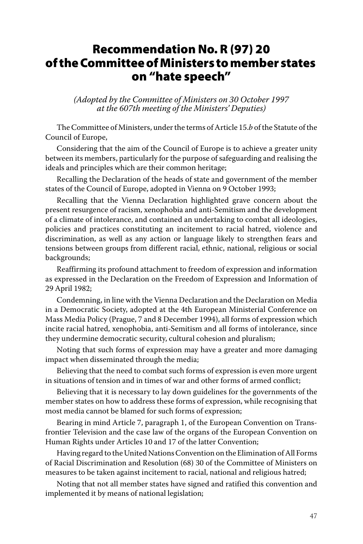## Recommendation No. R (97) 20 of the Committee of Ministers to member states on "hate speech"

*(Adopted by the Committee of Ministers on 30 October 1997 at the 607th meeting of the Ministers' Deputies)*

The Committee of Ministers, under the terms of Article 15.*b* of the Statute of the Council of Europe,

Considering that the aim of the Council of Europe is to achieve a greater unity between its members, particularly for the purpose of safeguarding and realising the ideals and principles which are their common heritage;

Recalling the Declaration of the heads of state and government of the member states of the Council of Europe, adopted in Vienna on 9 October 1993;

Recalling that the Vienna Declaration highlighted grave concern about the present resurgence of racism, xenophobia and anti-Semitism and the development of a climate of intolerance, and contained an undertaking to combat all ideologies, policies and practices constituting an incitement to racial hatred, violence and discrimination, as well as any action or language likely to strengthen fears and tensions between groups from different racial, ethnic, national, religious or social backgrounds;

Reaffirming its profound attachment to freedom of expression and information as expressed in the Declaration on the Freedom of Expression and Information of 29 April 1982;

Condemning, in line with the Vienna Declaration and the Declaration on Media in a Democratic Society, adopted at the 4th European Ministerial Conference on Mass Media Policy (Prague, 7 and 8 December 1994), all forms of expression which incite racial hatred, xenophobia, anti-Semitism and all forms of intolerance, since they undermine democratic security, cultural cohesion and pluralism;

Noting that such forms of expression may have a greater and more damaging impact when disseminated through the media;

Believing that the need to combat such forms of expression is even more urgent in situations of tension and in times of war and other forms of armed conflict;

Believing that it is necessary to lay down guidelines for the governments of the member states on how to address these forms of expression, while recognising that most media cannot be blamed for such forms of expression;

Bearing in mind Article 7, paragraph 1, of the European Convention on Transfrontier Television and the case law of the organs of the European Convention on Human Rights under Articles 10 and 17 of the latter Convention;

Having regard to the United Nations Convention on the Elimination of All Forms of Racial Discrimination and Resolution (68) 30 of the Committee of Ministers on measures to be taken against incitement to racial, national and religious hatred;

Noting that not all member states have signed and ratified this convention and implemented it by means of national legislation;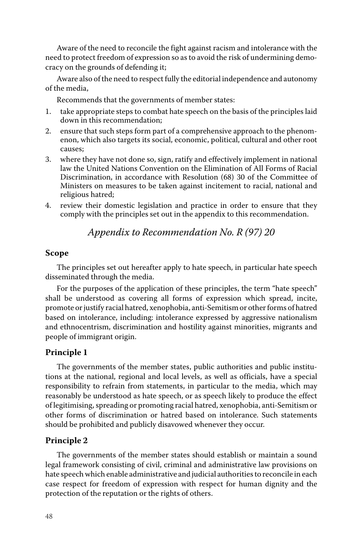Aware of the need to reconcile the fight against racism and intolerance with the need to protect freedom of expression so as to avoid the risk of undermining democracy on the grounds of defending it;

Aware also of the need to respect fully the editorial independence and autonomy of the media,

Recommends that the governments of member states:

- 1. take appropriate steps to combat hate speech on the basis of the principles laid down in this recommendation;
- 2. ensure that such steps form part of a comprehensive approach to the phenomenon, which also targets its social, economic, political, cultural and other root causes;
- 3. where they have not done so, sign, ratify and effectively implement in national law the United Nations Convention on the Elimination of All Forms of Racial Discrimination, in accordance with Resolution (68) 30 of the Committee of Ministers on measures to be taken against incitement to racial, national and religious hatred;
- 4. review their domestic legislation and practice in order to ensure that they comply with the principles set out in the appendix to this recommendation.

*Appendix to Recommendation No. R (97) 20*

#### **Scope**

The principles set out hereafter apply to hate speech, in particular hate speech disseminated through the media.

For the purposes of the application of these principles, the term "hate speech" shall be understood as covering all forms of expression which spread, incite, promote or justify racial hatred, xenophobia, anti-Semitism or other forms of hatred based on intolerance, including: intolerance expressed by aggressive nationalism and ethnocentrism, discrimination and hostility against minorities, migrants and people of immigrant origin.

### **Principle 1**

The governments of the member states, public authorities and public institutions at the national, regional and local levels, as well as officials, have a special responsibility to refrain from statements, in particular to the media, which may reasonably be understood as hate speech, or as speech likely to produce the effect of legitimising, spreading or promoting racial hatred, xenophobia, anti-Semitism or other forms of discrimination or hatred based on intolerance. Such statements should be prohibited and publicly disavowed whenever they occur.

#### **Principle 2**

The governments of the member states should establish or maintain a sound legal framework consisting of civil, criminal and administrative law provisions on hate speech which enable administrative and judicial authorities to reconcile in each case respect for freedom of expression with respect for human dignity and the protection of the reputation or the rights of others.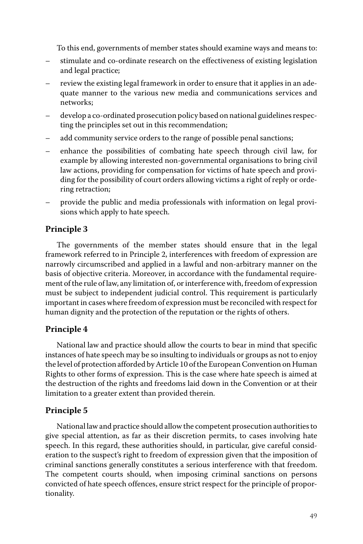To this end, governments of member states should examine ways and means to:

- stimulate and co-ordinate research on the effectiveness of existing legislation and legal practice;
- review the existing legal framework in order to ensure that it applies in an adequate manner to the various new media and communications services and networks;
- develop a co-ordinated prosecution policy based on national guidelines respecting the principles set out in this recommendation;
- add community service orders to the range of possible penal sanctions;
- enhance the possibilities of combating hate speech through civil law, for example by allowing interested non-governmental organisations to bring civil law actions, providing for compensation for victims of hate speech and providing for the possibility of court orders allowing victims a right of reply or ordering retraction;
- provide the public and media professionals with information on legal provisions which apply to hate speech.

## **Principle 3**

The governments of the member states should ensure that in the legal framework referred to in Principle 2, interferences with freedom of expression are narrowly circumscribed and applied in a lawful and non-arbitrary manner on the basis of objective criteria. Moreover, in accordance with the fundamental requirement of the rule of law, any limitation of, or interference with, freedom of expression must be subject to independent judicial control. This requirement is particularly important in cases where freedom of expression must be reconciled with respect for human dignity and the protection of the reputation or the rights of others.

### **Principle 4**

National law and practice should allow the courts to bear in mind that specific instances of hate speech may be so insulting to individuals or groups as not to enjoy the level of protection afforded by Article 10 of the European Convention on Human Rights to other forms of expression. This is the case where hate speech is aimed at the destruction of the rights and freedoms laid down in the Convention or at their limitation to a greater extent than provided therein.

### **Principle 5**

National law and practice should allow the competent prosecution authorities to give special attention, as far as their discretion permits, to cases involving hate speech. In this regard, these authorities should, in particular, give careful consideration to the suspect's right to freedom of expression given that the imposition of criminal sanctions generally constitutes a serious interference with that freedom. The competent courts should, when imposing criminal sanctions on persons convicted of hate speech offences, ensure strict respect for the principle of proportionality.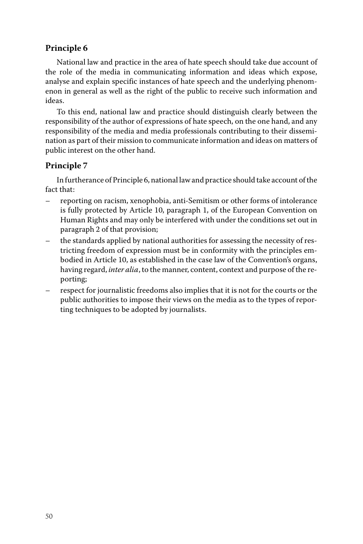## **Principle 6**

National law and practice in the area of hate speech should take due account of the role of the media in communicating information and ideas which expose, analyse and explain specific instances of hate speech and the underlying phenomenon in general as well as the right of the public to receive such information and ideas.

To this end, national law and practice should distinguish clearly between the responsibility of the author of expressions of hate speech, on the one hand, and any responsibility of the media and media professionals contributing to their dissemination as part of their mission to communicate information and ideas on matters of public interest on the other hand.

## **Principle 7**

In furtherance of Principle 6, national law and practice should take account of the fact that:

- reporting on racism, xenophobia, anti-Semitism or other forms of intolerance is fully protected by Article 10, paragraph 1, of the European Convention on Human Rights and may only be interfered with under the conditions set out in paragraph 2 of that provision;
- the standards applied by national authorities for assessing the necessity of restricting freedom of expression must be in conformity with the principles embodied in Article 10, as established in the case law of the Convention's organs, having regard, *inter alia*, to the manner, content, context and purpose of the reporting;
- respect for journalistic freedoms also implies that it is not for the courts or the public authorities to impose their views on the media as to the types of reporting techniques to be adopted by journalists.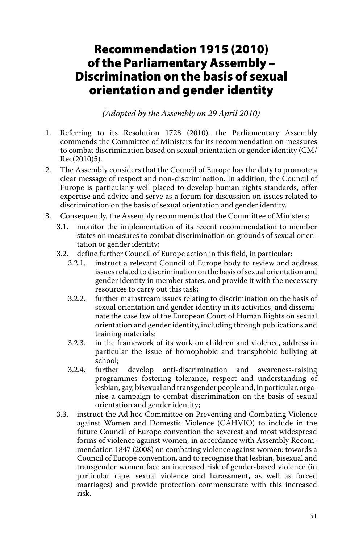# Recommendation 1915 (2010) of the Parliamentary Assembly – Discrimination on the basis of sexual orientation and gender identity

*(Adopted by the Assembly on 29 April 2010)*

- 1. Referring to its Resolution 1728 (2010), the Parliamentary Assembly commends the Committee of Ministers for its recommendation on measures to combat discrimination based on sexual orientation or gender identity (CM/ Rec(2010)5).
- 2. The Assembly considers that the Council of Europe has the duty to promote a clear message of respect and non-discrimination. In addition, the Council of Europe is particularly well placed to develop human rights standards, offer expertise and advice and serve as a forum for discussion on issues related to discrimination on the basis of sexual orientation and gender identity.
- 3. Consequently, the Assembly recommends that the Committee of Ministers:
	- 3.1. monitor the implementation of its recent recommendation to member states on measures to combat discrimination on grounds of sexual orientation or gender identity;
	- 3.2. define further Council of Europe action in this field, in particular:
		- 3.2.1. instruct a relevant Council of Europe body to review and address issues related to discrimination on the basis of sexual orientation and gender identity in member states, and provide it with the necessary resources to carry out this task;
		- 3.2.2. further mainstream issues relating to discrimination on the basis of sexual orientation and gender identity in its activities, and disseminate the case law of the European Court of Human Rights on sexual orientation and gender identity, including through publications and training materials;
		- 3.2.3. in the framework of its work on children and violence, address in particular the issue of homophobic and transphobic bullying at school;
		- 3.2.4. further develop anti-discrimination and awareness-raising programmes fostering tolerance, respect and understanding of lesbian, gay, bisexual and transgender people and, in particular, organise a campaign to combat discrimination on the basis of sexual orientation and gender identity;
	- 3.3. instruct the Ad hoc Committee on Preventing and Combating Violence against Women and Domestic Violence (CAHVIO) to include in the future Council of Europe convention the severest and most widespread forms of violence against women, in accordance with Assembly Recommendation 1847 (2008) on combating violence against women: towards a Council of Europe convention, and to recognise that lesbian, bisexual and transgender women face an increased risk of gender-based violence (in particular rape, sexual violence and harassment, as well as forced marriages) and provide protection commensurate with this increased risk.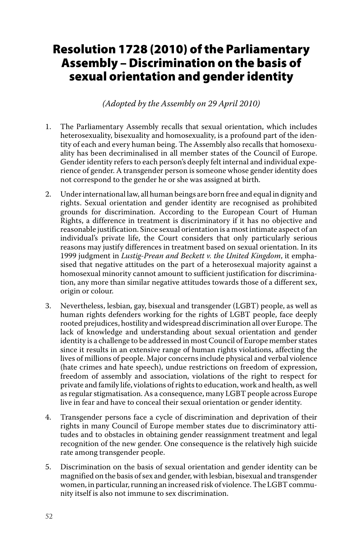# Resolution 1728 (2010) of the Parliamentary Assembly – Discrimination on the basis of sexual orientation and gender identity

*(Adopted by the Assembly on 29 April 2010)*

- 1. The Parliamentary Assembly recalls that sexual orientation, which includes heterosexuality, bisexuality and homosexuality, is a profound part of the identity of each and every human being. The Assembly also recalls that homosexuality has been decriminalised in all member states of the Council of Europe. Gender identity refers to each person's deeply felt internal and individual experience of gender. A transgender person is someone whose gender identity does not correspond to the gender he or she was assigned at birth.
- 2. Under international law, all human beings are born free and equal in dignity and rights. Sexual orientation and gender identity are recognised as prohibited grounds for discrimination. According to the European Court of Human Rights, a difference in treatment is discriminatory if it has no objective and reasonable justification. Since sexual orientation is a most intimate aspect of an individual's private life, the Court considers that only particularly serious reasons may justify differences in treatment based on sexual orientation. In its 1999 judgment in *Lustig-Prean and Beckett v. the United Kingdom*, it emphasised that negative attitudes on the part of a heterosexual majority against a homosexual minority cannot amount to sufficient justification for discrimination, any more than similar negative attitudes towards those of a different sex, origin or colour.
- 3. Nevertheless, lesbian, gay, bisexual and transgender (LGBT) people, as well as human rights defenders working for the rights of LGBT people, face deeply rooted prejudices, hostility and widespread discrimination all over Europe. The lack of knowledge and understanding about sexual orientation and gender identity is a challenge to be addressed in most Council of Europe member states since it results in an extensive range of human rights violations, affecting the lives of millions of people. Major concerns include physical and verbal violence (hate crimes and hate speech), undue restrictions on freedom of expression, freedom of assembly and association, violations of the right to respect for private and family life, violations of rights to education, work and health, as well as regular stigmatisation. As a consequence, many LGBT people across Europe live in fear and have to conceal their sexual orientation or gender identity.
- 4. Transgender persons face a cycle of discrimination and deprivation of their rights in many Council of Europe member states due to discriminatory attitudes and to obstacles in obtaining gender reassignment treatment and legal recognition of the new gender. One consequence is the relatively high suicide rate among transgender people.
- 5. Discrimination on the basis of sexual orientation and gender identity can be magnified on the basis of sex and gender, with lesbian, bisexual and transgender women, in particular, running an increased risk of violence. The LGBT community itself is also not immune to sex discrimination.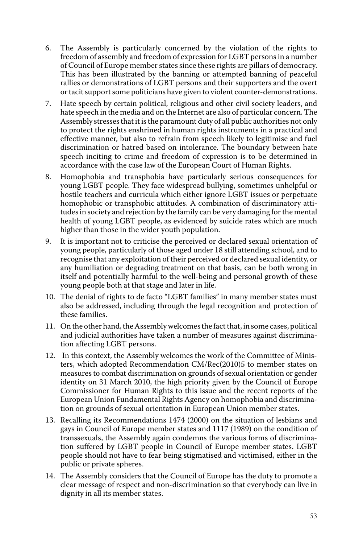- 6. The Assembly is particularly concerned by the violation of the rights to freedom of assembly and freedom of expression for LGBT persons in a number of Council of Europe member states since these rights are pillars of democracy. This has been illustrated by the banning or attempted banning of peaceful rallies or demonstrations of LGBT persons and their supporters and the overt or tacit support some politicians have given to violent counter-demonstrations.
- 7. Hate speech by certain political, religious and other civil society leaders, and hate speech in the media and on the Internet are also of particular concern. The Assembly stresses that it is the paramount duty of all public authorities not only to protect the rights enshrined in human rights instruments in a practical and effective manner, but also to refrain from speech likely to legitimise and fuel discrimination or hatred based on intolerance. The boundary between hate speech inciting to crime and freedom of expression is to be determined in accordance with the case law of the European Court of Human Rights.
- 8. Homophobia and transphobia have particularly serious consequences for young LGBT people. They face widespread bullying, sometimes unhelpful or hostile teachers and curricula which either ignore LGBT issues or perpetuate homophobic or transphobic attitudes. A combination of discriminatory attitudes in society and rejection by the family can be very damaging for the mental health of young LGBT people, as evidenced by suicide rates which are much higher than those in the wider youth population.
- 9. It is important not to criticise the perceived or declared sexual orientation of young people, particularly of those aged under 18 still attending school, and to recognise that any exploitation of their perceived or declared sexual identity, or any humiliation or degrading treatment on that basis, can be both wrong in itself and potentially harmful to the well-being and personal growth of these young people both at that stage and later in life.
- 10. The denial of rights to de facto "LGBT families" in many member states must also be addressed, including through the legal recognition and protection of these families.
- 11. On the other hand, the Assembly welcomes the fact that, in some cases, political and judicial authorities have taken a number of measures against discrimination affecting LGBT persons.
- 12. In this context, the Assembly welcomes the work of the Committee of Ministers, which adopted Recommendation CM/Rec(2010)5 to member states on measures to combat discrimination on grounds of sexual orientation or gender identity on 31 March 2010, the high priority given by the Council of Europe Commissioner for Human Rights to this issue and the recent reports of the European Union Fundamental Rights Agency on homophobia and discrimination on grounds of sexual orientation in European Union member states.
- 13. Recalling its Recommendations 1474 (2000) on the situation of lesbians and gays in Council of Europe member states and 1117 (1989) on the condition of transsexuals, the Assembly again condemns the various forms of discrimination suffered by LGBT people in Council of Europe member states. LGBT people should not have to fear being stigmatised and victimised, either in the public or private spheres.
- 14. The Assembly considers that the Council of Europe has the duty to promote a clear message of respect and non-discrimination so that everybody can live in dignity in all its member states.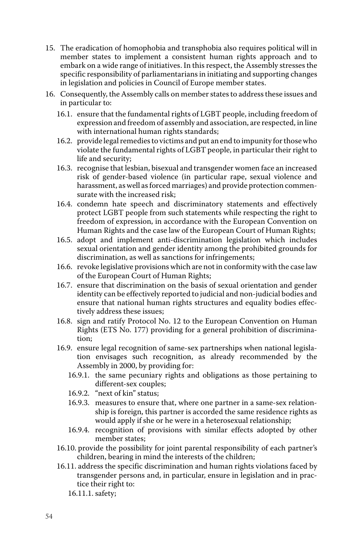- 15. The eradication of homophobia and transphobia also requires political will in member states to implement a consistent human rights approach and to embark on a wide range of initiatives. In this respect, the Assembly stresses the specific responsibility of parliamentarians in initiating and supporting changes in legislation and policies in Council of Europe member states.
- 16. Consequently, the Assembly calls on member states to address these issues and in particular to:
	- 16.1. ensure that the fundamental rights of LGBT people, including freedom of expression and freedom of assembly and association, are respected, in line with international human rights standards;
	- 16.2. provide legal remedies to victims and put an end to impunity for those who violate the fundamental rights of LGBT people, in particular their right to life and security;
	- 16.3. recognise that lesbian, bisexual and transgender women face an increased risk of gender-based violence (in particular rape, sexual violence and harassment, as well as forced marriages) and provide protection commensurate with the increased risk;
	- 16.4. condemn hate speech and discriminatory statements and effectively protect LGBT people from such statements while respecting the right to freedom of expression, in accordance with the European Convention on Human Rights and the case law of the European Court of Human Rights;
	- 16.5. adopt and implement anti-discrimination legislation which includes sexual orientation and gender identity among the prohibited grounds for discrimination, as well as sanctions for infringements;
	- 16.6. revoke legislative provisions which are not in conformity with the case law of the European Court of Human Rights;
	- 16.7. ensure that discrimination on the basis of sexual orientation and gender identity can be effectively reported to judicial and non-judicial bodies and ensure that national human rights structures and equality bodies effectively address these issues;
	- 16.8. sign and ratify Protocol No. 12 to the European Convention on Human Rights (ETS No. 177) providing for a general prohibition of discrimination;
	- 16.9. ensure legal recognition of same-sex partnerships when national legislation envisages such recognition, as already recommended by the Assembly in 2000, by providing for:
		- 16.9.1. the same pecuniary rights and obligations as those pertaining to different-sex couples;
		- 16.9.2. "next of kin" status;
		- 16.9.3. measures to ensure that, where one partner in a same-sex relationship is foreign, this partner is accorded the same residence rights as would apply if she or he were in a heterosexual relationship;
		- 16.9.4. recognition of provisions with similar effects adopted by other member states;
	- 16.10. provide the possibility for joint parental responsibility of each partner's children, bearing in mind the interests of the children;
	- 16.11. address the specific discrimination and human rights violations faced by transgender persons and, in particular, ensure in legislation and in practice their right to:
		- 16.11.1. safety;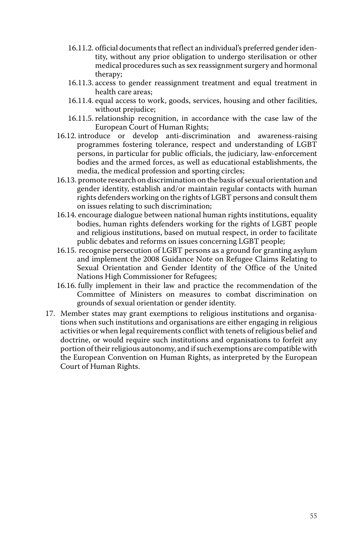- 16.11.2. official documents that reflect an individual's preferred gender identity, without any prior obligation to undergo sterilisation or other medical procedures such as sex reassignment surgery and hormonal therapy;
- 16.11.3. access to gender reassignment treatment and equal treatment in health care areas;
- 16.11.4. equal access to work, goods, services, housing and other facilities, without prejudice;
- 16.11.5. relationship recognition, in accordance with the case law of the European Court of Human Rights;
- 16.12. introduce or develop anti-discrimination and awareness-raising programmes fostering tolerance, respect and understanding of LGBT persons, in particular for public officials, the judiciary, law-enforcement bodies and the armed forces, as well as educational establishments, the media, the medical profession and sporting circles;
- 16.13. promote research on discrimination on the basis of sexual orientation and gender identity, establish and/or maintain regular contacts with human rights defenders working on the rights of LGBT persons and consult them on issues relating to such discrimination;
- 16.14. encourage dialogue between national human rights institutions, equality bodies, human rights defenders working for the rights of LGBT people and religious institutions, based on mutual respect, in order to facilitate public debates and reforms on issues concerning LGBT people;
- 16.15. recognise persecution of LGBT persons as a ground for granting asylum and implement the 2008 Guidance Note on Refugee Claims Relating to Sexual Orientation and Gender Identity of the Office of the United Nations High Commissioner for Refugees;
- 16.16. fully implement in their law and practice the recommendation of the Committee of Ministers on measures to combat discrimination on grounds of sexual orientation or gender identity.
- 17. Member states may grant exemptions to religious institutions and organisations when such institutions and organisations are either engaging in religious activities or when legal requirements conflict with tenets of religious belief and doctrine, or would require such institutions and organisations to forfeit any portion of their religious autonomy, and if such exemptions are compatible with the European Convention on Human Rights, as interpreted by the European Court of Human Rights.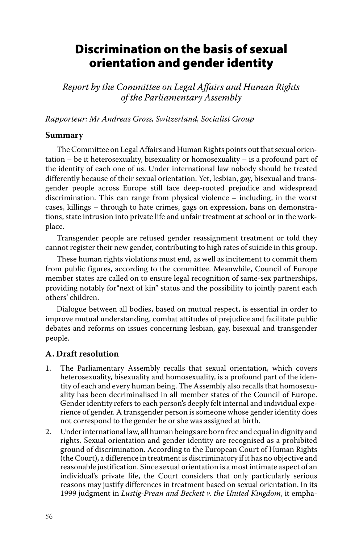## Discrimination on the basis of sexual orientation and gender identity

*Report by the Committee on Legal Affairs and Human Rights of the Parliamentary Assembly*

*Rapporteur: Mr Andreas Gross, Switzerland, Socialist Group*

#### **Summary**

The Committee on Legal Affairs and Human Rights points out that sexual orientation – be it heterosexuality, bisexuality or homosexuality – is a profound part of the identity of each one of us. Under international law nobody should be treated differently because of their sexual orientation. Yet, lesbian, gay, bisexual and transgender people across Europe still face deep-rooted prejudice and widespread discrimination. This can range from physical violence – including, in the worst cases, killings – through to hate crimes, gags on expression, bans on demonstrations, state intrusion into private life and unfair treatment at school or in the workplace.

Transgender people are refused gender reassignment treatment or told they cannot register their new gender, contributing to high rates of suicide in this group.

These human rights violations must end, as well as incitement to commit them from public figures, according to the committee. Meanwhile, Council of Europe member states are called on to ensure legal recognition of same-sex partnerships, providing notably for"next of kin" status and the possibility to jointly parent each others' children.

Dialogue between all bodies, based on mutual respect, is essential in order to improve mutual understanding, combat attitudes of prejudice and facilitate public debates and reforms on issues concerning lesbian, gay, bisexual and transgender people.

#### **A. Draft resolution**

- 1. The Parliamentary Assembly recalls that sexual orientation, which covers heterosexuality, bisexuality and homosexuality, is a profound part of the identity of each and every human being. The Assembly also recalls that homosexuality has been decriminalised in all member states of the Council of Europe. Gender identity refers to each person's deeply felt internal and individual experience of gender. A transgender person is someone whose gender identity does not correspond to the gender he or she was assigned at birth.
- 2. Under international law, all human beings are born free and equal in dignity and rights. Sexual orientation and gender identity are recognised as a prohibited ground of discrimination. According to the European Court of Human Rights (the Court), a difference in treatment is discriminatory if it has no objective and reasonable justification. Since sexual orientation is a most intimate aspect of an individual's private life, the Court considers that only particularly serious reasons may justify differences in treatment based on sexual orientation. In its 1999 judgment in *Lustig-Prean and Beckett v. the United Kingdom*, it empha-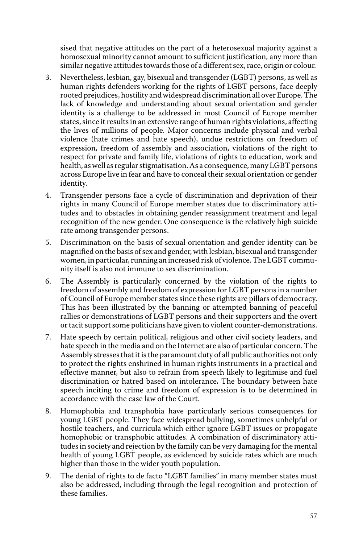sised that negative attitudes on the part of a heterosexual majority against a homosexual minority cannot amount to sufficient justification, any more than similar negative attitudes towards those of a different sex, race, origin or colour.

- 3. Nevertheless, lesbian, gay, bisexual and transgender (LGBT) persons, as well as human rights defenders working for the rights of LGBT persons, face deeply rooted prejudices, hostility and widespread discrimination all over Europe. The lack of knowledge and understanding about sexual orientation and gender identity is a challenge to be addressed in most Council of Europe member states, since it results in an extensive range of human rights violations, affecting the lives of millions of people. Major concerns include physical and verbal violence (hate crimes and hate speech), undue restrictions on freedom of expression, freedom of assembly and association, violations of the right to respect for private and family life, violations of rights to education, work and health, as well as regular stigmatisation. As a consequence, many LGBT persons across Europe live in fear and have to conceal their sexual orientation or gender identity.
- 4. Transgender persons face a cycle of discrimination and deprivation of their rights in many Council of Europe member states due to discriminatory attitudes and to obstacles in obtaining gender reassignment treatment and legal recognition of the new gender. One consequence is the relatively high suicide rate among transgender persons.
- 5. Discrimination on the basis of sexual orientation and gender identity can be magnified on the basis of sex and gender, with lesbian, bisexual and transgender women, in particular, running an increased risk of violence. The LGBT community itself is also not immune to sex discrimination.
- 6. The Assembly is particularly concerned by the violation of the rights to freedom of assembly and freedom of expression for LGBT persons in a number of Council of Europe member states since these rights are pillars of democracy. This has been illustrated by the banning or attempted banning of peaceful rallies or demonstrations of LGBT persons and their supporters and the overt or tacit support some politicians have given to violent counter-demonstrations.
- 7. Hate speech by certain political, religious and other civil society leaders, and hate speech in the media and on the Internet are also of particular concern. The Assembly stresses that it is the paramount duty of all public authorities not only to protect the rights enshrined in human rights instruments in a practical and effective manner, but also to refrain from speech likely to legitimise and fuel discrimination or hatred based on intolerance**.** The boundary between hate speech inciting to crime and freedom of expression is to be determined in accordance with the case law of the Court.
- 8. Homophobia and transphobia have particularly serious consequences for young LGBT people. They face widespread bullying, sometimes unhelpful or hostile teachers, and curricula which either ignore LGBT issues or propagate homophobic or transphobic attitudes. A combination of discriminatory attitudes in society and rejection by the family can be very damaging for the mental health of young LGBT people, as evidenced by suicide rates which are much higher than those in the wider youth population.
- 9. The denial of rights to de facto "LGBT families" in many member states must also be addressed, including through the legal recognition and protection of these families.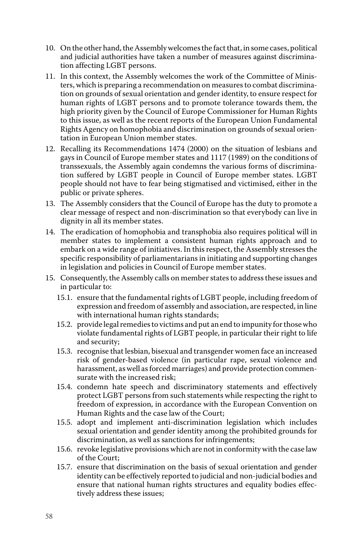- 10. On the other hand, the Assembly welcomes the fact that, in some cases, political and judicial authorities have taken a number of measures against discrimination affecting LGBT persons.
- 11. In this context, the Assembly welcomes the work of the Committee of Ministers, which is preparing a recommendation on measures to combat discrimination on grounds of sexual orientation and gender identity, to ensure respect for human rights of LGBT persons and to promote tolerance towards them, the high priority given by the Council of Europe Commissioner for Human Rights to this issue, as well as the recent reports of the European Union Fundamental Rights Agency on homophobia and discrimination on grounds of sexual orientation in European Union member states.
- 12. Recalling its Recommendations 1474 (2000) on the situation of lesbians and gays in Council of Europe member states and 1117 (1989) on the conditions of transsexuals, the Assembly again condemns the various forms of discrimination suffered by LGBT people in Council of Europe member states. LGBT people should not have to fear being stigmatised and victimised, either in the public or private spheres.
- 13. The Assembly considers that the Council of Europe has the duty to promote a clear message of respect and non-discrimination so that everybody can live in dignity in all its member states.
- 14. The eradication of homophobia and transphobia also requires political will in member states to implement a consistent human rights approach and to embark on a wide range of initiatives. In this respect, the Assembly stresses the specific responsibility of parliamentarians in initiating and supporting changes in legislation and policies in Council of Europe member states.
- 15. Consequently, the Assembly calls on member states to address these issues and in particular to:
	- 15.1. ensure that the fundamental rights of LGBT people, including freedom of expression and freedom of assembly and association, are respected, in line with international human rights standards;
	- 15.2. provide legal remedies to victims and put an end to impunity for those who violate fundamental rights of LGBT people, in particular their right to life and security;
	- 15.3. recognise that lesbian, bisexual and transgender women face an increased risk of gender-based violence (in particular rape, sexual violence and harassment, as well as forced marriages) and provide protection commensurate with the increased risk;
	- 15.4. condemn hate speech and discriminatory statements and effectively protect LGBT persons from such statements while respecting the right to freedom of expression, in accordance with the European Convention on Human Rights and the case law of the Court;
	- 15.5. adopt and implement anti-discrimination legislation which includes sexual orientation and gender identity among the prohibited grounds for discrimination, as well as sanctions for infringements;
	- 15.6. revoke legislative provisions which are not in conformity with the case law of the Court;
	- 15.7. ensure that discrimination on the basis of sexual orientation and gender identity can be effectively reported to judicial and non-judicial bodies and ensure that national human rights structures and equality bodies effectively address these issues;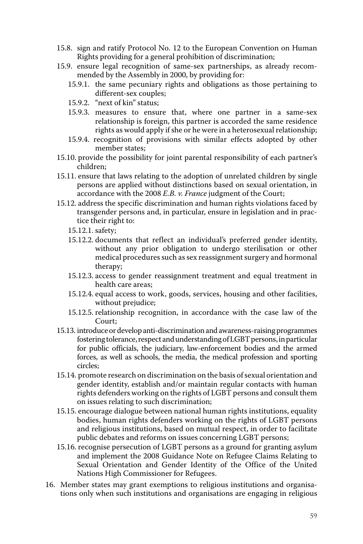- 15.8. sign and ratify Protocol No. 12 to the European Convention on Human Rights providing for a general prohibition of discrimination;
- 15.9. ensure legal recognition of same-sex partnerships, as already recommended by the Assembly in 2000, by providing for:
	- 15.9.1. the same pecuniary rights and obligations as those pertaining to different-sex couples;
	- 15.9.2. "next of kin" status;
	- 15.9.3. measures to ensure that, where one partner in a same-sex relationship is foreign, this partner is accorded the same residence rights as would apply if she or he were in a heterosexual relationship;
	- 15.9.4. recognition of provisions with similar effects adopted by other member states;
- 15.10. provide the possibility for joint parental responsibility of each partner's children;
- 15.11. ensure that laws relating to the adoption of unrelated children by single persons are applied without distinctions based on sexual orientation, in accordance with the 2008 *E.B. v. France* judgment of the Court;
- 15.12. address the specific discrimination and human rights violations faced by transgender persons and, in particular, ensure in legislation and in practice their right to:
	- 15.12.1. safety;
	- 15.12.2. documents that reflect an individual's preferred gender identity, without any prior obligation to undergo sterilisation or other medical procedures such as sex reassignment surgery and hormonal therapy;
	- 15.12.3. access to gender reassignment treatment and equal treatment in health care areas;
	- 15.12.4. equal access to work, goods, services, housing and other facilities, without prejudice;
	- 15.12.5. relationship recognition, in accordance with the case law of the Court;
- 15.13. introduce or develop anti-discrimination and awareness-raising programmes fostering tolerance, respect and understanding of LGBT persons, in particular for public officials, the judiciary, law-enforcement bodies and the armed forces, as well as schools, the media, the medical profession and sporting circles;
- 15.14. promote research on discrimination on the basis of sexual orientation and gender identity, establish and/or maintain regular contacts with human rights defenders working on the rights of LGBT persons and consult them on issues relating to such discrimination;
- 15.15. encourage dialogue between national human rights institutions, equality bodies, human rights defenders working on the rights of LGBT persons and religious institutions, based on mutual respect, in order to facilitate public debates and reforms on issues concerning LGBT persons;
- 15.16. recognise persecution of LGBT persons as a ground for granting asylum and implement the 2008 Guidance Note on Refugee Claims Relating to Sexual Orientation and Gender Identity of the Office of the United Nations High Commissioner for Refugees.
- 16. Member states may grant exemptions to religious institutions and organisations only when such institutions and organisations are engaging in religious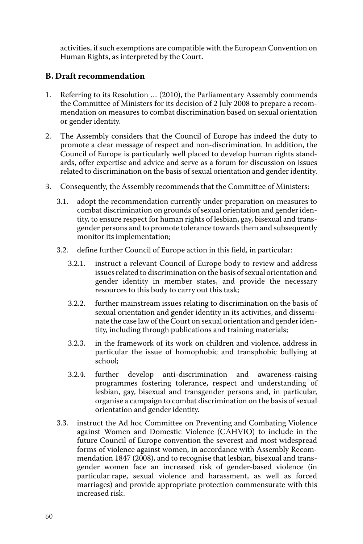activities, if such exemptions are compatible with the European Convention on Human Rights, as interpreted by the Court.

### **B. Draft recommendation**

- 1. Referring to its Resolution … (2010), the Parliamentary Assembly commends the Committee of Ministers for its decision of 2 July 2008 to prepare a recommendation on measures to combat discrimination based on sexual orientation or gender identity.
- 2. The Assembly considers that the Council of Europe has indeed the duty to promote a clear message of respect and non-discrimination. In addition, the Council of Europe is particularly well placed to develop human rights standards, offer expertise and advice and serve as a forum for discussion on issues related to discrimination on the basis of sexual orientation and gender identity.
- 3. Consequently, the Assembly recommends that the Committee of Ministers:
	- 3.1. adopt the recommendation currently under preparation on measures to combat discrimination on grounds of sexual orientation and gender identity, to ensure respect for human rights of lesbian, gay, bisexual and transgender persons and to promote tolerance towards them and subsequently monitor its implementation;
	- 3.2. define further Council of Europe action in this field, in particular:
		- 3.2.1. instruct a relevant Council of Europe body to review and address issues related to discrimination on the basis of sexual orientation and gender identity in member states, and provide the necessary resources to this body to carry out this task;
		- 3.2.2. further mainstream issues relating to discrimination on the basis of sexual orientation and gender identity in its activities, and disseminate the case law of the Court on sexual orientation and gender identity, including through publications and training materials;
		- 3.2.3. in the framework of its work on children and violence, address in particular the issue of homophobic and transphobic bullying at school;
		- 3.2.4. further develop anti-discrimination and awareness-raising programmes fostering tolerance, respect and understanding of lesbian, gay, bisexual and transgender persons and, in particular, organise a campaign to combat discrimination on the basis of sexual orientation and gender identity.
	- 3.3. instruct the Ad hoc Committee on Preventing and Combating Violence against Women and Domestic Violence (CAHVIO) to include in the future Council of Europe convention the severest and most widespread forms of violence against women, in accordance with Assembly Recommendation 1847 (2008), and to recognise that lesbian, bisexual and transgender women face an increased risk of gender-based violence (in particular rape, sexual violence and harassment, as well as forced marriages) and provide appropriate protection commensurate with this increased risk.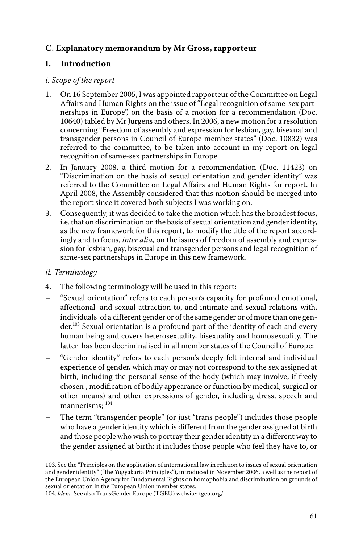## **C. Explanatory memorandum by Mr Gross, rapporteur**

### **I. Introduction**

### *i. Scope of the report*

- 1. On 16 September 2005, I was appointed rapporteur of the Committee on Legal Affairs and Human Rights on the issue of "Legal recognition of same-sex partnerships in Europe", on the basis of a motion for a recommendation (Doc. 10640) tabled by Mr Jurgens and others. In 2006, a new motion for a resolution concerning "Freedom of assembly and expression for lesbian, gay, bisexual and transgender persons in Council of Europe member states" (Doc. 10832) was referred to the committee, to be taken into account in my report on legal recognition of same-sex partnerships in Europe.
- 2. In January 2008, a third motion for a recommendation (Doc. 11423) on "Discrimination on the basis of sexual orientation and gender identity" was referred to the Committee on Legal Affairs and Human Rights for report. In April 2008, the Assembly considered that this motion should be merged into the report since it covered both subjects I was working on.
- 3. Consequently, it was decided to take the motion which has the broadest focus, i.e. that on discrimination on the basis of sexual orientation and gender identity, as the new framework for this report, to modify the title of the report accordingly and to focus, *inter alia*, on the issues of freedom of assembly and expression for lesbian, gay, bisexual and transgender persons and legal recognition of same-sex partnerships in Europe in this new framework.

### *ii. Terminology*

- 4. The following terminology will be used in this report:
- "Sexual orientation" refers to each person's capacity for profound emotional, affectional and sexual attraction to, and intimate and sexual relations with, individuals of a different gender or of the same gender or of more than one gender.<sup>103</sup> Sexual orientation is a profound part of the identity of each and every human being and covers heterosexuality, bisexuality and homosexuality. The latter has been decriminalised in all member states of the Council of Europe;
- "Gender identity" refers to each person's deeply felt internal and individual experience of gender, which may or may not correspond to the sex assigned at birth, including the personal sense of the body (which may involve, if freely chosen , modification of bodily appearance or function by medical, surgical or other means) and other expressions of gender, including dress, speech and mannerisms; <sup>104</sup>
- The term "transgender people" (or just "trans people") includes those people who have a gender identity which is different from the gender assigned at birth and those people who wish to portray their gender identity in a different way to the gender assigned at birth; it includes those people who feel they have to, or

<sup>103.</sup> See the "Principles on the application of international law in relation to issues of sexual orientation and gender identity" ("the Yogyakarta Principles"), introduced in November 2006, a well as the report of the European Union Agency for Fundamental Rights on homophobia and discrimination on grounds of sexual orientation in the European Union member states.

<sup>104.</sup>*Idem.* See also TransGender Europe (TGEU) website: tgeu.org/.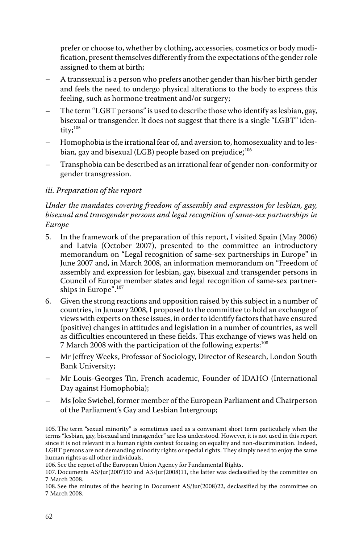prefer or choose to, whether by clothing, accessories, cosmetics or body modification, present themselves differently from the expectations of the gender role assigned to them at birth;

- A transsexual is a person who prefers another gender than his/her birth gender and feels the need to undergo physical alterations to the body to express this feeling, such as hormone treatment and/or surgery;
- The term "LGBT persons" is used to describe those who identify as lesbian, gay, bisexual or transgender. It does not suggest that there is a single "LGBT" identity;<sup>105</sup>
- Homophobia is the irrational fear of, and aversion to, homosexuality and to lesbian, gay and bisexual (LGB) people based on prejudice; $^{106}$
- Transphobia can be described as an irrational fear of gender non-conformity or gender transgression.

### *iii. Preparation of the report*

*Under the mandates covering freedom of assembly and expression for lesbian, gay, bisexual and transgender persons and legal recognition of same-sex partnerships in Europe*

- 5. In the framework of the preparation of this report, I visited Spain (May 2006) and Latvia (October 2007), presented to the committee an introductory memorandum on "Legal recognition of same-sex partnerships in Europe" in June 2007 and, in March 2008, an information memorandum on "Freedom of assembly and expression for lesbian, gay, bisexual and transgender persons in Council of Europe member states and legal recognition of same-sex partnerships in Europe". 107
- 6. Given the strong reactions and opposition raised by this subject in a number of countries, in January 2008, I proposed to the committee to hold an exchange of views with experts on these issues, in order to identify factors that have ensured (positive) changes in attitudes and legislation in a number of countries, as well as difficulties encountered in these fields. This exchange of views was held on 7 March 2008 with the participation of the following experts:<sup>108</sup>
- Mr Jeffrey Weeks, Professor of Sociology, Director of Research, London South Bank University;
- Mr Louis-Georges Tin, French academic, Founder of IDAHO (International Day against Homophobia);
- Ms Joke Swiebel, former member of the European Parliament and Chairperson of the Parliament's Gay and Lesbian Intergroup;

<sup>105.</sup> The term "sexual minority" is sometimes used as a convenient short term particularly when the terms "lesbian, gay, bisexual and transgender" are less understood. However, it is not used in this report since it is not relevant in a human rights context focusing on equality and non-discrimination. Indeed, LGBT persons are not demanding minority rights or special rights. They simply need to enjoy the same human rights as all other individuals.

<sup>106.</sup> See the report of the European Union Agency for Fundamental Rights.

<sup>107.</sup> Documents AS/Jur(2007)30 and AS/Jur(2008)11, the latter was declassified by the committee on 7 March 2008.

<sup>108.</sup> See the minutes of the hearing in Document AS/Jur(2008)22, declassified by the committee on 7 March 2008.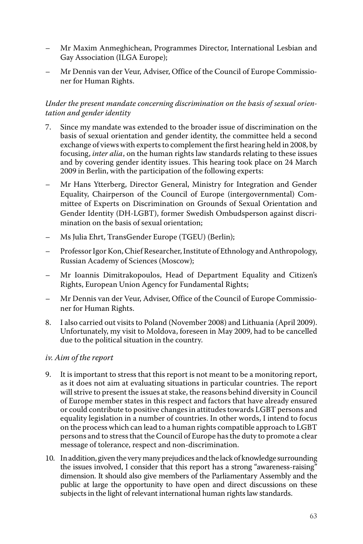- Mr Maxim Anmeghichean, Programmes Director, International Lesbian and Gay Association (ILGA Europe);
- Mr Dennis van der Veur, Adviser, Office of the Council of Europe Commissioner for Human Rights.

### *Under the present mandate concerning discrimination on the basis of sexual orientation and gender identity*

- 7. Since my mandate was extended to the broader issue of discrimination on the basis of sexual orientation and gender identity, the committee held a second exchange of views with experts to complement the first hearing held in 2008, by focusing, *inter alia*, on the human rights law standards relating to these issues and by covering gender identity issues. This hearing took place on 24 March 2009 in Berlin, with the participation of the following experts:
- Mr Hans Ytterberg, Director General, Ministry for Integration and Gender Equality, Chairperson of the Council of Europe (intergovernmental) Committee of Experts on Discrimination on Grounds of Sexual Orientation and Gender Identity (DH-LGBT), former Swedish Ombudsperson against discrimination on the basis of sexual orientation;
- Ms Julia Ehrt, TransGender Europe (TGEU) (Berlin);
- Professor Igor Kon, Chief Researcher, Institute of Ethnology and Anthropology, Russian Academy of Sciences (Moscow);
- Mr Ioannis Dimitrakopoulos, Head of Department Equality and Citizen's Rights, European Union Agency for Fundamental Rights;
- Mr Dennis van der Veur, Adviser, Office of the Council of Europe Commissioner for Human Rights.
- 8. I also carried out visits to Poland (November 2008) and Lithuania (April 2009). Unfortunately, my visit to Moldova, foreseen in May 2009, had to be cancelled due to the political situation in the country.

### *iv. Aim of the report*

- 9. It is important to stress that this report is not meant to be a monitoring report, as it does not aim at evaluating situations in particular countries. The report will strive to present the issues at stake, the reasons behind diversity in Council of Europe member states in this respect and factors that have already ensured or could contribute to positive changes in attitudes towards LGBT persons and equality legislation in a number of countries. In other words, I intend to focus on the process which can lead to a human rights compatible approach to LGBT persons and to stress that the Council of Europe has the duty to promote a clear message of tolerance, respect and non-discrimination.
- 10. In addition, given the very many prejudices and the lack of knowledge surrounding the issues involved, I consider that this report has a strong "awareness-raising" dimension. It should also give members of the Parliamentary Assembly and the public at large the opportunity to have open and direct discussions on these subjects in the light of relevant international human rights law standards.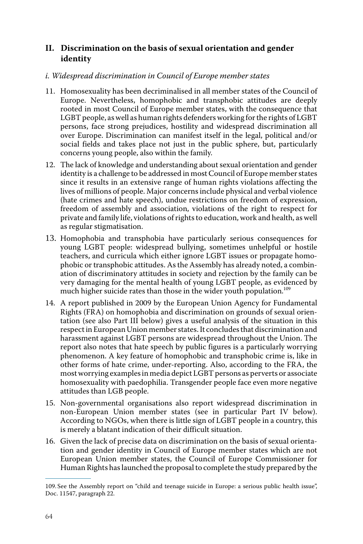### **II. Discrimination on the basis of sexual orientation and gender identity**

### *i. Widespread discrimination in Council of Europe member states*

- 11. Homosexuality has been decriminalised in all member states of the Council of Europe. Nevertheless, homophobic and transphobic attitudes are deeply rooted in most Council of Europe member states, with the consequence that LGBT people, as well as human rights defenders working for the rights of LGBT persons, face strong prejudices, hostility and widespread discrimination all over Europe. Discrimination can manifest itself in the legal, political and/or social fields and takes place not just in the public sphere, but, particularly concerns young people, also within the family.
- 12. The lack of knowledge and understanding about sexual orientation and gender identity is a challenge to be addressed in most Council of Europe member states since it results in an extensive range of human rights violations affecting the lives of millions of people. Major concerns include physical and verbal violence (hate crimes and hate speech), undue restrictions on freedom of expression, freedom of assembly and association, violations of the right to respect for private and family life, violations of rights to education, work and health, as well as regular stigmatisation.
- 13. Homophobia and transphobia have particularly serious consequences for young LGBT people: widespread bullying, sometimes unhelpful or hostile teachers, and curricula which either ignore LGBT issues or propagate homophobic or transphobic attitudes. As the Assembly has already noted, a combination of discriminatory attitudes in society and rejection by the family can be very damaging for the mental health of young LGBT people, as evidenced by much higher suicide rates than those in the wider youth population.<sup>109</sup>
- 14. A report published in 2009 by the European Union Agency for Fundamental Rights (FRA) on homophobia and discrimination on grounds of sexual orientation (see also Part III below) gives a useful analysis of the situation in this respect in European Union member states. It concludes that discrimination and harassment against LGBT persons are widespread throughout the Union. The report also notes that hate speech by public figures is a particularly worrying phenomenon. A key feature of homophobic and transphobic crime is, like in other forms of hate crime, under-reporting. Also, according to the FRA, the most worrying examples in media depict LGBT persons as perverts or associate homosexuality with paedophilia. Transgender people face even more negative attitudes than LGB people.
- 15. Non-governmental organisations also report widespread discrimination in non-European Union member states (see in particular Part IV below). According to NGOs, when there is little sign of LGBT people in a country, this is merely a blatant indication of their difficult situation.
- 16. Given the lack of precise data on discrimination on the basis of sexual orientation and gender identity in Council of Europe member states which are not European Union member states, the Council of Europe Commissioner for Human Rights has launched the proposal to complete the study prepared by the

<sup>109.</sup> See the Assembly report on "child and teenage suicide in Europe: a serious public health issue", Doc. 11547, paragraph 22.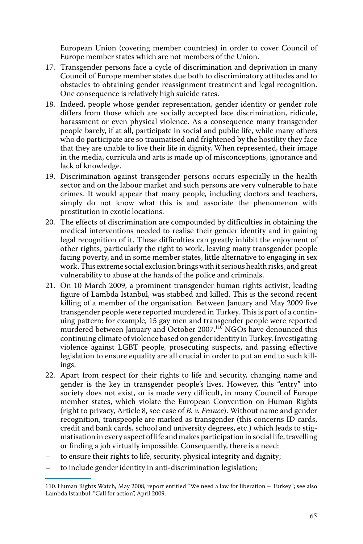European Union (covering member countries) in order to cover Council of Europe member states which are not members of the Union.

- 17. Transgender persons face a cycle of discrimination and deprivation in many Council of Europe member states due both to discriminatory attitudes and to obstacles to obtaining gender reassignment treatment and legal recognition. One consequence is relatively high suicide rates.
- 18. Indeed, people whose gender representation, gender identity or gender role differs from those which are socially accepted face discrimination, ridicule, harassment or even physical violence. As a consequence many transgender people barely, if at all, participate in social and public life, while many others who do participate are so traumatised and frightened by the hostility they face that they are unable to live their life in dignity. When represented, their image in the media, curricula and arts is made up of misconceptions, ignorance and lack of knowledge.
- 19. Discrimination against transgender persons occurs especially in the health sector and on the labour market and such persons are very vulnerable to hate crimes. It would appear that many people, including doctors and teachers, simply do not know what this is and associate the phenomenon with prostitution in exotic locations.
- 20. The effects of discrimination are compounded by difficulties in obtaining the medical interventions needed to realise their gender identity and in gaining legal recognition of it. These difficulties can greatly inhibit the enjoyment of other rights, particularly the right to work, leaving many transgender people facing poverty, and in some member states, little alternative to engaging in sex work. This extreme social exclusion brings with it serious health risks, and great vulnerability to abuse at the hands of the police and criminals.
- 21. On 10 March 2009, a prominent transgender human rights activist, leading figure of Lambda Istanbul, was stabbed and killed. This is the second recent killing of a member of the organisation. Between January and May 2009 five transgender people were reported murdered in Turkey. This is part of a continuing pattern: for example, 15 gay men and transgender people were reported murdered between January and October 2007.<sup>110</sup> NGOs have denounced this continuing climate of violence based on gender identity in Turkey. Investigating violence against LGBT people, prosecuting suspects, and passing effective legislation to ensure equality are all crucial in order to put an end to such killings.
- 22. Apart from respect for their rights to life and security, changing name and gender is the key in transgender people's lives. However, this "entry" into society does not exist, or is made very difficult, in many Council of Europe member states, which violate the European Convention on Human Rights (right to privacy, Article 8, see case of *B. v. France*). Without name and gender recognition, transpeople are marked as transgender (this concerns ID cards, credit and bank cards, school and university degrees, etc.) which leads to stigmatisation in every aspect of life and makes participation in social life, travelling or finding a job virtually impossible. Consequently, there is a need:
- to ensure their rights to life, security, physical integrity and dignity;
- to include gender identity in anti-discrimination legislation;

<sup>110.</sup> Human Rights Watch, May 2008, report entitled "We need a law for liberation – Turkey"; see also Lambda Istanbul, "Call for action", April 2009.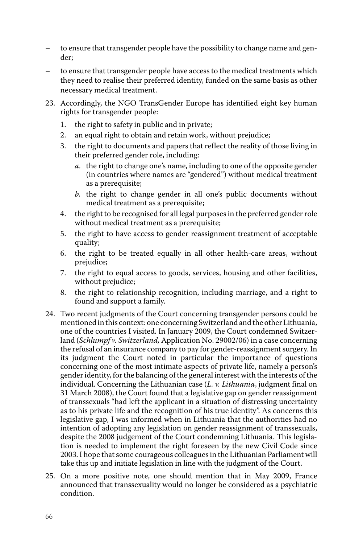- to ensure that transgender people have the possibility to change name and gender;
- to ensure that transgender people have access to the medical treatments which they need to realise their preferred identity, funded on the same basis as other necessary medical treatment.
- 23. Accordingly, the NGO TransGender Europe has identified eight key human rights for transgender people:
	- 1. the right to safety in public and in private;
	- 2. an equal right to obtain and retain work, without prejudice;
	- 3. the right to documents and papers that reflect the reality of those living in their preferred gender role, including:
		- *a.* the right to change one's name, including to one of the opposite gender (in countries where names are "gendered") without medical treatment as a prerequisite;
		- *b.* the right to change gender in all one's public documents without medical treatment as a prerequisite;
	- 4. the right to be recognised for all legal purposes in the preferred gender role without medical treatment as a prerequisite;
	- 5. the right to have access to gender reassignment treatment of acceptable quality;
	- 6. the right to be treated equally in all other health-care areas, without prejudice;
	- 7. the right to equal access to goods, services, housing and other facilities, without prejudice;
	- 8. the right to relationship recognition, including marriage, and a right to found and support a family.
- 24. Two recent judgments of the Court concerning transgender persons could be mentioned in this context: one concerning Switzerland and the other Lithuania, one of the countries I visited. In January 2009, the Court condemned Switzerland (*Schlumpf v. Switzerland,* Application No. 29002/06) in a case concerning the refusal of an insurance company to pay for gender-reassignment surgery. In its judgment the Court noted in particular the importance of questions concerning one of the most intimate aspects of private life, namely a person's gender identity, for the balancing of the general interest with the interests of the individual. Concerning the Lithuanian case (*L. v. Lithuania*, judgment final on 31 March 2008), the Court found that a legislative gap on gender reassignment of transsexuals "had left the applicant in a situation of distressing uncertainty as to his private life and the recognition of his true identity". As concerns this legislative gap, I was informed when in Lithuania that the authorities had no intention of adopting any legislation on gender reassignment of transsexuals, despite the 2008 judgement of the Court condemning Lithuania. This legislation is needed to implement the right foreseen by the new Civil Code since 2003. I hope that some courageous colleagues in the Lithuanian Parliament will take this up and initiate legislation in line with the judgment of the Court.
- 25. On a more positive note, one should mention that in May 2009, France announced that transsexuality would no longer be considered as a psychiatric condition.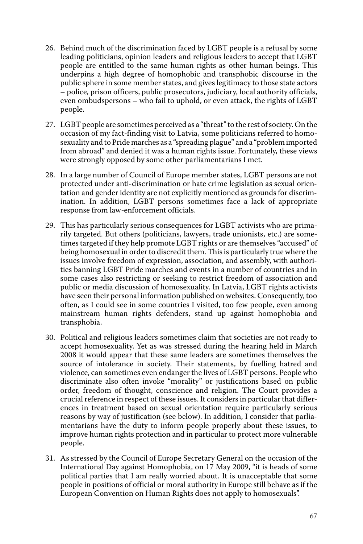- 26. Behind much of the discrimination faced by LGBT people is a refusal by some leading politicians, opinion leaders and religious leaders to accept that LGBT people are entitled to the same human rights as other human beings. This underpins a high degree of homophobic and transphobic discourse in the public sphere in some member states, and gives legitimacy to those state actors – police, prison officers, public prosecutors, judiciary, local authority officials, even ombudspersons – who fail to uphold, or even attack, the rights of LGBT people.
- 27. LGBT people are sometimes perceived as a "threat" to the rest of society. On the occasion of my fact-finding visit to Latvia, some politicians referred to homosexuality and to Pride marches as a "spreading plague" and a "problem imported from abroad" and denied it was a human rights issue. Fortunately, these views were strongly opposed by some other parliamentarians I met.
- 28. In a large number of Council of Europe member states, LGBT persons are not protected under anti-discrimination or hate crime legislation as sexual orientation and gender identity are not explicitly mentioned as grounds for discrimination. In addition, LGBT persons sometimes face a lack of appropriate response from law-enforcement officials.
- 29. This has particularly serious consequences for LGBT activists who are primarily targeted. But others (politicians, lawyers, trade unionists, etc.) are sometimes targeted if they help promote LGBT rights or are themselves "accused" of being homosexual in order to discredit them. This is particularly true where the issues involve freedom of expression, association, and assembly, with authorities banning LGBT Pride marches and events in a number of countries and in some cases also restricting or seeking to restrict freedom of association and public or media discussion of homosexuality. In Latvia, LGBT rights activists have seen their personal information published on websites. Consequently, too often, as I could see in some countries I visited, too few people, even among mainstream human rights defenders, stand up against homophobia and transphobia.
- 30. Political and religious leaders sometimes claim that societies are not ready to accept homosexuality. Yet as was stressed during the hearing held in March 2008 it would appear that these same leaders are sometimes themselves the source of intolerance in society. Their statements, by fuelling hatred and violence, can sometimes even endanger the lives of LGBT persons. People who discriminate also often invoke "morality" or justifications based on public order, freedom of thought, conscience and religion. The Court provides a crucial reference in respect of these issues. It considers in particular that differences in treatment based on sexual orientation require particularly serious reasons by way of justification (see below). In addition, I consider that parliamentarians have the duty to inform people properly about these issues, to improve human rights protection and in particular to protect more vulnerable people.
- 31. As stressed by the Council of Europe Secretary General on the occasion of the International Day against Homophobia, on 17 May 2009, "it is heads of some political parties that I am really worried about. It is unacceptable that some people in positions of official or moral authority in Europe still behave as if the European Convention on Human Rights does not apply to homosexuals".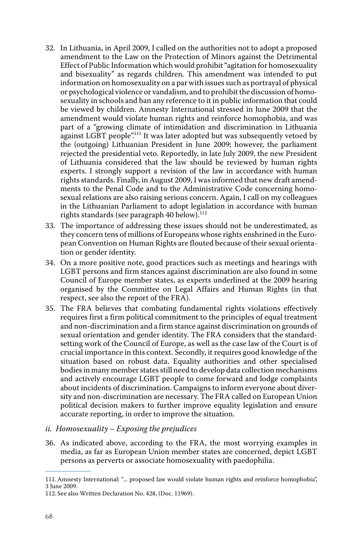- 32. In Lithuania, in April 2009, I called on the authorities not to adopt a proposed amendment to the Law on the Protection of Minors against the Detrimental Effect of Public Information which would prohibit "agitation for homosexuality and bisexuality" as regards children. This amendment was intended to put information on homosexuality on a par with issues such as portrayal of physical or psychological violence or vandalism, and to prohibit the discussion of homosexuality in schools and ban any reference to it in public information that could be viewed by children. Amnesty International stressed in June 2009 that the amendment would violate human rights and reinforce homophobia, and was part of a "growing climate of intimidation and discrimination in Lithuania against LGBT people".<sup>111</sup> It was later adopted but was subsequently vetoed by the (outgoing) Lithuanian President in June 2009; however, the parliament rejected the presidential veto. Reportedly, in late July 2009, the new President of Lithuania considered that the law should be reviewed by human rights experts. I strongly support a revision of the law in accordance with human rights standards. Finally, in August 2009, I was informed that new draft amendments to the Penal Code and to the Administrative Code concerning homosexual relations are also raising serious concern. Again, I call on my colleagues in the Lithuanian Parliament to adopt legislation in accordance with human rights standards (see paragraph 40 below).<sup>112</sup>
- 33. The importance of addressing these issues should not be underestimated, as they concern tens of millions of Europeans whose rights enshrined in the European Convention on Human Rights are flouted because of their sexual orientation or gender identity.
- 34. On a more positive note, good practices such as meetings and hearings with LGBT persons and firm stances against discrimination are also found in some Council of Europe member states, as experts underlined at the 2009 hearing organised by the Committee on Legal Affairs and Human Rights (in that respect, see also the report of the FRA).
- 35. The FRA believes that combating fundamental rights violations effectively requires first a firm political commitment to the principles of equal treatment and non-discrimination and a firm stance against discrimination on grounds of sexual orientation and gender identity. The FRA considers that the standardsetting work of the Council of Europe, as well as the case law of the Court is of crucial importance in this context. Secondly, it requires good knowledge of the situation based on robust data. Equality authorities and other specialised bodies in many member states still need to develop data collection mechanisms and actively encourage LGBT people to come forward and lodge complaints about incidents of discrimination. Campaigns to inform everyone about diversity and non-discrimination are necessary. The FRA called on European Union political decision makers to further improve equality legislation and ensure accurate reporting, in order to improve the situation.

#### *ii. Homosexuality – Exposing the prejudices*

36. As indicated above, according to the FRA, the most worrying examples in media, as far as European Union member states are concerned, depict LGBT persons as perverts or associate homosexuality with paedophilia.

<sup>111.</sup> Amnesty International: "... proposed law would violate human rights and reinforce homophobia", 3 June 2009.

<sup>112.</sup> See also Written Declaration No. 428, (Doc. 11969).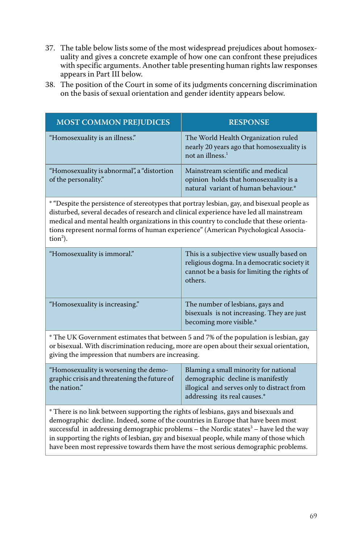- 37. The table below lists some of the most widespread prejudices about homosexuality and gives a concrete example of how one can confront these prejudices with specific arguments. Another table presenting human rights law responses appears in Part III below.
- 38. The position of the Court in some of its judgments concerning discrimination on the basis of sexual orientation and gender identity appears below.

| <b>MOST COMMON PREJUDICES</b>                                      | <b>RESPONSE</b>                                                                                                    |
|--------------------------------------------------------------------|--------------------------------------------------------------------------------------------------------------------|
| "Homosexuality is an illness."                                     | The World Health Organization ruled<br>nearly 20 years ago that homosexuality is<br>not an illness. <sup>1</sup>   |
| "Homosexuality is abnormal", a "distortion<br>of the personality." | Mainstream scientific and medical<br>opinion holds that homosexuality is a<br>natural variant of human behaviour.* |

\* "Despite the persistence of stereotypes that portray lesbian, gay, and bisexual people as disturbed, several decades of research and clinical experience have led all mainstream medical and mental health organizations in this country to conclude that these orientations represent normal forms of human experience" (American Psychological Associa- $\text{tion}^2$ ).

| "Homosexuality is immoral."    | This is a subjective view usually based on<br>religious dogma. In a democratic society it<br>cannot be a basis for limiting the rights of<br>others. |
|--------------------------------|------------------------------------------------------------------------------------------------------------------------------------------------------|
| "Homosexuality is increasing." | The number of lesbians, gays and<br>bisexuals is not increasing. They are just<br>becoming more visible.*                                            |

\* The UK Government estimates that between 5 and 7% of the population is lesbian, gay or bisexual. With discrimination reducing, more are open about their sexual orientation, giving the impression that numbers are increasing.

| "Homosexuality is worsening the demo-        | Blaming a small minority for national      |
|----------------------------------------------|--------------------------------------------|
| graphic crisis and threatening the future of | demographic decline is manifestly          |
| the nation."                                 | illogical and serves only to distract from |
|                                              | addressing its real causes.*               |

\* There is no link between supporting the rights of lesbians, gays and bisexuals and demographic decline. Indeed, some of the countries in Europe that have been most successful in addressing demographic problems – the Nordic states $3$  – have led the way in supporting the rights of lesbian, gay and bisexual people, while many of those which have been most repressive towards them have the most serious demographic problems.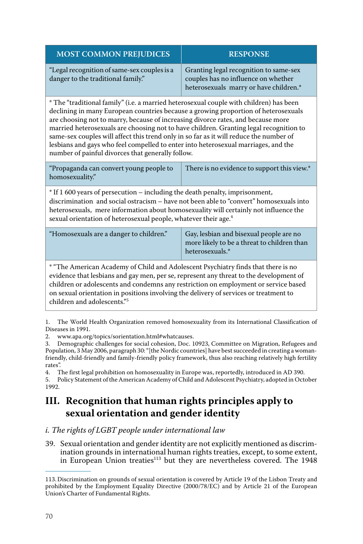| <b>MOST COMMON PREJUDICES</b>                                                     | <b>RESPONSE</b>                                                                                                         |
|-----------------------------------------------------------------------------------|-------------------------------------------------------------------------------------------------------------------------|
| "Legal recognition of same-sex couples is a<br>danger to the traditional family." | Granting legal recognition to same-sex<br>couples has no influence on whether<br>heterosexuals marry or have children.* |

\* The "traditional family" (i.e. a married heterosexual couple with children) has been declining in many European countries because a growing proportion of heterosexuals are choosing not to marry, because of increasing divorce rates, and because more married heterosexuals are choosing not to have children. Granting legal recognition to same-sex couples will affect this trend only in so far as it will reduce the number of lesbians and gays who feel compelled to enter into heterosexual marriages, and the number of painful divorces that generally follow.

"Propaganda can convert young people to homosexuality." There is no evidence to support this view.\*

\* If 1 600 years of persecution – including the death penalty, imprisonment, discrimination and social ostracism – have not been able to "convert" homosexuals into heterosexuals, mere information about homosexuality will certainly not influence the sexual orientation of heterosexual people, whatever their age.<sup>4</sup>

| "Homosexuals are a danger to children." | Gay, lesbian and bisexual people are no<br>more likely to be a threat to children than<br>heterosexuals.* |
|-----------------------------------------|-----------------------------------------------------------------------------------------------------------|
|                                         |                                                                                                           |

\* "The American Academy of Child and Adolescent Psychiatry finds that there is no evidence that lesbians and gay men, per se, represent any threat to the development of children or adolescents and condemns any restriction on employment or service based on sexual orientation in positions involving the delivery of services or treatment to children and adolescents<sup>"5</sup>

1. The World Health Organization removed homosexuality from its International Classification of Diseases in 1991.

2. www.apa.org/topics/sorientation.html#whatcauses.

3. Demographic challenges for social cohesion, Doc. 10923, Committee on Migration, Refugees and Population, 3 May 2006, paragraph 30: "[the Nordic countries] have best succeeded in creating a womanfriendly, child-friendly and family-friendly policy framework, thus also reaching relatively high fertility rates".

4. The first legal prohibition on homosexuality in Europe was, reportedly, introduced in AD 390.

5. Policy Statement of the American Academy of Child and Adolescent Psychiatry, adopted in October 1992.

## **III. Recognition that human rights principles apply to sexual orientation and gender identity**

### *i. The rights of LGBT people under international law*

39. Sexual orientation and gender identity are not explicitly mentioned as discrimination grounds in international human rights treaties, except, to some extent, in European Union treaties<sup>113</sup> but they are nevertheless covered. The 1948

<sup>113.</sup> Discrimination on grounds of sexual orientation is covered by Article 19 of the Lisbon Treaty and prohibited by the Employment Equality Directive (2000/78/EC) and by Article 21 of the European Union's Charter of Fundamental Rights.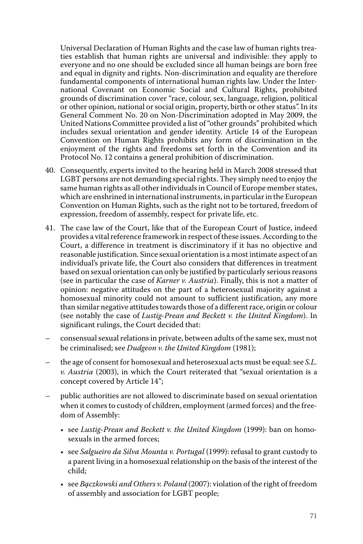Universal Declaration of Human Rights and the case law of human rights treaties establish that human rights are universal and indivisible: they apply to everyone and no one should be excluded since all human beings are born free and equal in dignity and rights. Non-discrimination and equality are therefore fundamental components of international human rights law. Under the International Covenant on Economic Social and Cultural Rights, prohibited grounds of discrimination cover "race, colour, sex, language, religion, political or other opinion, national or social origin, property, birth or other status". In its General Comment No. 20 on Non-Discrimination adopted in May 2009, the United Nations Committee provided a list of "other grounds" prohibited which includes sexual orientation and gender identity. Article 14 of the European Convention on Human Rights prohibits any form of discrimination in the enjoyment of the rights and freedoms set forth in the Convention and its Protocol No. 12 contains a general prohibition of discrimination.

- 40. Consequently, experts invited to the hearing held in March 2008 stressed that LGBT persons are not demanding special rights. They simply need to enjoy the same human rights as all other individuals in Council of Europe member states, which are enshrined in international instruments, in particular in the European Convention on Human Rights, such as the right not to be tortured, freedom of expression, freedom of assembly, respect for private life, etc.
- 41. The case law of the Court, like that of the European Court of Justice, indeed provides a vital reference framework in respect of these issues. According to the Court, a difference in treatment is discriminatory if it has no objective and reasonable justification. Since sexual orientation is a most intimate aspect of an individual's private life, the Court also considers that differences in treatment based on sexual orientation can only be justified by particularly serious reasons (see in particular the case of *Karner v. Austria*). Finally, this is not a matter of opinion: negative attitudes on the part of a heterosexual majority against a homosexual minority could not amount to sufficient justification, any more than similar negative attitudes towards those of a different race, origin or colour (see notably the case of *Lustig-Prean and Beckett v. the United Kingdom*). In significant rulings, the Court decided that:
- consensual sexual relations in private, between adults of the same sex, must not be criminalised; see *Dudgeon v. the United Kingdom* (1981);
- the age of consent for homosexual and heterosexual acts must be equal: see *S.L. v. Austria* (2003), in which the Court reiterated that "sexual orientation is a concept covered by Article 14";
- public authorities are not allowed to discriminate based on sexual orientation when it comes to custody of children, employment (armed forces) and the freedom of Assembly:
	- see *Lustig-Prean and Beckett v. the United Kingdom* (1999): ban on homosexuals in the armed forces;
	- see *Salgueiro da Silva Mounta v. Portugal* (1999): refusal to grant custody to a parent living in a homosexual relationship on the basis of the interest of the child;
	- see *Bączkowski and Others v. Poland* (2007): violation of the right of freedom of assembly and association for LGBT people;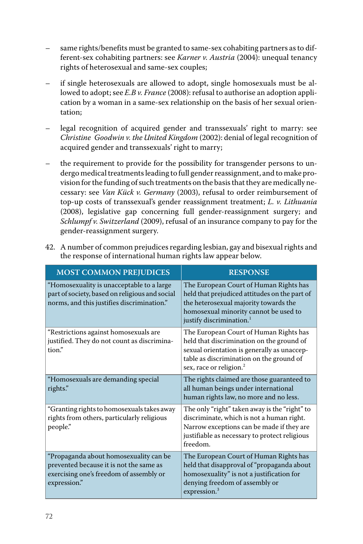- same rights/benefits must be granted to same-sex cohabiting partners as to different-sex cohabiting partners: see *Karner v. Austria* (2004): unequal tenancy rights of heterosexual and same-sex couples;
- if single heterosexuals are allowed to adopt, single homosexuals must be allowed to adopt; see *E.B v. France* (2008): refusal to authorise an adoption application by a woman in a same-sex relationship on the basis of her sexual orientation;
- legal recognition of acquired gender and transsexuals' right to marry: see *Christine Goodwin v. the United Kingdom* (2002): denial of legal recognition of acquired gender and transsexuals' right to marry;
- the requirement to provide for the possibility for transgender persons to undergo medical treatments leading to full gender reassignment, and to make provision for the funding of such treatments on the basis that they are medically necessary: see *Van Kück v. Germany* (2003), refusal to order reimbursement of top-up costs of transsexual's gender reassignment treatment; *L. v. Lithuania* (2008), legislative gap concerning full gender-reassignment surgery; and *Schlumpf v. Switzerland* (2009), refusal of an insurance company to pay for the gender-reassignment surgery.

| <b>MOST COMMON PREJUDICES</b>                                                                                                                | <b>RESPONSE</b>                                                                                                                                                                                                       |
|----------------------------------------------------------------------------------------------------------------------------------------------|-----------------------------------------------------------------------------------------------------------------------------------------------------------------------------------------------------------------------|
| "Homosexuality is unacceptable to a large<br>part of society, based on religious and social<br>norms, and this justifies discrimination."    | The European Court of Human Rights has<br>held that prejudiced attitudes on the part of<br>the heterosexual majority towards the<br>homosexual minority cannot be used to<br>justify discrimination. <sup>1</sup>     |
| "Restrictions against homosexuals are<br>justified. They do not count as discrimina-<br>tion."                                               | The European Court of Human Rights has<br>held that discrimination on the ground of<br>sexual orientation is generally as unaccep-<br>table as discrimination on the ground of<br>sex, race or religion. <sup>2</sup> |
| "Homosexuals are demanding special<br>rights."                                                                                               | The rights claimed are those guaranteed to<br>all human beings under international<br>human rights law, no more and no less.                                                                                          |
| "Granting rights to homosexuals takes away<br>rights from others, particularly religious<br>people."                                         | The only "right" taken away is the "right" to<br>discriminate, which is not a human right.<br>Narrow exceptions can be made if they are<br>justifiable as necessary to protect religious<br>freedom.                  |
| "Propaganda about homosexuality can be<br>prevented because it is not the same as<br>exercising one's freedom of assembly or<br>expression." | The European Court of Human Rights has<br>held that disapproval of "propaganda about<br>homosexuality" is not a justification for<br>denying freedom of assembly or<br>expression. <sup>3</sup>                       |

42. A number of common prejudices regarding lesbian, gay and bisexual rights and the response of international human rights law appear below.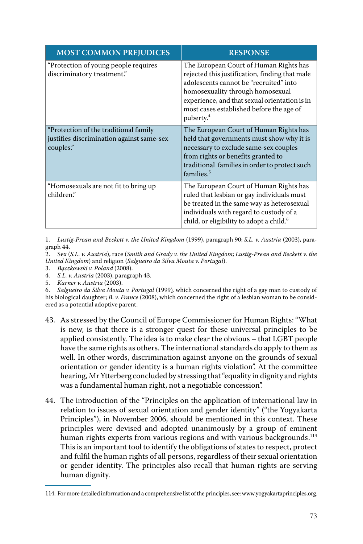| <b>MOST COMMON PREJUDICES</b>                                                                   | <b>RESPONSE</b>                                                                                                                                                                                                                                                                              |
|-------------------------------------------------------------------------------------------------|----------------------------------------------------------------------------------------------------------------------------------------------------------------------------------------------------------------------------------------------------------------------------------------------|
| "Protection of young people requires"<br>discriminatory treatment."                             | The European Court of Human Rights has<br>rejected this justification, finding that male<br>adolescents cannot be "recruited" into<br>homosexuality through homosexual<br>experience, and that sexual orientation is in<br>most cases established before the age of<br>puberty. <sup>4</sup> |
| "Protection of the traditional family<br>justifies discrimination against same-sex<br>couples." | The European Court of Human Rights has<br>held that governments must show why it is<br>necessary to exclude same-sex couples<br>from rights or benefits granted to<br>traditional families in order to protect such<br>families. <sup>5</sup>                                                |
| "Homosexuals are not fit to bring up<br>children."                                              | The European Court of Human Rights has<br>ruled that lesbian or gay individuals must<br>be treated in the same way as heterosexual<br>individuals with regard to custody of a<br>child, or eligibility to adopt a child. <sup>6</sup>                                                        |

1. *Lustig-Prean and Beckett v. the United Kingdom* (1999), paragraph 90; *S.L. v. Austria* (2003), paragraph 44.

2. Sex (*S.L. v. Austria*), race (*Smith and Grady v. the United Kingdom*; *Lustig-Prean and Beckett v. the United Kingdom*) and religion (*Salgueiro da Silva Mouta v. Portugal*).

3. *Bączkowski v. Poland* (2008).

4. *S.L. v. Austria* (2003), paragraph 43.

5. *Karner v. Austria* (2003).

6. *Salgueiro da Silva Mouta v. Portugal* (1999)*,* which concerned the right of a gay man to custody of his biological daughter; *B. v. France* (2008), which concerned the right of a lesbian woman to be considered as a potential adoptive parent.

- 43. As stressed by the Council of Europe Commissioner for Human Rights: "What is new, is that there is a stronger quest for these universal principles to be applied consistently. The idea is to make clear the obvious – that LGBT people have the same rights as others. The international standards do apply to them as well. In other words, discrimination against anyone on the grounds of sexual orientation or gender identity is a human rights violation". At the committee hearing, Mr Ytterberg concluded by stressing that "equality in dignity and rights was a fundamental human right, not a negotiable concession".
- 44. The introduction of the "Principles on the application of international law in relation to issues of sexual orientation and gender identity" ("the Yogyakarta Principles"), in November 2006, should be mentioned in this context. These principles were devised and adopted unanimously by a group of eminent human rights experts from various regions and with various backgrounds.<sup>114</sup> This is an important tool to identify the obligations of states to respect, protect and fulfil the human rights of all persons, regardless of their sexual orientation or gender identity. The principles also recall that human rights are serving human dignity.

<sup>114.</sup> For more detailed information and a comprehensive list of the principles, see: www.yogyakartaprinciples.org.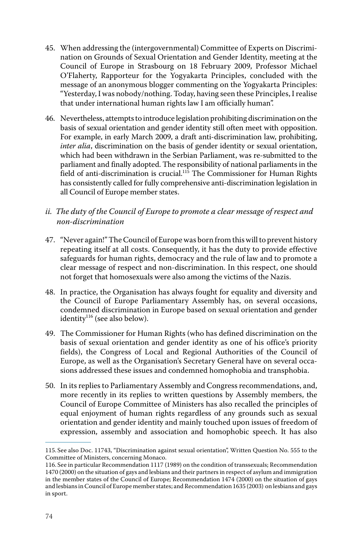- 45. When addressing the (intergovernmental) Committee of Experts on Discrimination on Grounds of Sexual Orientation and Gender Identity, meeting at the Council of Europe in Strasbourg on 18 February 2009, Professor Michael O'Flaherty, Rapporteur for the Yogyakarta Principles, concluded with the message of an anonymous blogger commenting on the Yogyakarta Principles: "Yesterday, I was nobody/nothing. Today, having seen these Principles, I realise that under international human rights law I am officially human".
- 46. Nevertheless, attempts to introduce legislation prohibiting discrimination on the basis of sexual orientation and gender identity still often meet with opposition. For example, in early March 2009, a draft anti-discrimination law, prohibiting, *inter alia*, discrimination on the basis of gender identity or sexual orientation, which had been withdrawn in the Serbian Parliament, was re-submitted to the parliament and finally adopted. The responsibility of national parliaments in the field of anti-discrimination is crucial.<sup>115</sup> The Commissioner for Human Rights has consistently called for fully comprehensive anti-discrimination legislation in all Council of Europe member states.
- *ii. The duty of the Council of Europe to promote a clear message of respect and non-discrimination*
- 47. "Never again!" The Council of Europe was born from this will to prevent history repeating itself at all costs. Consequently, it has the duty to provide effective safeguards for human rights, democracy and the rule of law and to promote a clear message of respect and non-discrimination. In this respect, one should not forget that homosexuals were also among the victims of the Nazis.
- 48. In practice, the Organisation has always fought for equality and diversity and the Council of Europe Parliamentary Assembly has, on several occasions, condemned discrimination in Europe based on sexual orientation and gender identity<sup>116</sup> (see also below).
- 49. The Commissioner for Human Rights (who has defined discrimination on the basis of sexual orientation and gender identity as one of his office's priority fields), the Congress of Local and Regional Authorities of the Council of Europe, as well as the Organisation's Secretary General have on several occasions addressed these issues and condemned homophobia and transphobia.
- 50. In its replies to Parliamentary Assembly and Congress recommendations, and, more recently in its replies to written questions by Assembly members, the Council of Europe Committee of Ministers has also recalled the principles of equal enjoyment of human rights regardless of any grounds such as sexual orientation and gender identity and mainly touched upon issues of freedom of expression, assembly and association and homophobic speech. It has also

<sup>115.</sup> See also Doc. 11743, "Discrimination against sexual orientation", Written Question No. 555 to the Committee of Ministers, concerning Monaco.

<sup>116.</sup> See in particular Recommendation 1117 (1989) on the condition of transsexuals; Recommendation 1470 (2000) on the situation of gays and lesbians and their partners in respect of asylum and immigration in the member states of the Council of Europe; Recommendation 1474 (2000) on the situation of gays and lesbians in Council of Europe member states; and Recommendation 1635 (2003) on lesbians and gays in sport.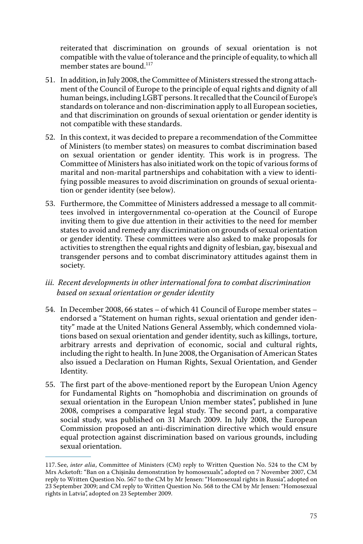reiterated that discrimination on grounds of sexual orientation is not compatible with the value of tolerance and the principle of equality, to which all member states are bound.<sup>117</sup>

- 51. In addition, in July 2008, the Committee of Ministers stressed the strong attachment of the Council of Europe to the principle of equal rights and dignity of all human beings, including LGBT persons. It recalled that the Council of Europe's standards on tolerance and non-discrimination apply to all European societies, and that discrimination on grounds of sexual orientation or gender identity is not compatible with these standards.
- 52. In this context, it was decided to prepare a recommendation of the Committee of Ministers (to member states) on measures to combat discrimination based on sexual orientation or gender identity. This work is in progress. The Committee of Ministers has also initiated work on the topic of various forms of marital and non-marital partnerships and cohabitation with a view to identifying possible measures to avoid discrimination on grounds of sexual orientation or gender identity (see below).
- 53. Furthermore, the Committee of Ministers addressed a message to all committees involved in intergovernmental co-operation at the Council of Europe inviting them to give due attention in their activities to the need for member states to avoid and remedy any discrimination on grounds of sexual orientation or gender identity. These committees were also asked to make proposals for activities to strengthen the equal rights and dignity of lesbian, gay, bisexual and transgender persons and to combat discriminatory attitudes against them in society.
- *iii. Recent developments in other international fora to combat discrimination based on sexual orientation or gender identity*
- 54. In December 2008, 66 states of which 41 Council of Europe member states endorsed a "Statement on human rights, sexual orientation and gender identity" made at the United Nations General Assembly, which condemned violations based on sexual orientation and gender identity, such as killings, torture, arbitrary arrests and deprivation of economic, social and cultural rights, including the right to health. In June 2008, the Organisation of American States also issued a Declaration on Human Rights, Sexual Orientation, and Gender Identity.
- 55. The first part of the above-mentioned report by the European Union Agency for Fundamental Rights on "homophobia and discrimination on grounds of sexual orientation in the European Union member states", published in June 2008, comprises a comparative legal study. The second part, a comparative social study, was published on 31 March 2009. In July 2008, the European Commission proposed an anti-discrimination directive which would ensure equal protection against discrimination based on various grounds, including sexual orientation.

<sup>117.</sup> See, *inter alia*, Committee of Ministers (CM) reply to Written Question No. 524 to the CM by Mrs Acketoft: "Ban on a Chişinău demonstration by homosexuals", adopted on 7 November 2007, CM reply to Written Question No. 567 to the CM by Mr Jensen: "Homosexual rights in Russia", adopted on 23 September 2009; and CM reply to Written Question No. 568 to the CM by Mr Jensen: "Homosexual rights in Latvia", adopted on 23 September 2009.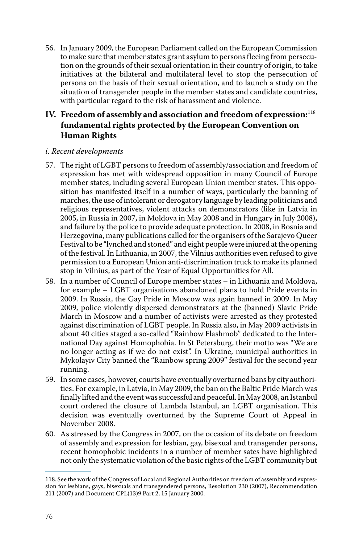56. In January 2009, the European Parliament called on the European Commission to make sure that member states grant asylum to persons fleeing from persecution on the grounds of their sexual orientation in their country of origin, to take initiatives at the bilateral and multilateral level to stop the persecution of persons on the basis of their sexual orientation, and to launch a study on the situation of transgender people in the member states and candidate countries, with particular regard to the risk of harassment and violence.

### **IV. Freedom of assembly and association and freedom of expression:**<sup>118</sup> **fundamental rights protected by the European Convention on Human Rights**

#### *i. Recent developments*

- 57. The right of LGBT persons to freedom of assembly/association and freedom of expression has met with widespread opposition in many Council of Europe member states, including several European Union member states. This opposition has manifested itself in a number of ways, particularly the banning of marches, the use of intolerant or derogatory language by leading politicians and religious representatives, violent attacks on demonstrators (like in Latvia in 2005, in Russia in 2007, in Moldova in May 2008 and in Hungary in July 2008), and failure by the police to provide adequate protection. In 2008, in Bosnia and Herzegovina, many publications called for the organisers of the Sarajevo Queer Festival to be "lynched and stoned" and eight people were injured at the opening of the festival. In Lithuania, in 2007, the Vilnius authorities even refused to give permission to a European Union anti-discrimination truck to make its planned stop in Vilnius, as part of the Year of Equal Opportunities for All.
- 58. In a number of Council of Europe member states in Lithuania and Moldova, for example – LGBT organisations abandoned plans to hold Pride events in 2009. In Russia, the Gay Pride in Moscow was again banned in 2009. In May 2009, police violently dispersed demonstrators at the (banned) Slavic Pride March in Moscow and a number of activists were arrested as they protested against discrimination of LGBT people. In Russia also, in May 2009 activists in about 40 cities staged a so-called "Rainbow Flashmob" dedicated to the International Day against Homophobia. In St Petersburg, their motto was "We are no longer acting as if we do not exist". In Ukraine, municipal authorities in Mykolayiv City banned the "Rainbow spring 2009" festival for the second year running.
- 59. In some cases, however, courts have eventually overturned bans by city authorities. For example, in Latvia, in May 2009, the ban on the Baltic Pride March was finally lifted and the event was successful and peaceful. In May 2008, an Istanbul court ordered the closure of Lambda Istanbul, an LGBT organisation. This decision was eventually overturned by the Supreme Court of Appeal in November 2008.
- 60. As stressed by the Congress in 2007, on the occasion of its debate on freedom of assembly and expression for lesbian, gay, bisexual and transgender persons, recent homophobic incidents in a number of member sates have highlighted not only the systematic violation of the basic rights of the LGBT community but

<sup>118.</sup> See the work of the Congress of Local and Regional Authorities on freedom of assembly and expression for lesbians, gays, bisexuals and transgendered persons, Resolution 230 (2007), Recommendation 211 (2007) and Document CPL(13)9 Part 2, 15 January 2000.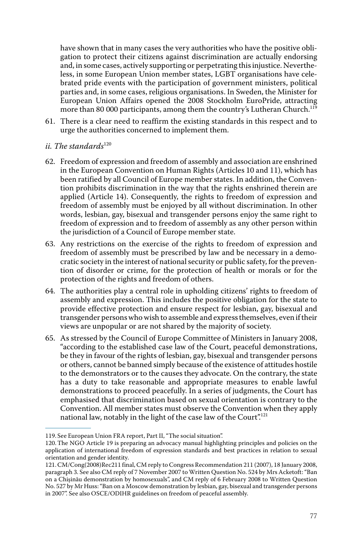have shown that in many cases the very authorities who have the positive obligation to protect their citizens against discrimination are actually endorsing and, in some cases, actively supporting or perpetrating this injustice. Nevertheless, in some European Union member states, LGBT organisations have celebrated pride events with the participation of government ministers, political parties and, in some cases, religious organisations. In Sweden, the Minister for European Union Affairs opened the 2008 Stockholm EuroPride, attracting more than 80 000 participants, among them the country's Lutheran Church.<sup>119</sup>

- 61. There is a clear need to reaffirm the existing standards in this respect and to urge the authorities concerned to implement them.
- *ii. The standards*<sup>120</sup>
- 62. Freedom of expression and freedom of assembly and association are enshrined in the European Convention on Human Rights (Articles 10 and 11), which has been ratified by all Council of Europe member states. In addition, the Convention prohibits discrimination in the way that the rights enshrined therein are applied (Article 14). Consequently, the rights to freedom of expression and freedom of assembly must be enjoyed by all without discrimination. In other words, lesbian, gay, bisexual and transgender persons enjoy the same right to freedom of expression and to freedom of assembly as any other person within the jurisdiction of a Council of Europe member state.
- 63. Any restrictions on the exercise of the rights to freedom of expression and freedom of assembly must be prescribed by law and be necessary in a democratic society in the interest of national security or public safety, for the prevention of disorder or crime, for the protection of health or morals or for the protection of the rights and freedom of others.
- 64. The authorities play a central role in upholding citizens' rights to freedom of assembly and expression. This includes the positive obligation for the state to provide effective protection and ensure respect for lesbian, gay, bisexual and transgender persons who wish to assemble and express themselves, even if their views are unpopular or are not shared by the majority of society.
- 65. As stressed by the Council of Europe Committee of Ministers in January 2008, "according to the established case law of the Court, peaceful demonstrations, be they in favour of the rights of lesbian, gay, bisexual and transgender persons or others, cannot be banned simply because of the existence of attitudes hostile to the demonstrators or to the causes they advocate. On the contrary, the state has a duty to take reasonable and appropriate measures to enable lawful demonstrations to proceed peacefully. In a series of judgments, the Court has emphasised that discrimination based on sexual orientation is contrary to the Convention. All member states must observe the Convention when they apply national law, notably in the light of the case law of the Court".<sup>121</sup>

<sup>119.</sup> See European Union FRA report, Part II, "The social situation".

<sup>120.</sup> The NGO Article 19 is preparing an advocacy manual highlighting principles and policies on the application of international freedom of expression standards and best practices in relation to sexual orientation and gender identity.

<sup>121.</sup> CM/Cong(2008)Rec211 final, CM reply to Congress Recommendation 211 (2007), 18 January 2008, paragraph 3. See also CM reply of 7 November 2007 to Written Question No. 524 by Mrs Acketoft: "Ban on a Chişinău demonstration by homosexuals", and CM reply of 6 February 2008 to Written Question No. 527 by Mr Huss: "Ban on a Moscow demonstration by lesbian, gay, bisexual and transgender persons in 2007". See also OSCE/ODIHR guidelines on freedom of peaceful assembly.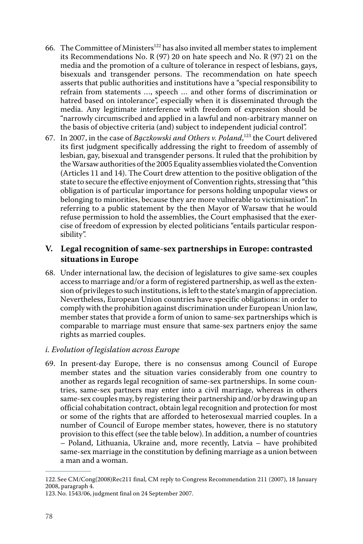- 66. The Committee of Ministers<sup>122</sup> has also invited all member states to implement its Recommendations No. R (97) 20 on hate speech and No. R (97) 21 on the media and the promotion of a culture of tolerance in respect of lesbians, gays, bisexuals and transgender persons. The recommendation on hate speech asserts that public authorities and institutions have a "special responsibility to refrain from statements …, speech … and other forms of discrimination or hatred based on intolerance", especially when it is disseminated through the media. Any legitimate interference with freedom of expression should be "narrowly circumscribed and applied in a lawful and non-arbitrary manner on the basis of objective criteria (and) subject to independent judicial control".
- 67. In 2007, in the case of *Bączkowski and Others v. Poland*, <sup>123</sup> the Court delivered its first judgment specifically addressing the right to freedom of assembly of lesbian, gay, bisexual and transgender persons. It ruled that the prohibition by the Warsaw authorities of the 2005 Equality assemblies violated the Convention (Articles 11 and 14). The Court drew attention to the positive obligation of the state to secure the effective enjoyment of Convention rights, stressing that "this obligation is of particular importance for persons holding unpopular views or belonging to minorities, because they are more vulnerable to victimisation". In referring to a public statement by the then Mayor of Warsaw that he would refuse permission to hold the assemblies, the Court emphasised that the exercise of freedom of expression by elected politicians "entails particular responsibility".

### **V. Legal recognition of same-sex partnerships in Europe: contrasted situations in Europe**

68. Under international law, the decision of legislatures to give same-sex couples access to marriage and/or a form of registered partnership, as well as the extension of privileges to such institutions, is left to the state's margin of appreciation. Nevertheless, European Union countries have specific obligations: in order to comply with the prohibition against discrimination under European Union law, member states that provide a form of union to same-sex partnerships which is comparable to marriage must ensure that same-sex partners enjoy the same rights as married couples.

#### *i. Evolution of legislation across Europe*

69. In present-day Europe, there is no consensus among Council of Europe member states and the situation varies considerably from one country to another as regards legal recognition of same-sex partnerships. In some countries, same-sex partners may enter into a civil marriage, whereas in others same-sex couples may, by registering their partnership and/or by drawing up an official cohabitation contract, obtain legal recognition and protection for most or some of the rights that are afforded to heterosexual married couples. In a number of Council of Europe member states, however, there is no statutory provision to this effect (see the table below). In addition, a number of countries – Poland, Lithuania, Ukraine and, more recently, Latvia – have prohibited same-sex marriage in the constitution by defining marriage as a union between a man and a woman.

<sup>122.</sup> See CM/Cong(2008)Rec211 final, CM reply to Congress Recommendation 211 (2007), 18 January 2008, paragraph 4.

<sup>123.</sup> No. 1543/06, judgment final on 24 September 2007.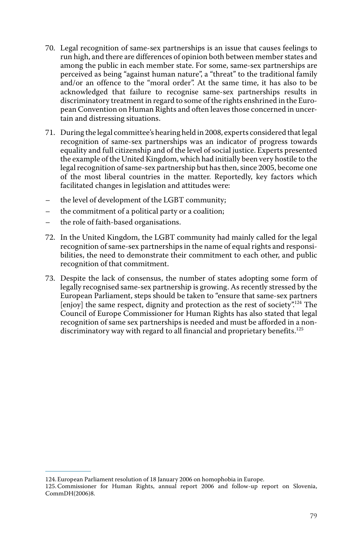- 70. Legal recognition of same-sex partnerships is an issue that causes feelings to run high, and there are differences of opinion both between member states and among the public in each member state. For some, same-sex partnerships are perceived as being "against human nature", a "threat" to the traditional family and/or an offence to the "moral order". At the same time, it has also to be acknowledged that failure to recognise same-sex partnerships results in discriminatory treatment in regard to some of the rights enshrined in the European Convention on Human Rights and often leaves those concerned in uncertain and distressing situations.
- 71. During the legal committee's hearing held in 2008, experts considered that legal recognition of same-sex partnerships was an indicator of progress towards equality and full citizenship and of the level of social justice. Experts presented the example of the United Kingdom, which had initially been very hostile to the legal recognition of same-sex partnership but has then, since 2005, become one of the most liberal countries in the matter. Reportedly, key factors which facilitated changes in legislation and attitudes were:
- the level of development of the LGBT community;
- the commitment of a political party or a coalition;
- the role of faith-based organisations.
- 72. In the United Kingdom, the LGBT community had mainly called for the legal recognition of same-sex partnerships in the name of equal rights and responsibilities, the need to demonstrate their commitment to each other, and public recognition of that commitment.
- 73. Despite the lack of consensus, the number of states adopting some form of legally recognised same-sex partnership is growing. As recently stressed by the European Parliament, steps should be taken to "ensure that same-sex partners [enjoy] the same respect, dignity and protection as the rest of society".<sup>124</sup> The Council of Europe Commissioner for Human Rights has also stated that legal recognition of same sex partnerships is needed and must be afforded in a nondiscriminatory way with regard to all financial and proprietary benefits.<sup>125</sup>

<sup>124.</sup> European Parliament resolution of 18 January 2006 on homophobia in Europe.

<sup>125.</sup> Commissioner for Human Rights, annual report 2006 and follow-up report on Slovenia, CommDH(2006)8.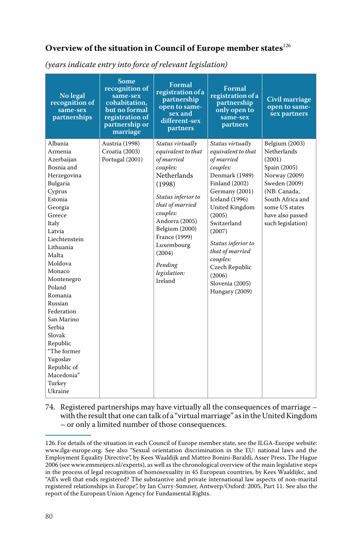### **Overview of the situation in Council of Europe member states**<sup>126</sup>

*(years indicate entry into force of relevant legislation)*

| No legal<br>recognition of<br>same-sex<br>partnerships                                                                                                                                                                                                                                                                                                                                    | Some<br>recognition of<br>same-sex<br>cohabitation.<br>but no formal<br>registration of<br>partnership or<br>marriage | Formal<br>registration of a<br>partnership<br>open to same-<br>sex and<br>different-sex<br>partners                                                                                                                                                               | <b>Formal</b><br>registration of a<br>partnership<br>only open to<br>same-sex<br>partners                                                                                                                                                                                                                                  | Civil marriage<br>open to same-<br>sex partners                                                                                                                                          |
|-------------------------------------------------------------------------------------------------------------------------------------------------------------------------------------------------------------------------------------------------------------------------------------------------------------------------------------------------------------------------------------------|-----------------------------------------------------------------------------------------------------------------------|-------------------------------------------------------------------------------------------------------------------------------------------------------------------------------------------------------------------------------------------------------------------|----------------------------------------------------------------------------------------------------------------------------------------------------------------------------------------------------------------------------------------------------------------------------------------------------------------------------|------------------------------------------------------------------------------------------------------------------------------------------------------------------------------------------|
| Albania<br>Armenia<br>Azerbaijan<br>Bosnia and<br>Herzegovina<br>Bulgaria<br>Cyprus<br>Estonia<br>Georgia<br>Greece<br>Italy<br>Latvia<br>Liechtenstein<br>Lithuania<br>Malta<br>Moldova<br>Monaco<br>Montenegro<br>Poland<br>Romania<br>Russian<br>Federation<br>San Marino<br>Serbia<br>Slovak<br>Republic<br>"The former<br>Yugoslav<br>Republic of<br>Macedonia"<br>Turkey<br>Ukraine | Austria (1998)<br>Croatia (2003)<br>Portugal (2001)                                                                   | Status virtually<br>equivalent to that<br>of married<br>couples:<br>Netherlands<br>(1998)<br>Status inferior to<br>that of married<br>couples:<br>Andorra (2005)<br>Belgium (2000)<br>France (1999)<br>Luxembourg<br>(2004)<br>Pending<br>legislation:<br>Ireland | Status virtually<br>equivalent to that<br>of married<br>couples:<br>Denmark (1989)<br><b>Finland</b> (2002)<br>Germany (2001)<br>Iceland (1996)<br>United Kingdom<br>(2005)<br>Switzerland<br>(2007)<br>Status inferior to<br>that of married<br>couples:<br>Czech Republic<br>(2006)<br>Slovenia (2005)<br>Hungary (2009) | Belgium (2003)<br>Netherlands<br>(2001)<br>Spain (2005)<br>Norway (2009)<br>Sweden (2009)<br>(NB: Canada,<br>South Africa and<br>some US states<br>have also passed<br>such legislation) |

#### 74. Registered partnerships may have virtually all the consequences of marriage – with the result that one can talk of a "virtual marriage" as in the United Kingdom – or only a limited number of those consequences.

<sup>126.</sup> For details of the situation in each Council of Europe member state, see the ILGA-Europe website: www.ilga-europe.org. See also "Sexual orientation discrimination in the EU: national laws and the Employment Equality Directive", by Kees Waaldijk and Matteo Bonini-Baraldi, Asser Press, The Hague 2006 (see www.emmeijers.nl/experts), as well as the chronological overview of the main legislative steps in the process of legal recognition of homosexuality in 45 European countries, by Kees Waaldijkc, and "All's well that ends registered? The substantive and private international law aspects of non-marital registered relationships in Europe", by Ian Curry-Sumner, Antwerp/Oxford: 2005, Part 11. See also the report of the European Union Agency for Fundamental Rights.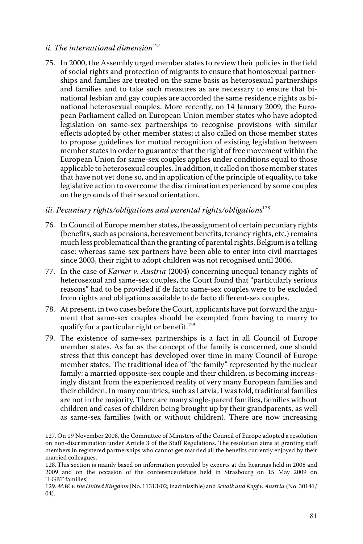#### *ii. The international dimension*<sup>127</sup>

75. In 2000, the Assembly urged member states to review their policies in the field of social rights and protection of migrants to ensure that homosexual partnerships and families are treated on the same basis as heterosexual partnerships and families and to take such measures as are necessary to ensure that binational lesbian and gay couples are accorded the same residence rights as binational heterosexual couples. More recently, on 14 January 2009, the European Parliament called on European Union member states who have adopted legislation on same-sex partnerships to recognise provisions with similar effects adopted by other member states; it also called on those member states to propose guidelines for mutual recognition of existing legislation between member states in order to guarantee that the right of free movement within the European Union for same-sex couples applies under conditions equal to those applicable to heterosexual couples. In addition, it called on those member states that have not yet done so, and in application of the principle of equality, to take legislative action to overcome the discrimination experienced by some couples on the grounds of their sexual orientation.

### *iii. Pecuniary rights/obligations and parental rights/obligations*<sup>128</sup>

- 76. In Council of Europe member states, the assignment of certain pecuniary rights (benefits, such as pensions, bereavement benefits, tenancy rights, etc.) remains much less problematical than the granting of parental rights. Belgium is a telling case: whereas same-sex partners have been able to enter into civil marriages since 2003, their right to adopt children was not recognised until 2006.
- 77. In the case of *Karner v. Austria* (2004) concerning unequal tenancy rights of heterosexual and same-sex couples, the Court found that "particularly serious reasons" had to be provided if de facto same-sex couples were to be excluded from rights and obligations available to de facto different-sex couples.
- 78. At present, in two cases before the Court, applicants have put forward the argument that same-sex couples should be exempted from having to marry to qualify for a particular right or benefit.<sup>129</sup>
- 79. The existence of same-sex partnerships is a fact in all Council of Europe member states. As far as the concept of the family is concerned, one should stress that this concept has developed over time in many Council of Europe member states. The traditional idea of "the family" represented by the nuclear family: a married opposite-sex couple and their children, is becoming increasingly distant from the experienced reality of very many European families and their children. In many countries, such as Latvia, I was told, traditional families are not in the majority. There are many single-parent families, families without children and cases of children being brought up by their grandparents, as well as same-sex families (with or without children). There are now increasing

<sup>127.</sup> On 19 November 2008, the Committee of Ministers of the Council of Europe adopted a resolution on non-discrimination under Article 3 of the Staff Regulations. The resolution aims at granting staff members in registered partnerships who cannot get married all the benefits currently enjoyed by their married colleagues.

<sup>128.</sup> This section is mainly based on information provided by experts at the hearings held in 2008 and 2009 and on the occasion of the conference/debate held in Strasbourg on 15 May 2009 on "LGBT families".

<sup>129.</sup>*M.W. v. the United Kingdom* (No. 11313/02; inadmissible) and *Schalk and Kopf v. Austria* (No. 30141/ 04).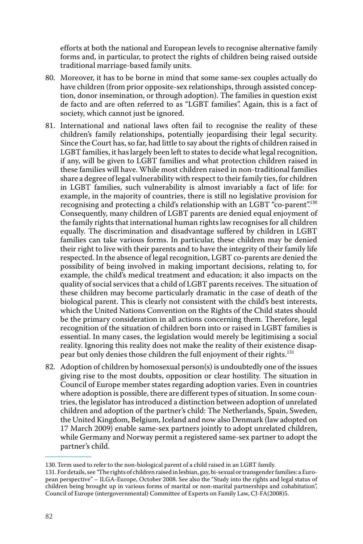efforts at both the national and European levels to recognise alternative family forms and, in particular, to protect the rights of children being raised outside traditional marriage-based family units.

- 80. Moreover, it has to be borne in mind that some same-sex couples actually do have children (from prior opposite-sex relationships, through assisted conception, donor insemination, or through adoption). The families in question exist de facto and are often referred to as "LGBT families". Again, this is a fact of society, which cannot just be ignored.
- 81. International and national laws often fail to recognise the reality of these children's family relationships, potentially jeopardising their legal security. Since the Court has, so far, had little to say about the rights of children raised in LGBT families, it has largely been left to states to decide what legal recognition, if any, will be given to LGBT families and what protection children raised in these families will have. While most children raised in non-traditional families share a degree of legal vulnerability with respect to their family ties, for children in LGBT families, such vulnerability is almost invariably a fact of life: for example, in the majority of countries, there is still no legislative provision for recognising and protecting a child's relationship with an LGBT "co-parent".<sup>130</sup> Consequently, many children of LGBT parents are denied equal enjoyment of the family rights that international human rights law recognises for all children equally. The discrimination and disadvantage suffered by children in LGBT families can take various forms. In particular, these children may be denied their right to live with their parents and to have the integrity of their family life respected. In the absence of legal recognition, LGBT co-parents are denied the possibility of being involved in making important decisions, relating to, for example, the child's medical treatment and education; it also impacts on the quality of social services that a child of LGBT parents receives. The situation of these children may become particularly dramatic in the case of death of the biological parent. This is clearly not consistent with the child's best interests, which the United Nations Convention on the Rights of the Child states should be the primary consideration in all actions concerning them. Therefore, legal recognition of the situation of children born into or raised in LGBT families is essential. In many cases, the legislation would merely be legitimising a social reality. Ignoring this reality does not make the reality of their existence disappear but only denies those children the full enjoyment of their rights.<sup>131</sup>
- 82. Adoption of children by homosexual person(s) is undoubtedly one of the issues giving rise to the most doubts, opposition or clear hostility. The situation in Council of Europe member states regarding adoption varies. Even in countries where adoption is possible, there are different types of situation. In some countries, the legislator has introduced a distinction between adoption of unrelated children and adoption of the partner's child: The Netherlands, Spain, Sweden, the United Kingdom, Belgium, Iceland and now also Denmark (law adopted on 17 March 2009) enable same-sex partners jointly to adopt unrelated children, while Germany and Norway permit a registered same-sex partner to adopt the partner's child.

<sup>130.</sup> Term used to refer to the non-biological parent of a child raised in an LGBT family.

<sup>131.</sup> For details, see *"*The rights of children raised in lesbian, gay, bi-sexual or transgender families: a European perspective" – ILGA-Europe, October 2008. See also the "Study into the rights and legal status of children being brought up in various forms of marital or non-marital partnerships and cohabitation", Council of Europe (intergovernmental) Committee of Experts on Family Law, CJ-FA(2008)5.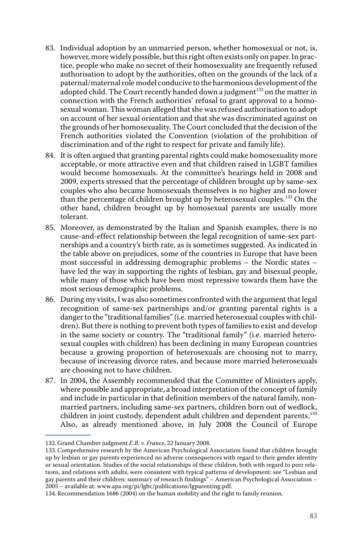- 83. Individual adoption by an unmarried person, whether homosexual or not, is, however, more widely possible, but this right often exists only on paper. In practice, people who make no secret of their homosexuality are frequently refused authorisation to adopt by the authorities, often on the grounds of the lack of a paternal/maternal role model conducive to the harmonious development of the adopted child. The Court recently handed down a judgment<sup>132</sup> on the matter in connection with the French authorities' refusal to grant approval to a homosexual woman. This woman alleged that she was refused authorisation to adopt on account of her sexual orientation and that she was discriminated against on the grounds of her homosexuality. The Court concluded that the decision of the French authorities violated the Convention (violation of the prohibition of discrimination and of the right to respect for private and family life).
- 84. It is often argued that granting parental rights could make homosexuality more acceptable, or more attractive even and that children raised in LGBT families would become homosexuals. At the committee's hearings held in 2008 and 2009, experts stressed that the percentage of children brought up by same-sex couples who also became homosexuals themselves is no higher and no lower than the percentage of children brought up by heterosexual couples.<sup>133</sup> On the other hand, children brought up by homosexual parents are usually more tolerant.
- 85. Moreover, as demonstrated by the Italian and Spanish examples, there is no cause-and-effect relationship between the legal recognition of same-sex partnerships and a country's birth rate, as is sometimes suggested. As indicated in the table above on prejudices, some of the countries in Europe that have been most successful in addressing demographic problems – the Nordic states – have led the way in supporting the rights of lesbian, gay and bisexual people, while many of those which have been most repressive towards them have the most serious demographic problems.
- 86. During my visits, I was also sometimes confronted with the argument that legal recognition of same-sex partnerships and/or granting parental rights is a danger to the "traditional families" (i.e. married heterosexual couples with children). But there is nothing to prevent both types of families to exist and develop in the same society or country. The "traditional family" (i.e. married heterosexual couples with children) has been declining in many European countries because a growing proportion of heterosexuals are choosing not to marry, because of increasing divorce rates, and because more married heterosexuals are choosing not to have children.
- 87. In 2004, the Assembly recommended that the Committee of Ministers apply, where possible and appropriate, a broad interpretation of the concept of family and include in particular in that definition members of the natural family, nonmarried partners, including same-sex partners, children born out of wedlock, children in joint custody, dependent adult children and dependent parents.<sup>134</sup> Also, as already mentioned above, in July 2008 the Council of Europe

<sup>132.</sup> Grand Chamber judgment *E.B. v. France*, 22 January 2008.

<sup>133.</sup> Comprehensive research by the American Psychological Association found that children brought up by lesbian or gay parents experienced no adverse consequences with regard to their gender identity or sexual orientation. Studies of the social relationships of these children, both with regard to peer relations, and relations with adults, were consistent with typical patterns of development: see "Lesbian and gay parents and their children: summary of research findings" *–* American Psychological Association – 2005 – available at: www.apa.org/pi/lgbc/publications/lgparenting.pdf.

<sup>134.</sup> Recommendation 1686 (2004) on the human mobility and the right to family reunion.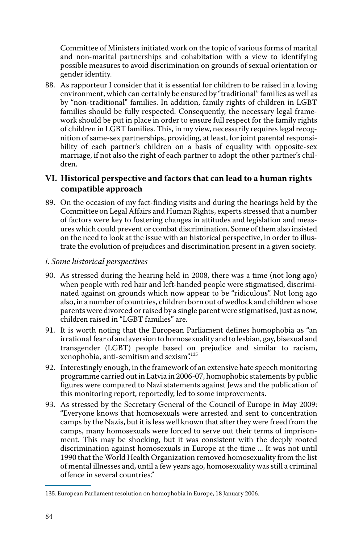Committee of Ministers initiated work on the topic of various forms of marital and non-marital partnerships and cohabitation with a view to identifying possible measures to avoid discrimination on grounds of sexual orientation or gender identity.

88. As rapporteur I consider that it is essential for children to be raised in a loving environment, which can certainly be ensured by "traditional" families as well as by "non-traditional" families. In addition, family rights of children in LGBT families should be fully respected. Consequently, the necessary legal framework should be put in place in order to ensure full respect for the family rights of children in LGBT families. This, in my view, necessarily requires legal recognition of same-sex partnerships, providing, at least, for joint parental responsibility of each partner's children on a basis of equality with opposite-sex marriage, if not also the right of each partner to adopt the other partner's children.

### **VI. Historical perspective and factors that can lead to a human rights compatible approach**

89. On the occasion of my fact-finding visits and during the hearings held by the Committee on Legal Affairs and Human Rights, experts stressed that a number of factors were key to fostering changes in attitudes and legislation and measures which could prevent or combat discrimination. Some of them also insisted on the need to look at the issue with an historical perspective, in order to illustrate the evolution of prejudices and discrimination present in a given society.

#### *i. Some historical perspectives*

- 90. As stressed during the hearing held in 2008, there was a time (not long ago) when people with red hair and left-handed people were stigmatised, discriminated against on grounds which now appear to be "ridiculous". Not long ago also, in a number of countries, children born out of wedlock and children whose parents were divorced or raised by a single parent were stigmatised, just as now, children raised in "LGBT families" are.
- 91. It is worth noting that the European Parliament defines homophobia as "an irrational fear of and aversion to homosexuality and to lesbian, gay, bisexual and transgender (LGBT) people based on prejudice and similar to racism, xenophobia, anti-semitism and sexism".<sup>135</sup>
- 92. Interestingly enough, in the framework of an extensive hate speech monitoring programme carried out in Latvia in 2006-07, homophobic statements by public figures were compared to Nazi statements against Jews and the publication of this monitoring report, reportedly, led to some improvements.
- 93. As stressed by the Secretary General of the Council of Europe in May 2009: "Everyone knows that homosexuals were arrested and sent to concentration camps by the Nazis, but it is less well known that after they were freed from the camps, many homosexuals were forced to serve out their terms of imprisonment. This may be shocking, but it was consistent with the deeply rooted discrimination against homosexuals in Europe at the time ... It was not until 1990 that the World Health Organization removed homosexuality from the list of mental illnesses and, until a few years ago, homosexuality was still a criminal offence in several countries."

<sup>135.</sup> European Parliament resolution on homophobia in Europe, 18 January 2006.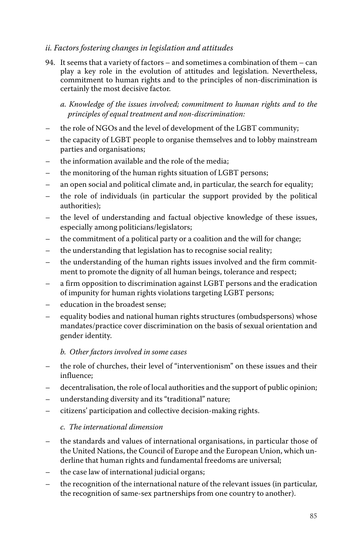#### *ii. Factors fostering changes in legislation and attitudes*

94. It seems that a variety of factors – and sometimes a combination of them – can play a key role in the evolution of attitudes and legislation. Nevertheless, commitment to human rights and to the principles of non-discrimination is certainly the most decisive factor.

*a. Knowledge of the issues involved; commitment to human rights and to the principles of equal treatment and non-discrimination:*

- the role of NGOs and the level of development of the LGBT community;
- the capacity of LGBT people to organise themselves and to lobby mainstream parties and organisations;
- the information available and the role of the media;
- the monitoring of the human rights situation of LGBT persons;
- an open social and political climate and, in particular, the search for equality;
- the role of individuals (in particular the support provided by the political authorities);
- the level of understanding and factual objective knowledge of these issues, especially among politicians/legislators;
- the commitment of a political party or a coalition and the will for change;
- the understanding that legislation has to recognise social reality;
- the understanding of the human rights issues involved and the firm commitment to promote the dignity of all human beings, tolerance and respect;
- a firm opposition to discrimination against LGBT persons and the eradication of impunity for human rights violations targeting LGBT persons;
- education in the broadest sense;
- equality bodies and national human rights structures (ombudspersons) whose mandates/practice cover discrimination on the basis of sexual orientation and gender identity.

#### *b. Other factors involved in some cases*

- the role of churches, their level of "interventionism" on these issues and their influence;
- decentralisation, the role of local authorities and the support of public opinion;
- understanding diversity and its "traditional" nature;
- citizens' participation and collective decision-making rights.

#### *c. The international dimension*

- the standards and values of international organisations, in particular those of the United Nations, the Council of Europe and the European Union, which underline that human rights and fundamental freedoms are universal;
- the case law of international judicial organs;
- the recognition of the international nature of the relevant issues (in particular, the recognition of same-sex partnerships from one country to another).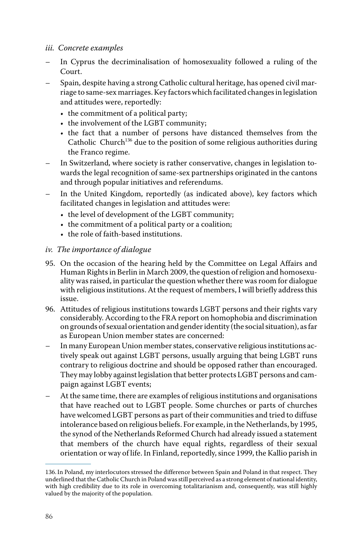- *iii. Concrete examples*
- In Cyprus the decriminalisation of homosexuality followed a ruling of the Court.
- Spain, despite having a strong Catholic cultural heritage, has opened civil marriage to same-sex marriages. Key factors which facilitated changes in legislation and attitudes were, reportedly:
	- the commitment of a political party;
	- the involvement of the LGBT community;
	- the fact that a number of persons have distanced themselves from the Catholic Church<sup>136</sup> due to the position of some religious authorities during the Franco regime.
- In Switzerland, where society is rather conservative, changes in legislation towards the legal recognition of same-sex partnerships originated in the cantons and through popular initiatives and referendums.
- In the United Kingdom, reportedly (as indicated above), key factors which facilitated changes in legislation and attitudes were:
	- the level of development of the LGBT community;
	- the commitment of a political party or a coalition;
	- the role of faith-based institutions.

#### *iv. The importance of dialogue*

- 95. On the occasion of the hearing held by the Committee on Legal Affairs and Human Rights in Berlin in March 2009, the question of religion and homosexuality was raised, in particular the question whether there was room for dialogue with religious institutions. At the request of members, I will briefly address this issue.
- 96. Attitudes of religious institutions towards LGBT persons and their rights vary considerably. According to the FRA report on homophobia and discrimination on grounds of sexual orientation and gender identity (the social situation), as far as European Union member states are concerned:
- In many European Union member states, conservative religious institutions actively speak out against LGBT persons, usually arguing that being LGBT runs contrary to religious doctrine and should be opposed rather than encouraged. They may lobby against legislation that better protects LGBT persons and campaign against LGBT events;
- At the same time, there are examples of religious institutions and organisations that have reached out to LGBT people. Some churches or parts of churches have welcomed LGBT persons as part of their communities and tried to diffuse intolerance based on religious beliefs. For example, in the Netherlands, by 1995, the synod of the Netherlands Reformed Church had already issued a statement that members of the church have equal rights, regardless of their sexual orientation or way of life. In Finland, reportedly, since 1999, the Kallio parish in

<sup>136.</sup> In Poland, my interlocutors stressed the difference between Spain and Poland in that respect. They underlined that the Catholic Church in Poland was still perceived as a strong element of national identity, with high credibility due to its role in overcoming totalitarianism and, consequently, was still highly valued by the majority of the population.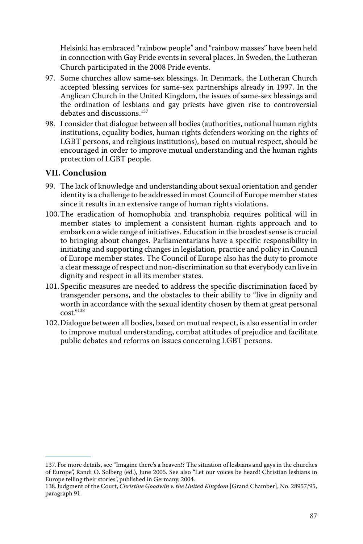Helsinki has embraced "rainbow people" and "rainbow masses" have been held in connection with Gay Pride events in several places. In Sweden, the Lutheran Church participated in the 2008 Pride events.

- 97. Some churches allow same-sex blessings. In Denmark, the Lutheran Church accepted blessing services for same-sex partnerships already in 1997. In the Anglican Church in the United Kingdom, the issues of same-sex blessings and the ordination of lesbians and gay priests have given rise to controversial debates and discussions.<sup>137</sup>
- 98. I consider that dialogue between all bodies (authorities, national human rights institutions, equality bodies, human rights defenders working on the rights of LGBT persons, and religious institutions), based on mutual respect, should be encouraged in order to improve mutual understanding and the human rights protection of LGBT people.

#### **VII. Conclusion**

- 99. The lack of knowledge and understanding about sexual orientation and gender identity is a challenge to be addressed in most Council of Europe member states since it results in an extensive range of human rights violations.
- 100. The eradication of homophobia and transphobia requires political will in member states to implement a consistent human rights approach and to embark on a wide range of initiatives. Education in the broadest sense is crucial to bringing about changes. Parliamentarians have a specific responsibility in initiating and supporting changes in legislation, practice and policy in Council of Europe member states. The Council of Europe also has the duty to promote a clear message of respect and non-discrimination so that everybody can live in dignity and respect in all its member states.
- 101. Specific measures are needed to address the specific discrimination faced by transgender persons, and the obstacles to their ability to "live in dignity and worth in accordance with the sexual identity chosen by them at great personal cost."<sup>138</sup>
- 102. Dialogue between all bodies, based on mutual respect, is also essential in order to improve mutual understanding, combat attitudes of prejudice and facilitate public debates and reforms on issues concerning LGBT persons.

<sup>137.</sup> For more details, see "Imagine there's a heaven!? The situation of lesbians and gays in the churches of Europe", Randi O. Solberg (ed.), June 2005. See also "Let our voices be heard! Christian lesbians in Europe telling their stories", published in Germany, 2004.

<sup>138.</sup> Judgment of the Court, *Christine Goodwin v. the United Kingdom* [Grand Chamber], No. 28957/95, paragraph 91.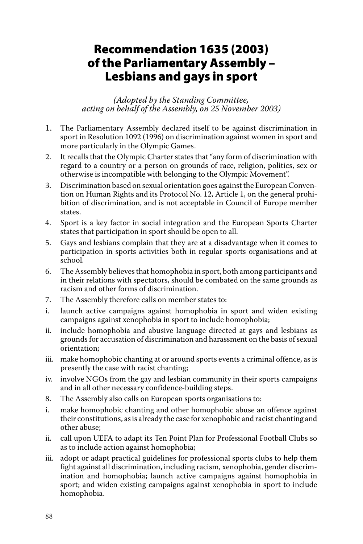# Recommendation 1635 (2003) of the Parliamentary Assembly – Lesbians and gays in sport

*(Adopted by the Standing Committee, acting on behalf of the Assembly, on 25 November 2003)*

- 1. The Parliamentary Assembly declared itself to be against discrimination in sport in Resolution 1092 (1996) on discrimination against women in sport and more particularly in the Olympic Games.
- 2. It recalls that the Olympic Charter states that "any form of discrimination with regard to a country or a person on grounds of race, religion, politics, sex or otherwise is incompatible with belonging to the Olympic Movement".
- 3. Discrimination based on sexual orientation goes against the European Convention on Human Rights and its Protocol No. 12, Article 1, on the general prohibition of discrimination, and is not acceptable in Council of Europe member states.
- 4. Sport is a key factor in social integration and the European Sports Charter states that participation in sport should be open to all.
- 5. Gays and lesbians complain that they are at a disadvantage when it comes to participation in sports activities both in regular sports organisations and at school.
- 6. The Assembly believes that homophobia in sport, both among participants and in their relations with spectators, should be combated on the same grounds as racism and other forms of discrimination.
- 7. The Assembly therefore calls on member states to:
- i. launch active campaigns against homophobia in sport and widen existing campaigns against xenophobia in sport to include homophobia;
- ii. include homophobia and abusive language directed at gays and lesbians as grounds for accusation of discrimination and harassment on the basis of sexual orientation;
- iii. make homophobic chanting at or around sports events a criminal offence, as is presently the case with racist chanting;
- iv. involve NGOs from the gay and lesbian community in their sports campaigns and in all other necessary confidence-building steps.
- 8. The Assembly also calls on European sports organisations to:
- i. make homophobic chanting and other homophobic abuse an offence against their constitutions, as is already the case for xenophobic and racist chanting and other abuse;
- ii. call upon UEFA to adapt its Ten Point Plan for Professional Football Clubs so as to include action against homophobia;
- iii. adopt or adapt practical guidelines for professional sports clubs to help them fight against all discrimination, including racism, xenophobia, gender discrimination and homophobia; launch active campaigns against homophobia in sport; and widen existing campaigns against xenophobia in sport to include homophobia.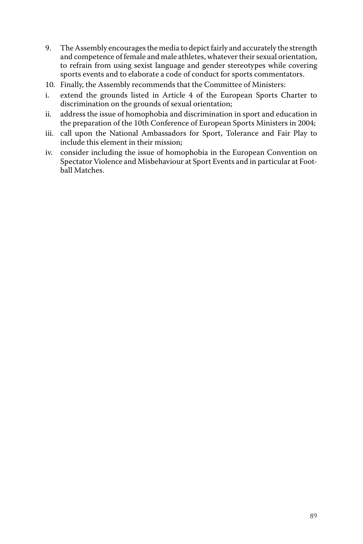- 9. The Assembly encourages the media to depict fairly and accurately the strength and competence of female and male athletes, whatever their sexual orientation, to refrain from using sexist language and gender stereotypes while covering sports events and to elaborate a code of conduct for sports commentators.
- 10. Finally, the Assembly recommends that the Committee of Ministers:
- i. extend the grounds listed in Article 4 of the European Sports Charter to discrimination on the grounds of sexual orientation;
- ii. address the issue of homophobia and discrimination in sport and education in the preparation of the 10th Conference of European Sports Ministers in 2004;
- iii. call upon the National Ambassadors for Sport, Tolerance and Fair Play to include this element in their mission;
- iv. consider including the issue of homophobia in the European Convention on Spectator Violence and Misbehaviour at Sport Events and in particular at Football Matches.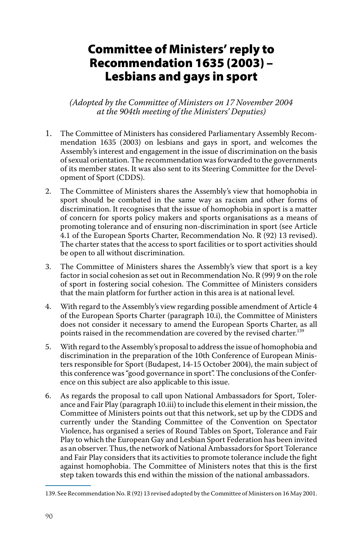# Committee of Ministers' reply to Recommendation 1635 (2003) – Lesbians and gays in sport

*(Adopted by the Committee of Ministers on 17 November 2004 at the 904th meeting of the Ministers' Deputies)*

- 1. The Committee of Ministers has considered Parliamentary Assembly Recommendation 1635 (2003) on lesbians and gays in sport, and welcomes the Assembly's interest and engagement in the issue of discrimination on the basis of sexual orientation. The recommendation was forwarded to the governments of its member states. It was also sent to its Steering Committee for the Development of Sport (CDDS).
- 2. The Committee of Ministers shares the Assembly's view that homophobia in sport should be combated in the same way as racism and other forms of discrimination. It recognises that the issue of homophobia in sport is a matter of concern for sports policy makers and sports organisations as a means of promoting tolerance and of ensuring non-discrimination in sport (see Article 4.1 of the European Sports Charter, Recommendation No. R (92) 13 revised). The charter states that the access to sport facilities or to sport activities should be open to all without discrimination.
- 3. The Committee of Ministers shares the Assembly's view that sport is a key factor in social cohesion as set out in Recommendation No. R (99) 9 on the role of sport in fostering social cohesion. The Committee of Ministers considers that the main platform for further action in this area is at national level.
- 4. With regard to the Assembly's view regarding possible amendment of Article 4 of the European Sports Charter (paragraph 10.i), the Committee of Ministers does not consider it necessary to amend the European Sports Charter, as all points raised in the recommendation are covered by the revised charter.<sup>139</sup>
- 5. With regard to the Assembly's proposal to address the issue of homophobia and discrimination in the preparation of the 10th Conference of European Ministers responsible for Sport (Budapest, 14-15 October 2004), the main subject of this conference was "good governance in sport". The conclusions of the Conference on this subject are also applicable to this issue.
- 6. As regards the proposal to call upon National Ambassadors for Sport, Tolerance and Fair Play (paragraph 10.iii) to include this element in their mission, the Committee of Ministers points out that this network, set up by the CDDS and currently under the Standing Committee of the Convention on Spectator Violence, has organised a series of Round Tables on Sport, Tolerance and Fair Play to which the European Gay and Lesbian Sport Federation has been invited as an observer. Thus, the network of National Ambassadors for Sport Tolerance and Fair Play considers that its activities to promote tolerance include the fight against homophobia. The Committee of Ministers notes that this is the first step taken towards this end within the mission of the national ambassadors.

<sup>139.</sup> See Recommendation No. R (92) 13 revised adopted by the Committee of Ministers on 16 May 2001.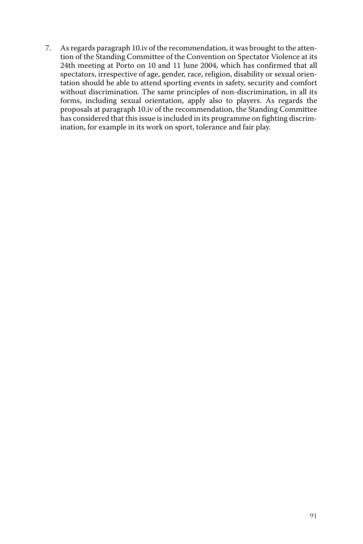7. As regards paragraph 10.iv of the recommendation, it was brought to the attention of the Standing Committee of the Convention on Spectator Violence at its 24th meeting at Porto on 10 and 11 June 2004, which has confirmed that all spectators, irrespective of age, gender, race, religion, disability or sexual orientation should be able to attend sporting events in safety, security and comfort without discrimination. The same principles of non-discrimination, in all its forms, including sexual orientation, apply also to players. As regards the proposals at paragraph 10.iv of the recommendation, the Standing Committee has considered that this issue is included in its programme on fighting discrimination, for example in its work on sport, tolerance and fair play.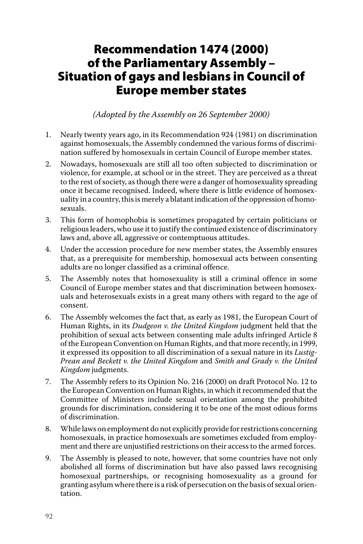# Recommendation 1474 (2000) of the Parliamentary Assembly – Situation of gays and lesbians in Council of Europe member states

*(Adopted by the Assembly on 26 September 2000)*

- 1. Nearly twenty years ago, in its Recommendation 924 (1981) on discrimination against homosexuals, the Assembly condemned the various forms of discrimination suffered by homosexuals in certain Council of Europe member states.
- 2. Nowadays, homosexuals are still all too often subjected to discrimination or violence, for example, at school or in the street. They are perceived as a threat to the rest of society, as though there were a danger of homosexuality spreading once it became recognised. Indeed, where there is little evidence of homosexuality in a country, this is merely a blatant indication of the oppression of homosexuals.
- 3. This form of homophobia is sometimes propagated by certain politicians or religious leaders, who use it to justify the continued existence of discriminatory laws and, above all, aggressive or contemptuous attitudes.
- 4. Under the accession procedure for new member states, the Assembly ensures that, as a prerequisite for membership, homosexual acts between consenting adults are no longer classified as a criminal offence.
- 5. The Assembly notes that homosexuality is still a criminal offence in some Council of Europe member states and that discrimination between homosexuals and heterosexuals exists in a great many others with regard to the age of consent.
- 6. The Assembly welcomes the fact that, as early as 1981, the European Court of Human Rights, in its *Dudgeon v. the United Kingdom* judgment held that the prohibition of sexual acts between consenting male adults infringed Article 8 of the European Convention on Human Rights, and that more recently, in 1999, it expressed its opposition to all discrimination of a sexual nature in its *Lustig-Prean and Beckett v. the United Kingdom* and *Smith and Grady v. the United Kingdom* judgments.
- 7. The Assembly refers to its Opinion No. 216 (2000) on draft Protocol No. 12 to the European Convention on Human Rights, in which it recommended that the Committee of Ministers include sexual orientation among the prohibited grounds for discrimination, considering it to be one of the most odious forms of discrimination.
- 8. While laws on employment do not explicitly provide for restrictions concerning homosexuals, in practice homosexuals are sometimes excluded from employment and there are unjustified restrictions on their access to the armed forces.
- 9. The Assembly is pleased to note, however, that some countries have not only abolished all forms of discrimination but have also passed laws recognising homosexual partnerships, or recognising homosexuality as a ground for granting asylum where there is a risk of persecution on the basis of sexual orientation.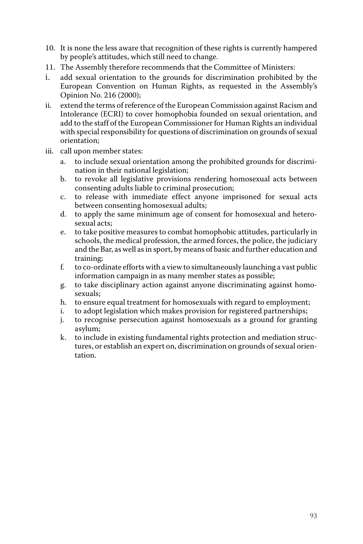- 10. It is none the less aware that recognition of these rights is currently hampered by people's attitudes, which still need to change.
- 11. The Assembly therefore recommends that the Committee of Ministers:
- i. add sexual orientation to the grounds for discrimination prohibited by the European Convention on Human Rights, as requested in the Assembly's Opinion No. 216 (2000);
- ii. extend the terms of reference of the European Commission against Racism and Intolerance (ECRI) to cover homophobia founded on sexual orientation, and add to the staff of the European Commissioner for Human Rights an individual with special responsibility for questions of discrimination on grounds of sexual orientation;
- iii. call upon member states:
	- a. to include sexual orientation among the prohibited grounds for discrimination in their national legislation;
	- b. to revoke all legislative provisions rendering homosexual acts between consenting adults liable to criminal prosecution;
	- c. to release with immediate effect anyone imprisoned for sexual acts between consenting homosexual adults;
	- d. to apply the same minimum age of consent for homosexual and heterosexual acts;
	- e. to take positive measures to combat homophobic attitudes, particularly in schools, the medical profession, the armed forces, the police, the judiciary and the Bar, as well as in sport, by means of basic and further education and training;
	- f. to co-ordinate efforts with a view to simultaneously launching a vast public information campaign in as many member states as possible;
	- g. to take disciplinary action against anyone discriminating against homosexuals;
	- h. to ensure equal treatment for homosexuals with regard to employment;
	- i. to adopt legislation which makes provision for registered partnerships;
	- j. to recognise persecution against homosexuals as a ground for granting asylum;
	- k. to include in existing fundamental rights protection and mediation structures, or establish an expert on, discrimination on grounds of sexual orientation.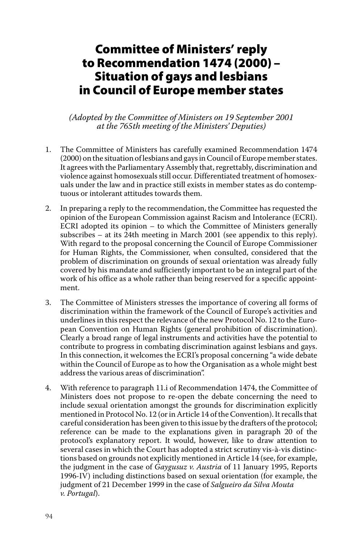### Committee of Ministers' reply to Recommendation 1474 (2000) – Situation of gays and lesbians in Council of Europe member states

*(Adopted by the Committee of Ministers on 19 September 2001 at the 765th meeting of the Ministers' Deputies)*

- 1. The Committee of Ministers has carefully examined Recommendation 1474 (2000) on the situation of lesbians and gays in Council of Europe member states. It agrees with the Parliamentary Assembly that, regrettably, discrimination and violence against homosexuals still occur. Differentiated treatment of homosexuals under the law and in practice still exists in member states as do contemptuous or intolerant attitudes towards them.
- 2. In preparing a reply to the recommendation, the Committee has requested the opinion of the European Commission against Racism and Intolerance (ECRI). ECRI adopted its opinion – to which the Committee of Ministers generally subscribes – at its 24th meeting in March 2001 (see appendix to this reply). With regard to the proposal concerning the Council of Europe Commissioner for Human Rights, the Commissioner, when consulted, considered that the problem of discrimination on grounds of sexual orientation was already fully covered by his mandate and sufficiently important to be an integral part of the work of his office as a whole rather than being reserved for a specific appointment.
- 3. The Committee of Ministers stresses the importance of covering all forms of discrimination within the framework of the Council of Europe's activities and underlines in this respect the relevance of the new Protocol No. 12 to the European Convention on Human Rights (general prohibition of discrimination). Clearly a broad range of legal instruments and activities have the potential to contribute to progress in combating discrimination against lesbians and gays. In this connection, it welcomes the ECRI's proposal concerning "a wide debate within the Council of Europe as to how the Organisation as a whole might best address the various areas of discrimination".
- 4. With reference to paragraph 11.i of Recommendation 1474, the Committee of Ministers does not propose to re-open the debate concerning the need to include sexual orientation amongst the grounds for discrimination explicitly mentioned in Protocol No. 12 (or in Article 14 of the Convention). It recalls that careful consideration has been given to this issue by the drafters of the protocol; reference can be made to the explanations given in paragraph 20 of the protocol's explanatory report. It would, however, like to draw attention to several cases in which the Court has adopted a strict scrutiny vis-à-vis distinctions based on grounds not explicitly mentioned in Article 14 (see, for example, the judgment in the case of *Gaygusuz v. Austria* of 11 January 1995, Reports 1996-IV) including distinctions based on sexual orientation (for example, the judgment of 21 December 1999 in the case of *Salgueiro da Silva Mouta v. Portugal*).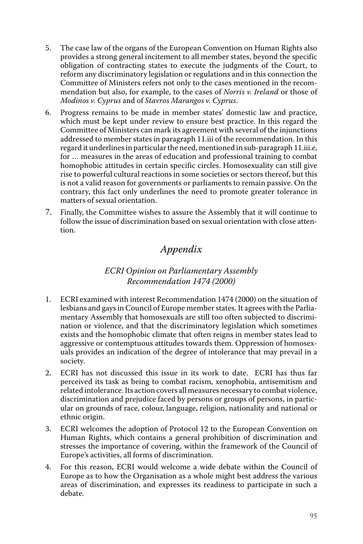- 5. The case law of the organs of the European Convention on Human Rights also provides a strong general incitement to all member states, beyond the specific obligation of contracting states to execute the judgments of the Court, to reform any discriminatory legislation or regulations and in this connection the Committee of Ministers refers not only to the cases mentioned in the recommendation but also, for example, to the cases of *Norris v. Ireland* or those of *Modinos v. Cyprus* and of *Stavros Marangos v. Cyprus*.
- 6. Progress remains to be made in member states' domestic law and practice, which must be kept under review to ensure best practice. In this regard the Committee of Ministers can mark its agreement with several of the injunctions addressed to member states in paragraph 11.iii of the recommendation. In this regard it underlines in particular the need, mentioned in sub-paragraph 11.iii.*e*, for … measures in the areas of education and professional training to combat homophobic attitudes in certain specific circles. Homosexuality can still give rise to powerful cultural reactions in some societies or sectors thereof, but this is not a valid reason for governments or parliaments to remain passive. On the contrary, this fact only underlines the need to promote greater tolerance in matters of sexual orientation.
- 7. Finally, the Committee wishes to assure the Assembly that it will continue to follow the issue of discrimination based on sexual orientation with close attention.

### *Appendix*

### *ECRI Opinion on Parliamentary Assembly Recommendation 1474 (2000)*

- 1. ECRI examined with interest Recommendation 1474 (2000) on the situation of lesbians and gays in Council of Europe member states. It agrees with the Parliamentary Assembly that homosexuals are still too often subjected to discrimination or violence, and that the discriminatory legislation which sometimes exists and the homophobic climate that often reigns in member states lead to aggressive or contemptuous attitudes towards them. Oppression of homosexuals provides an indication of the degree of intolerance that may prevail in a society.
- 2. ECRI has not discussed this issue in its work to date. ECRI has thus far perceived its task as being to combat racism, xenophobia, antisemitism and related intolerance. Its action covers all measures necessary to combat violence, discrimination and prejudice faced by persons or groups of persons, in particular on grounds of race, colour, language, religion, nationality and national or ethnic origin.
- 3. ECRI welcomes the adoption of Protocol 12 to the European Convention on Human Rights, which contains a general prohibition of discrimination and stresses the importance of covering, within the framework of the Council of Europe's activities, all forms of discrimination.
- 4. For this reason, ECRI would welcome a wide debate within the Council of Europe as to how the Organisation as a whole might best address the various areas of discrimination, and expresses its readiness to participate in such a debate.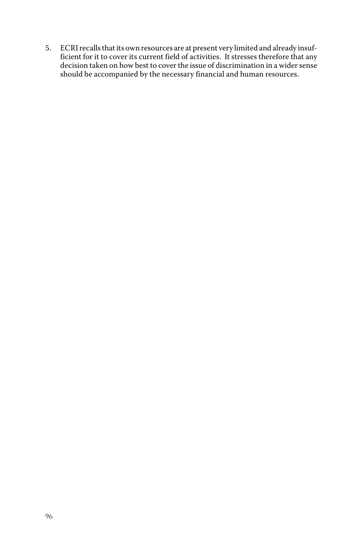5. ECRI recalls that its own resources are at present very limited and already insufficient for it to cover its current field of activities. It stresses therefore that any decision taken on how best to cover the issue of discrimination in a wider sense should be accompanied by the necessary financial and human resources.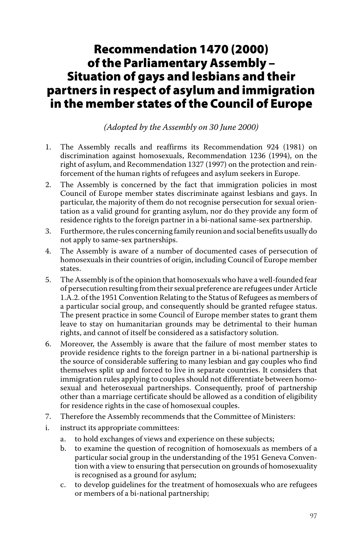# Recommendation 1470 (2000) of the Parliamentary Assembly – Situation of gays and lesbians and their partners in respect of asylum and immigration in the member states of the Council of Europe

*(Adopted by the Assembly on 30 June 2000)*

- 1. The Assembly recalls and reaffirms its Recommendation 924 (1981) on discrimination against homosexuals, Recommendation 1236 (1994), on the right of asylum, and Recommendation 1327 (1997) on the protection and reinforcement of the human rights of refugees and asylum seekers in Europe.
- 2. The Assembly is concerned by the fact that immigration policies in most Council of Europe member states discriminate against lesbians and gays. In particular, the majority of them do not recognise persecution for sexual orientation as a valid ground for granting asylum, nor do they provide any form of residence rights to the foreign partner in a bi-national same-sex partnership.
- 3. Furthermore, the rules concerning family reunion and social benefits usually do not apply to same-sex partnerships.
- 4. The Assembly is aware of a number of documented cases of persecution of homosexuals in their countries of origin, including Council of Europe member states.
- 5. The Assembly is of the opinion that homosexuals who have a well-founded fear of persecution resulting from their sexual preference are refugees under Article 1.A.2. of the 1951 Convention Relating to the Status of Refugees as members of a particular social group, and consequently should be granted refugee status. The present practice in some Council of Europe member states to grant them leave to stay on humanitarian grounds may be detrimental to their human rights, and cannot of itself be considered as a satisfactory solution.
- 6. Moreover, the Assembly is aware that the failure of most member states to provide residence rights to the foreign partner in a bi-national partnership is the source of considerable suffering to many lesbian and gay couples who find themselves split up and forced to live in separate countries. It considers that immigration rules applying to couples should not differentiate between homosexual and heterosexual partnerships. Consequently, proof of partnership other than a marriage certificate should be allowed as a condition of eligibility for residence rights in the case of homosexual couples.
- 7. Therefore the Assembly recommends that the Committee of Ministers:
- i. instruct its appropriate committees:
	- a. to hold exchanges of views and experience on these subjects;
	- b. to examine the question of recognition of homosexuals as members of a particular social group in the understanding of the 1951 Geneva Convention with a view to ensuring that persecution on grounds of homosexuality is recognised as a ground for asylum;
	- c. to develop guidelines for the treatment of homosexuals who are refugees or members of a bi-national partnership;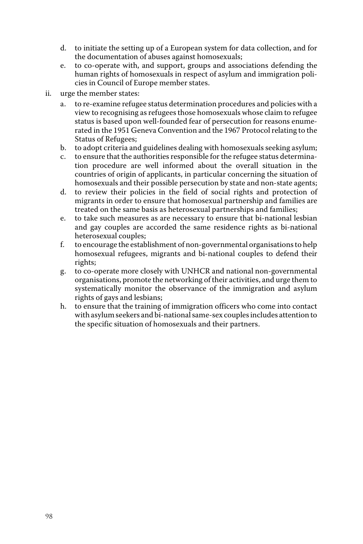- d. to initiate the setting up of a European system for data collection, and for the documentation of abuses against homosexuals;
- e. to co-operate with, and support, groups and associations defending the human rights of homosexuals in respect of asylum and immigration policies in Council of Europe member states.
- ii. urge the member states:
	- a. to re-examine refugee status determination procedures and policies with a view to recognising as refugees those homosexuals whose claim to refugee status is based upon well-founded fear of persecution for reasons enumerated in the 1951 Geneva Convention and the 1967 Protocol relating to the Status of Refugees;
	- b. to adopt criteria and guidelines dealing with homosexuals seeking asylum;
	- c. to ensure that the authorities responsible for the refugee status determination procedure are well informed about the overall situation in the countries of origin of applicants, in particular concerning the situation of homosexuals and their possible persecution by state and non-state agents;
	- d. to review their policies in the field of social rights and protection of migrants in order to ensure that homosexual partnership and families are treated on the same basis as heterosexual partnerships and families;
	- e. to take such measures as are necessary to ensure that bi-national lesbian and gay couples are accorded the same residence rights as bi-national heterosexual couples;
	- f. to encourage the establishment of non-governmental organisations to help homosexual refugees, migrants and bi-national couples to defend their rights;
	- g. to co-operate more closely with UNHCR and national non-governmental organisations, promote the networking of their activities, and urge them to systematically monitor the observance of the immigration and asylum rights of gays and lesbians;
	- h. to ensure that the training of immigration officers who come into contact with asylum seekers and bi-national same-sex couples includes attention to the specific situation of homosexuals and their partners.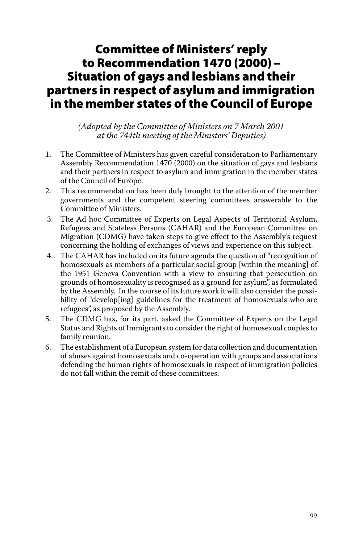# Committee of Ministers' reply to Recommendation 1470 (2000) – Situation of gays and lesbians and their partners in respect of asylum and immigration in the member states of the Council of Europe

*(Adopted by the Committee of Ministers on 7 March 2001 at the 744th meeting of the Ministers' Deputies)*

- 1. The Committee of Ministers has given careful consideration to Parliamentary Assembly Recommendation 1470 (2000) on the situation of gays and lesbians and their partners in respect to asylum and immigration in the member states of the Council of Europe.
- 2. This recommendation has been duly brought to the attention of the member governments and the competent steering committees answerable to the Committee of Ministers.
- 3. The Ad hoc Committee of Experts on Legal Aspects of Territorial Asylum, Refugees and Stateless Persons (CAHAR) and the European Committee on Migration (CDMG) have taken steps to give effect to the Assembly's request concerning the holding of exchanges of views and experience on this subject.
- 4. The CAHAR has included on its future agenda the question of "recognition of homosexuals as members of a particular social group [within the meaning] of the 1951 Geneva Convention with a view to ensuring that persecution on grounds of homosexuality is recognised as a ground for asylum", as formulated by the Assembly. In the course of its future work it will also consider the possibility of "develop[ing] guidelines for the treatment of homosexuals who are refugees", as proposed by the Assembly.
- 5. The CDMG has, for its part, asked the Committee of Experts on the Legal Status and Rights of Immigrants to consider the right of homosexual couples to family reunion.
- 6. The establishment of a European system for data collection and documentation of abuses against homosexuals and co-operation with groups and associations defending the human rights of homosexuals in respect of immigration policies do not fall within the remit of these committees.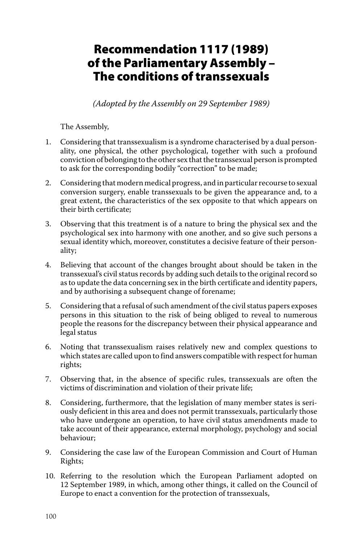# Recommendation 1117 (1989) of the Parliamentary Assembly – The conditions of transsexuals

*(Adopted by the Assembly on 29 September 1989)*

The Assembly,

- 1. Considering that transsexualism is a syndrome characterised by a dual personality, one physical, the other psychological, together with such a profound conviction of belonging to the other sex that the transsexual person is prompted to ask for the corresponding bodily ''correction" to be made;
- 2. Considering that modern medical progress, and in particular recourse to sexual conversion surgery, enable transsexuals to be given the appearance and, to a great extent, the characteristics of the sex opposite to that which appears on their birth certificate;
- 3. Observing that this treatment is of a nature to bring the physical sex and the psychological sex into harmony with one another, and so give such persons a sexual identity which, moreover, constitutes a decisive feature of their personality;
- 4. Believing that account of the changes brought about should be taken in the transsexual's civil status records by adding such details to the original record so as to update the data concerning sex in the birth certificate and identity papers, and by authorising a subsequent change of forename;
- 5. Considering that a refusal of such amendment of the civil status papers exposes persons in this situation to the risk of being obliged to reveal to numerous people the reasons for the discrepancy between their physical appearance and legal status
- 6. Noting that transsexualism raises relatively new and complex questions to which states are called upon to find answers compatible with respect for human rights;
- 7. Observing that, in the absence of specific rules, transsexuals are often the victims of discrimination and violation of their private life;
- 8. Considering, furthermore, that the legislation of many member states is seriously deficient in this area and does not permit transsexuals, particularly those who have undergone an operation, to have civil status amendments made to take account of their appearance, external morphology, psychology and social behaviour;
- 9. Considering the case law of the European Commission and Court of Human Rights;
- 10. Referring to the resolution which the European Parliament adopted on 12 September 1989, in which, among other things, it called on the Council of Europe to enact a convention for the protection of transsexuals,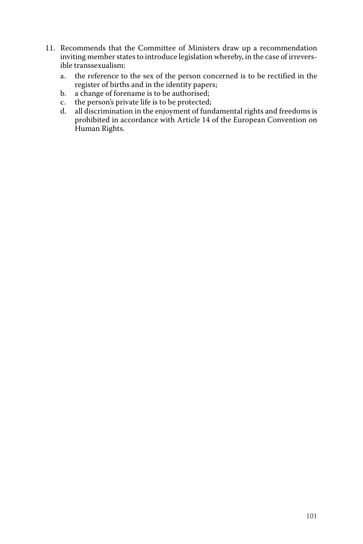- 11. Recommends that the Committee of Ministers draw up a recommendation inviting member states to introduce legislation whereby, in the case of irreversible transsexualism:
	- a. the reference to the sex of the person concerned is to be rectified in the register of births and in the identity papers;
	- b. a change of forename is to be authorised;
	- c. the person's private life is to be protected;
	- all discrimination in the enjoyment of fundamental rights and freedoms is prohibited in accordance with Article 14 of the European Convention on Human Rights.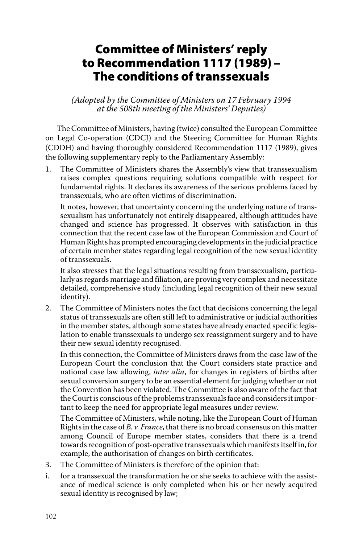# Committee of Ministers' reply to Recommendation 1117 (1989) – The conditions of transsexuals

*(Adopted by the Committee of Ministers on 17 February 1994 at the 508th meeting of the Ministers' Deputies)*

The Committee of Ministers, having (twice) consulted the European Committee on Legal Co-operation (CDCJ) and the Steering Committee for Human Rights (CDDH) and having thoroughly considered Recommendation 1117 (1989), gives the following supplementary reply to the Parliamentary Assembly:

1. The Committee of Ministers shares the Assembly's view that transsexualism raises complex questions requiring solutions compatible with respect for fundamental rights. It declares its awareness of the serious problems faced by transsexuals, who are often victims of discrimination.

It notes, however, that uncertainty concerning the underlying nature of transsexualism has unfortunately not entirely disappeared, although attitudes have changed and science has progressed. It observes with satisfaction in this connection that the recent case law of the European Commission and Court of Human Rights has prompted encouraging developments in the judicial practice of certain member states regarding legal recognition of the new sexual identity of transsexuals.

It also stresses that the legal situations resulting from transsexualism, particularly as regards marriage and filiation, are proving very complex and necessitate detailed, comprehensive study (including legal recognition of their new sexual identity).

2. The Committee of Ministers notes the fact that decisions concerning the legal status of transsexuals are often still left to administrative or judicial authorities in the member states, although some states have already enacted specific legislation to enable transsexuals to undergo sex reassignment surgery and to have their new sexual identity recognised.

In this connection, the Committee of Ministers draws from the case law of the European Court the conclusion that the Court considers state practice and national case law allowing, *inter alia*, for changes in registers of births after sexual conversion surgery to be an essential element for judging whether or not the Convention has been violated. The Committee is also aware of the fact that the Court is conscious of the problems transsexuals face and considers it important to keep the need for appropriate legal measures under review.

The Committee of Ministers, while noting, like the European Court of Human Rights in the case of *B. v. France*, that there is no broad consensus on this matter among Council of Europe member states, considers that there is a trend towards recognition of post-operative transsexuals which manifests itself in, for example, the authorisation of changes on birth certificates.

- 3. The Committee of Ministers is therefore of the opinion that:
- i. for a transsexual the transformation he or she seeks to achieve with the assistance of medical science is only completed when his or her newly acquired sexual identity is recognised by law;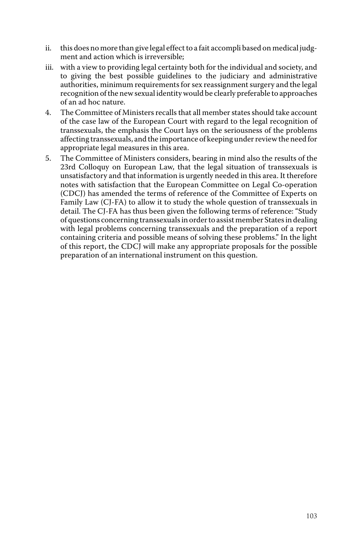- ii. this does no more than give legal effect to a fait accompli based on medical judgment and action which is irreversible;
- iii. with a view to providing legal certainty both for the individual and society, and to giving the best possible guidelines to the judiciary and administrative authorities, minimum requirements for sex reassignment surgery and the legal recognition of the new sexual identity would be clearly preferable to approaches of an ad hoc nature.
- 4. The Committee of Ministers recalls that all member states should take account of the case law of the European Court with regard to the legal recognition of transsexuals, the emphasis the Court lays on the seriousness of the problems affecting transsexuals, and the importance of keeping under review the need for appropriate legal measures in this area.
- 5. The Committee of Ministers considers, bearing in mind also the results of the 23rd Colloquy on European Law, that the legal situation of transsexuals is unsatisfactory and that information is urgently needed in this area. It therefore notes with satisfaction that the European Committee on Legal Co-operation (CDCJ) has amended the terms of reference of the Committee of Experts on Family Law (CJ-FA) to allow it to study the whole question of transsexuals in detail. The CJ-FA has thus been given the following terms of reference: "Study of questions concerning transsexuals in order to assist member States in dealing with legal problems concerning transsexuals and the preparation of a report containing criteria and possible means of solving these problems." In the light of this report, the CDCJ will make any appropriate proposals for the possible preparation of an international instrument on this question.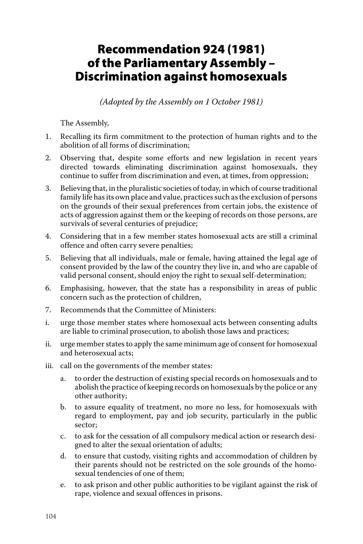# Recommendation 924 (1981) of the Parliamentary Assembly – Discrimination against homosexuals

*(Adopted by the Assembly on 1 October 1981)*

The Assembly,

- 1. Recalling its firm commitment to the protection of human rights and to the abolition of all forms of discrimination;
- 2. Observing that, despite some efforts and new legislation in recent years directed towards eliminating discrimination against homosexuals, they continue to suffer from discrimination and even, at times, from oppression;
- 3. Believing that, in the pluralistic societies of today, in which of course traditional family life has its own place and value, practices such as the exclusion of persons on the grounds of their sexual preferences from certain jobs, the existence of acts of aggression against them or the keeping of records on those persons, are survivals of several centuries of prejudice;
- 4. Considering that in a few member states homosexual acts are still a criminal offence and often carry severe penalties;
- 5. Believing that all individuals, male or female, having attained the legal age of consent provided by the law of the country they live in, and who are capable of valid personal consent, should enjoy the right to sexual self-determination;
- 6. Emphasising, however, that the state has a responsibility in areas of public concern such as the protection of children,
- 7. Recommends that the Committee of Ministers:
- i. urge those member states where homosexual acts between consenting adults are liable to criminal prosecution, to abolish those laws and practices;
- ii. urge member states to apply the same minimum age of consent for homosexual and heterosexual acts;
- iii. call on the governments of the member states:
	- a. to order the destruction of existing special records on homosexuals and to abolish the practice of keeping records on homosexuals by the police or any other authority;
	- b. to assure equality of treatment, no more no less, for homosexuals with regard to employment, pay and job security, particularly in the public sector;
	- c. to ask for the cessation of all compulsory medical action or research designed to alter the sexual orientation of adults;
	- d. to ensure that custody, visiting rights and accommodation of children by their parents should not be restricted on the sole grounds of the homosexual tendencies of one of them;
	- e. to ask prison and other public authorities to be vigilant against the risk of rape, violence and sexual offences in prisons.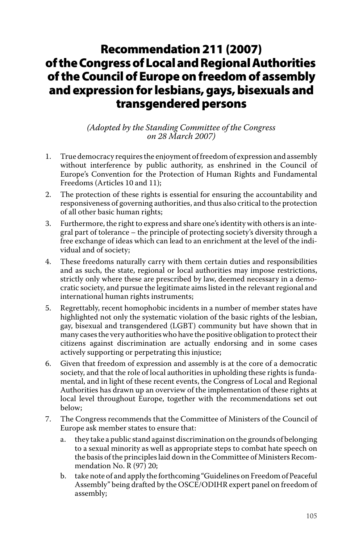# Recommendation 211 (2007) of the Congress of Local and Regional Authorities of the Council of Europe on freedom of assembly and expression for lesbians, gays, bisexuals and transgendered persons

*(Adopted by the Standing Committee of the Congress on 28 March 2007)*

- 1. True democracy requires the enjoyment of freedom of expression and assembly without interference by public authority, as enshrined in the Council of Europe's Convention for the Protection of Human Rights and Fundamental Freedoms (Articles 10 and 11);
- 2. The protection of these rights is essential for ensuring the accountability and responsiveness of governing authorities, and thus also critical to the protection of all other basic human rights;
- 3. Furthermore, the right to express and share one's identity with others is an integral part of tolerance – the principle of protecting society's diversity through a free exchange of ideas which can lead to an enrichment at the level of the individual and of society;
- 4. These freedoms naturally carry with them certain duties and responsibilities and as such, the state, regional or local authorities may impose restrictions, strictly only where these are prescribed by law, deemed necessary in a democratic society, and pursue the legitimate aims listed in the relevant regional and international human rights instruments;
- 5. Regrettably, recent homophobic incidents in a number of member states have highlighted not only the systematic violation of the basic rights of the lesbian, gay, bisexual and transgendered (LGBT) community but have shown that in many cases the very authorities who have the positive obligation to protect their citizens against discrimination are actually endorsing and in some cases actively supporting or perpetrating this injustice;
- 6. Given that freedom of expression and assembly is at the core of a democratic society, and that the role of local authorities in upholding these rights is fundamental, and in light of these recent events, the Congress of Local and Regional Authorities has drawn up an overview of the implementation of these rights at local level throughout Europe, together with the recommendations set out below;
- 7. The Congress recommends that the Committee of Ministers of the Council of Europe ask member states to ensure that:
	- a. they take a public stand against discrimination on the grounds of belonging to a sexual minority as well as appropriate steps to combat hate speech on the basis of the principles laid down in the Committee of Ministers Recommendation No. R (97) 20;
	- b. take note of and apply the forthcoming "Guidelines on Freedom of Peaceful Assembly" being drafted by the OSCE/ODIHR expert panel on freedom of assembly;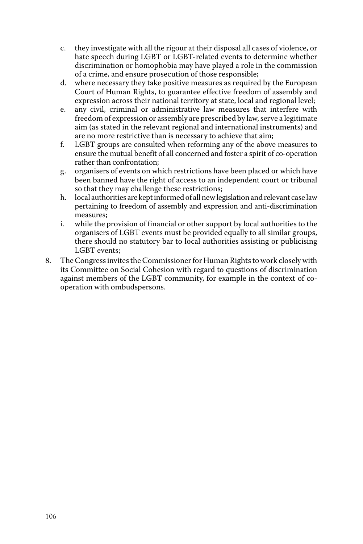- c. they investigate with all the rigour at their disposal all cases of violence, or hate speech during LGBT or LGBT-related events to determine whether discrimination or homophobia may have played a role in the commission of a crime, and ensure prosecution of those responsible;
- d. where necessary they take positive measures as required by the European Court of Human Rights, to guarantee effective freedom of assembly and expression across their national territory at state, local and regional level;
- e. any civil, criminal or administrative law measures that interfere with freedom of expression or assembly are prescribed by law, serve a legitimate aim (as stated in the relevant regional and international instruments) and are no more restrictive than is necessary to achieve that aim;
- f. LGBT groups are consulted when reforming any of the above measures to ensure the mutual benefit of all concerned and foster a spirit of co-operation rather than confrontation;
- g. organisers of events on which restrictions have been placed or which have been banned have the right of access to an independent court or tribunal so that they may challenge these restrictions;
- h. local authorities are kept informed of all new legislation and relevant case law pertaining to freedom of assembly and expression and anti-discrimination measures;
- i. while the provision of financial or other support by local authorities to the organisers of LGBT events must be provided equally to all similar groups, there should no statutory bar to local authorities assisting or publicising LGBT events;
- 8. The Congress invites the Commissioner for Human Rights to work closely with its Committee on Social Cohesion with regard to questions of discrimination against members of the LGBT community, for example in the context of cooperation with ombudspersons.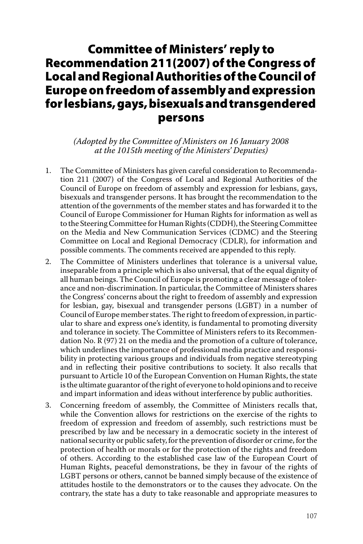### Committee of Ministers' reply to Recommendation 211(2007) of the Congress of Local and Regional Authorities of the Council of Europe on freedom of assembly and expression for lesbians, gays, bisexuals and transgendered persons

*(Adopted by the Committee of Ministers on 16 January 2008 at the 1015th meeting of the Ministers' Deputies)*

- 1. The Committee of Ministers has given careful consideration to Recommendation 211 (2007) of the Congress of Local and Regional Authorities of the Council of Europe on freedom of assembly and expression for lesbians, gays, bisexuals and transgender persons. It has brought the recommendation to the attention of the governments of the member states and has forwarded it to the Council of Europe Commissioner for Human Rights for information as well as to the Steering Committee for Human Rights (CDDH), the Steering Committee on the Media and New Communication Services (CDMC) and the Steering Committee on Local and Regional Democracy (CDLR), for information and possible comments. The comments received are appended to this reply.
- 2. The Committee of Ministers underlines that tolerance is a universal value, inseparable from a principle which is also universal, that of the equal dignity of all human beings. The Council of Europe is promoting a clear message of tolerance and non-discrimination. In particular, the Committee of Ministers shares the Congress' concerns about the right to freedom of assembly and expression for lesbian, gay, bisexual and transgender persons (LGBT) in a number of Council of Europe member states. The right to freedom of expression, in particular to share and express one's identity, is fundamental to promoting diversity and tolerance in society. The Committee of Ministers refers to its Recommendation No. R (97) 21 on the media and the promotion of a culture of tolerance, which underlines the importance of professional media practice and responsibility in protecting various groups and individuals from negative stereotyping and in reflecting their positive contributions to society. It also recalls that pursuant to Article 10 of the European Convention on Human Rights, the state is the ultimate guarantor of the right of everyone to hold opinions and to receive and impart information and ideas without interference by public authorities.
- 3. Concerning freedom of assembly, the Committee of Ministers recalls that, while the Convention allows for restrictions on the exercise of the rights to freedom of expression and freedom of assembly, such restrictions must be prescribed by law and be necessary in a democratic society in the interest of national security or public safety, for the prevention of disorder or crime, for the protection of health or morals or for the protection of the rights and freedom of others. According to the established case law of the European Court of Human Rights, peaceful demonstrations, be they in favour of the rights of LGBT persons or others, cannot be banned simply because of the existence of attitudes hostile to the demonstrators or to the causes they advocate. On the contrary, the state has a duty to take reasonable and appropriate measures to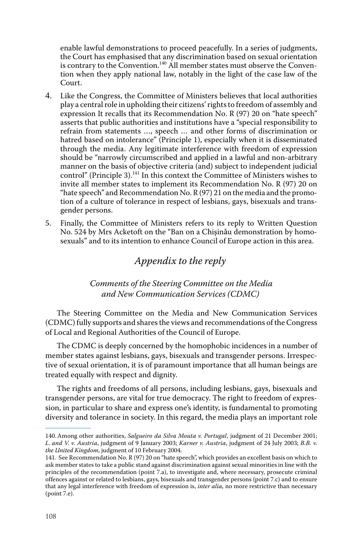enable lawful demonstrations to proceed peacefully. In a series of judgments, the Court has emphasised that any discrimination based on sexual orientation is contrary to the Convention.<sup>140</sup> All member states must observe the Convention when they apply national law, notably in the light of the case law of the Court.

- 4. Like the Congress, the Committee of Ministers believes that local authorities play a central role in upholding their citizens' rights to freedom of assembly and expression It recalls that its Recommendation No. R (97) 20 on "hate speech" asserts that public authorities and institutions have a "special responsibility to refrain from statements …, speech … and other forms of discrimination or hatred based on intolerance" (Principle 1), especially when it is disseminated through the media. Any legitimate interference with freedom of expression should be "narrowly circumscribed and applied in a lawful and non-arbitrary manner on the basis of objective criteria (and) subject to independent judicial control" (Principle 3).<sup>141</sup> In this context the Committee of Ministers wishes to invite all member states to implement its Recommendation No. R (97) 20 on "hate speech" and Recommendation No. R (97) 21 on the media and the promotion of a culture of tolerance in respect of lesbians, gays, bisexuals and transgender persons.
- 5. Finally, the Committee of Ministers refers to its reply to Written Question No. 524 by Mrs Acketoft on the "Ban on a Chişinău demonstration by homosexuals" and to its intention to enhance Council of Europe action in this area.

### *Appendix to the reply*

#### *Comments of the Steering Committee on the Media and New Communication Services (CDMC)*

The Steering Committee on the Media and New Communication Services (CDMC) fully supports and shares the views and recommendations of the Congress of Local and Regional Authorities of the Council of Europe.

The CDMC is deeply concerned by the homophobic incidences in a number of member states against lesbians, gays, bisexuals and transgender persons. Irrespective of sexual orientation, it is of paramount importance that all human beings are treated equally with respect and dignity.

The rights and freedoms of all persons, including lesbians, gays, bisexuals and transgender persons, are vital for true democracy. The right to freedom of expression, in particular to share and express one's identity, is fundamental to promoting diversity and tolerance in society. In this regard, the media plays an important role

<sup>140.</sup> Among other authorities, *Salgueiro da Silva Mouta v. Portugal*, judgment of 21 December 2001; *L. and V. v. Austria*, judgment of 9 January 2003; *Karner v. Austria*, judgment of 24 July 2003; *B.B. v. the United Kingdom*, judgment of 10 February 2004.

<sup>141.</sup> See Recommendation No. R (97) 20 on "hate speech", which provides an excellent basis on which to ask member states to take a public stand against discrimination against sexual minorities in line with the principles of the recommendation (point 7.a), to investigate and, where necessary, prosecute criminal offences against or related to lesbians, gays, bisexuals and transgender persons (point 7.c) and to ensure that any legal interference with freedom of expression is, *inter alia,* no more restrictive than necessary  $(point 7.e)$ .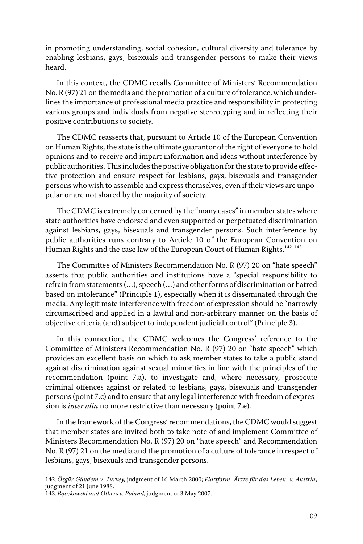in promoting understanding, social cohesion, cultural diversity and tolerance by enabling lesbians, gays, bisexuals and transgender persons to make their views heard.

In this context, the CDMC recalls Committee of Ministers' Recommendation No. R (97) 21 on the media and the promotion of a culture of tolerance, which underlines the importance of professional media practice and responsibility in protecting various groups and individuals from negative stereotyping and in reflecting their positive contributions to society.

The CDMC reasserts that, pursuant to Article 10 of the European Convention on Human Rights, the state is the ultimate guarantor of the right of everyone to hold opinions and to receive and impart information and ideas without interference by public authorities. This includes the positive obligation for the state to provide effective protection and ensure respect for lesbians, gays, bisexuals and transgender persons who wish to assemble and express themselves, even if their views are unpopular or are not shared by the majority of society.

The CDMC is extremely concerned by the "many cases" in member states where state authorities have endorsed and even supported or perpetuated discrimination against lesbians, gays, bisexuals and transgender persons. Such interference by public authorities runs contrary to Article 10 of the European Convention on Human Rights and the case law of the European Court of Human Rights.<sup>142, 143</sup>

The Committee of Ministers Recommendation No. R (97) 20 on "hate speech" asserts that public authorities and institutions have a "special responsibility to refrain from statements (…), speech (…) and other forms of discrimination or hatred based on intolerance" (Principle 1), especially when it is disseminated through the media. Any legitimate interference with freedom of expression should be "narrowly circumscribed and applied in a lawful and non-arbitrary manner on the basis of objective criteria (and) subject to independent judicial control" (Principle 3).

In this connection, the CDMC welcomes the Congress' reference to the Committee of Ministers Recommendation No. R (97) 20 on "hate speech" which provides an excellent basis on which to ask member states to take a public stand against discrimination against sexual minorities in line with the principles of the recommendation (point 7.a), to investigate and, where necessary, prosecute criminal offences against or related to lesbians, gays, bisexuals and transgender persons (point 7.c) and to ensure that any legal interference with freedom of expression is *inter alia* no more restrictive than necessary (point 7.e).

In the framework of the Congress' recommendations, the CDMC would suggest that member states are invited both to take note of and implement Committee of Ministers Recommendation No. R (97) 20 on "hate speech" and Recommendation No. R (97) 21 on the media and the promotion of a culture of tolerance in respect of lesbians, gays, bisexuals and transgender persons.

<sup>142.</sup>*Özgür Gündem v. Turkey*, judgment of 16 March 2000; *Plattform "Ärzte für das Leben" v. Austria*, judgment of 21 June 1988.

<sup>143.</sup>*Bączkowski and Others v. Poland*, judgment of 3 May 2007.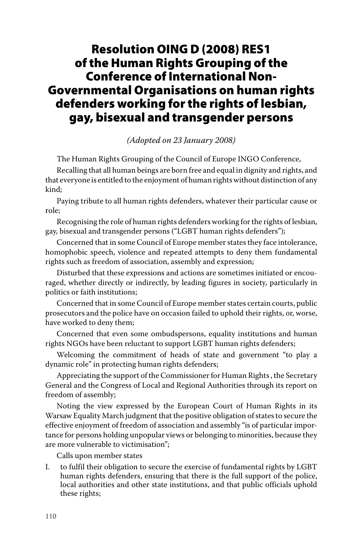# Resolution OING D (2008) RES1 of the Human Rights Grouping of the Conference of International Non-Governmental Organisations on human rights defenders working for the rights of lesbian, gay, bisexual and transgender persons

*(Adopted on 23 January 2008)*

The Human Rights Grouping of the Council of Europe INGO Conference,

Recalling that all human beings are born free and equal in dignity and rights, and that everyone is entitled to the enjoyment of human rights without distinction of any kind;

Paying tribute to all human rights defenders, whatever their particular cause or role;

Recognising the role of human rights defenders working for the rights of lesbian, gay, bisexual and transgender persons ("LGBT human rights defenders");

Concerned that in some Council of Europe member states they face intolerance, homophobic speech, violence and repeated attempts to deny them fundamental rights such as freedom of association, assembly and expression;

Disturbed that these expressions and actions are sometimes initiated or encouraged, whether directly or indirectly, by leading figures in society, particularly in politics or faith institutions;

Concerned that in some Council of Europe member states certain courts, public prosecutors and the police have on occasion failed to uphold their rights, or, worse, have worked to deny them;

Concerned that even some ombudspersons, equality institutions and human rights NGOs have been reluctant to support LGBT human rights defenders;

Welcoming the commitment of heads of state and government "to play a dynamic role" in protecting human rights defenders;

Appreciating the support of the Commissioner for Human Rights , the Secretary General and the Congress of Local and Regional Authorities through its report on freedom of assembly;

Noting the view expressed by the European Court of Human Rights in its Warsaw Equality March judgment that the positive obligation of states to secure the effective enjoyment of freedom of association and assembly "is of particular importance for persons holding unpopular views or belonging to minorities, because they are more vulnerable to victimisation";

Calls upon member states

I. to fulfil their obligation to secure the exercise of fundamental rights by LGBT human rights defenders, ensuring that there is the full support of the police, local authorities and other state institutions, and that public officials uphold these rights;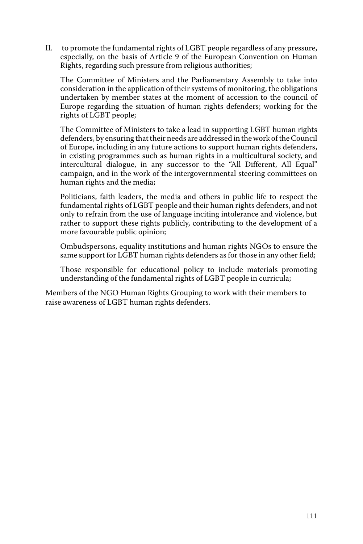II. to promote the fundamental rights of LGBT people regardless of any pressure, especially, on the basis of Article 9 of the European Convention on Human Rights, regarding such pressure from religious authorities;

The Committee of Ministers and the Parliamentary Assembly to take into consideration in the application of their systems of monitoring, the obligations undertaken by member states at the moment of accession to the council of Europe regarding the situation of human rights defenders; working for the rights of LGBT people;

The Committee of Ministers to take a lead in supporting LGBT human rights defenders, by ensuring that their needs are addressed in the work of the Council of Europe, including in any future actions to support human rights defenders, in existing programmes such as human rights in a multicultural society, and intercultural dialogue, in any successor to the "All Different, All Equal" campaign, and in the work of the intergovernmental steering committees on human rights and the media;

Politicians, faith leaders, the media and others in public life to respect the fundamental rights of LGBT people and their human rights defenders, and not only to refrain from the use of language inciting intolerance and violence, but rather to support these rights publicly, contributing to the development of a more favourable public opinion;

Ombudspersons, equality institutions and human rights NGOs to ensure the same support for LGBT human rights defenders as for those in any other field;

Those responsible for educational policy to include materials promoting understanding of the fundamental rights of LGBT people in curricula;

Members of the NGO Human Rights Grouping to work with their members to raise awareness of LGBT human rights defenders.